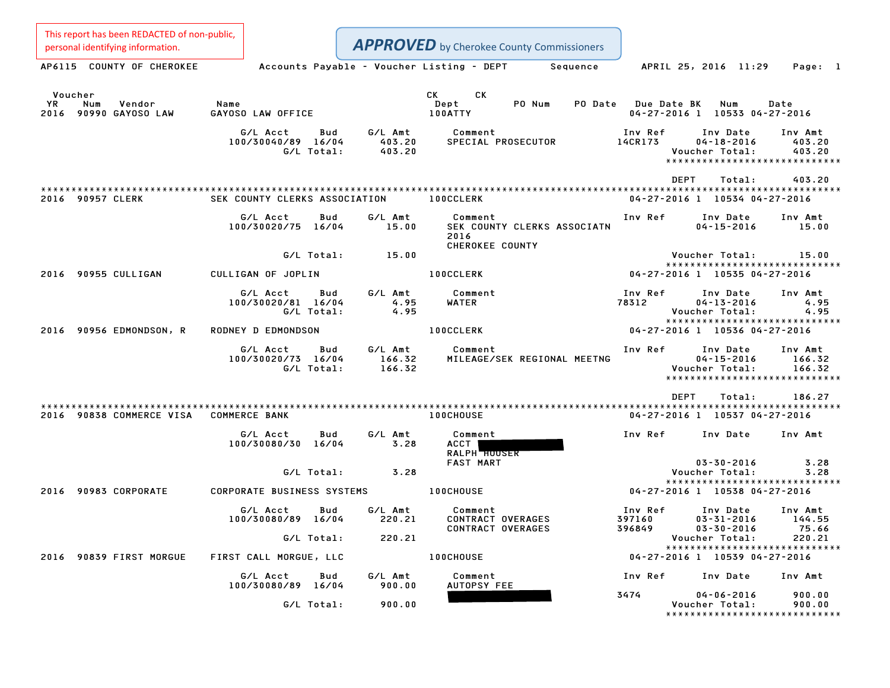This report has been REDACTED of non-public, personal identifying information.

| personal identifying information.                       |                                                     |                             | <b>APPROVED</b> by Cherokee County Commissioners                  |                             |                                                                                 |                             |
|---------------------------------------------------------|-----------------------------------------------------|-----------------------------|-------------------------------------------------------------------|-----------------------------|---------------------------------------------------------------------------------|-----------------------------|
| AP6115 COUNTY OF CHEROKEE                               |                                                     |                             | Accounts Payable - Voucher Listing - DEPT Sequence                |                             | APRIL 25, 2016 11:29                                                            | Page: 1                     |
| Voucher<br>Vendor<br>YR<br>Num<br>2016 90990 GAYOSO LAW | Name<br>GAYOSO LAW OFFICE                           |                             | CK<br><b>CK</b><br>PO Num<br>Dept<br>100ATTY                      | PO Date Due Date BK         | Num<br>04-27-2016 1 10533 04-27-2016                                            | Date                        |
|                                                         | G/L Acct<br>Bud<br>100/30040/89 16/04<br>G/L Total: | G/L Amt<br>403.20<br>403.20 | Comment<br>SPECIAL PROSECUTOR                                     | Inv Ref<br>14CR173          | Inv Date<br>$04 - 18 - 2016$<br>Voucher Total:<br>***************************** | Inv Amt<br>403.20<br>403.20 |
|                                                         |                                                     |                             |                                                                   | <b>DEPT</b>                 | Total:                                                                          | 403.20                      |
| 2016 90957 CLERK                                        | SEK COUNTY CLERKS ASSOCIATION                       |                             | <b>100CCLERK</b>                                                  |                             | 04-27-2016 1 10534 04-27-2016                                                   |                             |
|                                                         | G/L Acct<br>Bud<br>100/30020/75 16/04               | G/L Amt<br>15.00            | Comment<br>SEK COUNTY CLERKS ASSOCIATN<br>2016<br>CHEROKEE COUNTY | Inv Ref                     | Inv Date<br>$04 - 15 - 2016$                                                    | Inv Amt<br>15.00            |
|                                                         | G/L Total:                                          | 15.00                       |                                                                   |                             | Voucher Total:                                                                  | 15.00                       |
| 2016 90955 CULLIGAN                                     | CULLIGAN OF JOPLIN                                  |                             | <b>100CCLERK</b>                                                  |                             | ******************************<br>04-27-2016 1 10535 04-27-2016                 |                             |
|                                                         | G/L Acct<br>Bud<br>100/30020/81 16/04<br>G/L Total: | G/L Amt<br>4.95<br>4.95     | Comment<br>WATER                                                  | Inv Ref<br>78312            | Inv Date<br>$04 - 13 - 2016$<br>Voucher Total:<br>***************************** | Inv Amt<br>4.95<br>4.95     |
| 2016 90956 EDMONDSON, R                                 | RODNEY D EDMONDSON                                  |                             | <b>100CCLERK</b>                                                  |                             | 04-27-2016 1 10536 04-27-2016                                                   |                             |
|                                                         | G/L Acct<br>Bud<br>100/30020/73 16/04<br>G/L Total: | G/L Amt<br>166.32<br>166.32 | Comment<br>MILEAGE/SEK REGIONAL MEETNG                            | Inv Ref                     | Inv Date<br>$04 - 15 - 2016$<br>Voucher Total:<br>***************************** | Inv Amt<br>166.32<br>166.32 |
|                                                         |                                                     |                             |                                                                   | <b>DEPT</b>                 | Total:                                                                          | 186.27                      |
| 2016 90838 COMMERCE VISA COMMERCE BANK                  |                                                     |                             | <b>100CHOUSE</b>                                                  |                             | 04-27-2016 1 10537 04-27-2016                                                   |                             |
|                                                         | G/L Acct<br>Bud<br>100/30080/30 16/04               | G/L Amt<br>3.28             | Comment<br>ACCT  <br>RALPH HOUSER                                 | Inv Ref                     | Inv Date                                                                        | Inv Amt                     |
|                                                         | G/L Total:                                          | 3.28                        | <b>FAST MART</b>                                                  |                             | $03 - 30 - 2016$<br>Voucher Total:                                              | 3.28<br>3.28                |
|                                                         |                                                     |                             |                                                                   |                             | *****************************                                                   |                             |
| 2016 90983 CORPORATE                                    | <b>CORPORATE BUSINESS SYSTEMS</b>                   |                             | <b>100CHOUSE</b>                                                  |                             | 04-27-2016 1 10538 04-27-2016                                                   |                             |
|                                                         | Bud<br>G/L Acct<br>100/30080/89 16/04               | G/L Amt<br>220.21           | Comment<br>CONTRACT OVERAGES<br>CONTRACT OVERAGES                 | Inv Ref<br>397160<br>396849 | Inv Date<br>$03 - 31 - 2016$<br>$03 - 30 - 2016$                                | Inv Amt<br>144.55<br>75.66  |
|                                                         | G/L Total:                                          | 220.21                      |                                                                   |                             | Voucher Total:                                                                  | 220.21                      |
| 2016 90839 FIRST MORGUE                                 | FIRST CALL MORGUE, LLC                              |                             | 100CHOUSE                                                         |                             | *****************************<br>04-27-2016 1 10539 04-27-2016                  |                             |
|                                                         | G/L Acct<br>Bud                                     | G/L Amt                     | Comment                                                           | Inv Ref                     | Inv Date                                                                        | Inv Amt                     |
|                                                         | 100/30080/89 16/04                                  | 900.00                      | AUTOPSY FEE                                                       | 3474                        | $04 - 06 - 2016$                                                                | 900.00                      |
|                                                         | G/L Total:                                          | 900.00                      |                                                                   |                             | Voucher Total:<br>*****************************                                 | 900.00                      |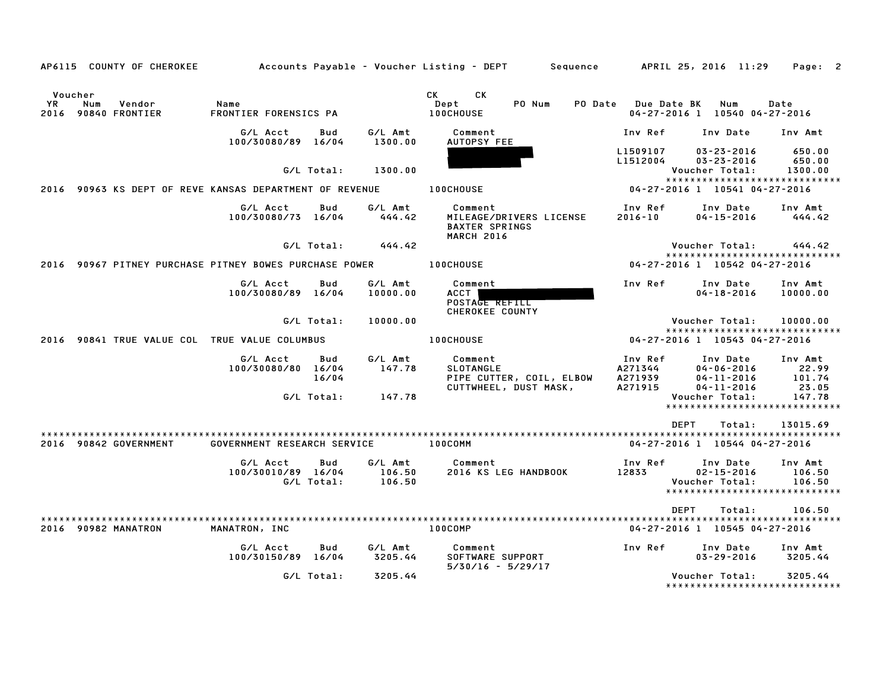|               | AP6115 COUNTY OF CHEROKEE            |                                                         |            |                     | Accounts Payable – Voucher Listing – DEPT         Sequence         APRIL 25, 2016  11:29 |                      |                                                                 | Page: 2             |
|---------------|--------------------------------------|---------------------------------------------------------|------------|---------------------|------------------------------------------------------------------------------------------|----------------------|-----------------------------------------------------------------|---------------------|
| Voucher<br>YR | Num<br>Vendor<br>2016 90840 FRONTIER | Name<br>FRONTIER FORENSICS PA                           |            |                     | <b>CK</b><br>CK<br>PO Num<br>Dept<br><b>100CHOUSE</b>                                    | PO Date Due Date BK  | Num<br>04-27-2016 1 10540 04-27-2016                            | Date                |
|               |                                      | G/L Acct<br>100/30080/89 16/04                          | Bud        | G/L Amt<br>1300.00  | Comment<br><b>AUTOPSY FEE</b>                                                            | Inv Ref              | Inv Date                                                        | Inv Amt             |
|               |                                      |                                                         |            |                     |                                                                                          | L1509107<br>L1512004 | $03 - 23 - 2016$<br>$03 - 23 - 2016$                            | 650.00<br>650.00    |
|               |                                      |                                                         | G/L Total: | 1300.00             |                                                                                          |                      | Voucher Total:                                                  | 1300.00             |
|               |                                      | 2016 90963 KS DEPT OF REVE KANSAS DEPARTMENT OF REVENUE |            |                     | <b>100CHOUSE</b>                                                                         |                      | *****************************<br>04-27-2016 1 10541 04-27-2016  |                     |
|               |                                      | G/L Acct<br>100/30080/73 16/04                          | Bud        | G/L Amt<br>444.42   | Comment<br>MILEAGE/DRIVERS LICENSE<br><b>BAXTER SPRINGS</b><br><b>MARCH 2016</b>         | Inv Ref<br>2016-10   | Inv Date<br>$04 - 15 - 2016$                                    | Inv Amt<br>444.42   |
|               |                                      |                                                         | G/L Total: | 444.42              |                                                                                          |                      | Voucher Total:                                                  | 444.42              |
|               |                                      | 2016 90967 PITNEY PURCHASE PITNEY BOWES PURCHASE POWER  |            |                     | <b>100CHOUSE</b>                                                                         |                      | ******************************<br>04-27-2016 1 10542 04-27-2016 |                     |
|               |                                      | G/L Acct<br>100/30080/89 16/04                          | Bud        | G/L Amt<br>10000.00 | Comment<br>ACCT I<br>POSTAGE REFILL<br>CHEROKEE COUNTY                                   | Inv Ref              | Inv Date<br>$04 - 18 - 2016$                                    | Inv Amt<br>10000.00 |
|               |                                      |                                                         | G/L Total: | 10000.00            |                                                                                          |                      | Voucher Total:                                                  | 10000.00            |
|               |                                      | 2016 90841 TRUE VALUE COL TRUE VALUE COLUMBUS           |            |                     | <b>100CHOUSE</b>                                                                         |                      | *****************************<br>04-27-2016 1 10543 04-27-2016  |                     |
|               |                                      | G/L Acct                                                | Bud        | G/L Amt             | Comment                                                                                  | Inv Ref              | Inv Date                                                        | Inv Amt             |
|               |                                      | 100/30080/80 16/04                                      |            | 147.78              | <b>SLOTANGLE</b>                                                                         | A271344              | $04 - 06 - 2016$                                                | 22.99               |
|               |                                      |                                                         | 16/04      |                     | PIPE CUTTER, COIL, ELBOW<br>CUTTWHEEL, DUST MASK,                                        | A271939<br>A271915   | $04 - 11 - 2016$<br>$04 - 11 - 2016$                            | 101.74<br>23.05     |
|               |                                      |                                                         | G/L Total: | 147.78              |                                                                                          |                      | Voucher Total:                                                  | 147.78              |
|               |                                      |                                                         |            |                     |                                                                                          |                      | *****************************                                   |                     |
|               |                                      |                                                         |            |                     |                                                                                          | <b>DEPT</b>          | Total:                                                          | 13015.69            |
|               |                                      |                                                         |            |                     |                                                                                          |                      |                                                                 |                     |
|               | 2016 90842 GOVERNMENT                | GOVERNMENT RESEARCH SERVICE                             |            |                     | 100COMM                                                                                  |                      | 04-27-2016 1 10544 04-27-2016                                   |                     |
|               |                                      | G/L Acct                                                | Bud        | G/L Amt             | Comment                                                                                  | Inv Ref              | Inv Date                                                        | Inv Amt             |
|               |                                      | 100/30010/89 16/04                                      |            | 106.50              | 2016 KS LEG HANDBOOK                                                                     | 12833                | $02 - 15 - 2016$                                                | 106.50              |
|               |                                      |                                                         | G/L Total: | 106.50              |                                                                                          |                      | Voucher Total:<br>*****************************                 | 106.50              |
|               |                                      |                                                         |            |                     |                                                                                          |                      |                                                                 |                     |
|               |                                      |                                                         |            |                     |                                                                                          | DEPT                 | Total:                                                          | 106.50              |
|               | 2016 90982 MANATRON                  | MANATRON, INC                                           |            |                     | 100COMP                                                                                  |                      | 04-27-2016 1 10545 04-27-2016                                   |                     |
|               |                                      | G/L Acct                                                | Bud        | G/L Amt             | Comment                                                                                  | Inv Ref              | Inv Date                                                        | Inv Amt             |
|               |                                      | 100/30150/89 16/04                                      |            | 3205.44             | SOFTWARE SUPPORT<br>$5/30/16 - 5/29/17$                                                  |                      | $03 - 29 - 2016$                                                | 3205.44             |
|               |                                      |                                                         | G/L Total: | 3205.44             |                                                                                          |                      | Voucher Total:                                                  | 3205.44             |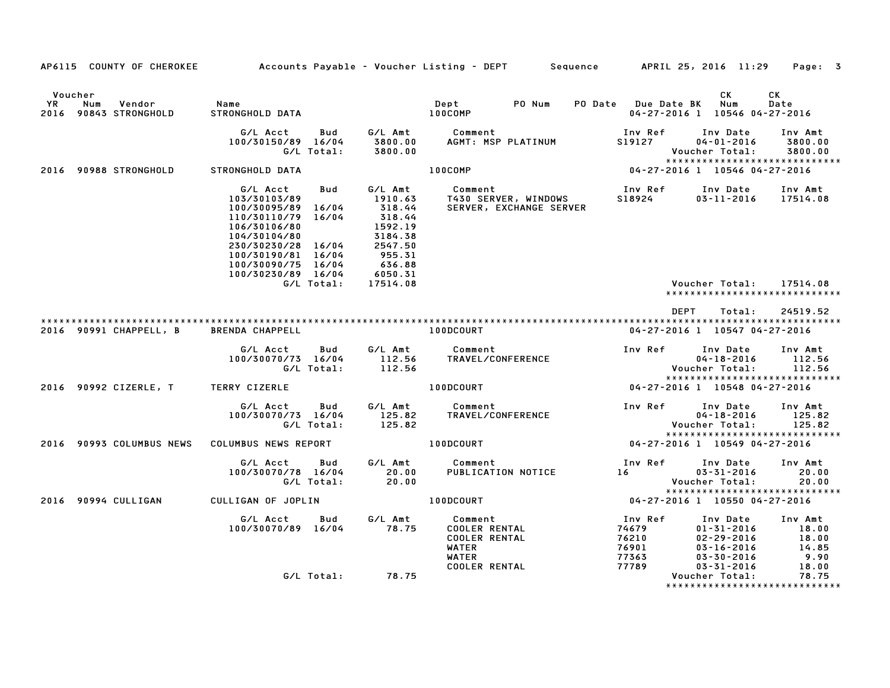|               | AP6115 COUNTY OF CHEROKEE              |                                                                                                                                                                                                            |                                                                                                                           | Accounts Payable – Voucher Listing – DEPT                                        | Sequence                                    | APRIL 25, 2016 11:29                                                                     | Page: 3                                    |
|---------------|----------------------------------------|------------------------------------------------------------------------------------------------------------------------------------------------------------------------------------------------------------|---------------------------------------------------------------------------------------------------------------------------|----------------------------------------------------------------------------------|---------------------------------------------|------------------------------------------------------------------------------------------|--------------------------------------------|
|               |                                        |                                                                                                                                                                                                            |                                                                                                                           |                                                                                  |                                             |                                                                                          |                                            |
| Voucher<br>YR | Num<br>Vendor<br>2016 90843 STRONGHOLD | Name<br>STRONGHOLD DATA                                                                                                                                                                                    |                                                                                                                           | Dept<br>PO Num<br>100COMP                                                        | PO Date                                     | СK<br>Num<br>Due Date BK<br>04-27-2016 1 10546 04-27-2016                                | СK<br>Date                                 |
|               |                                        | G/L Acct<br>100/30150/89 16/04<br>G/L Total:                                                                                                                                                               | Bud<br>G/L Amt<br>3800.00<br>3800.00                                                                                      | Comment<br>AGMT: MSP PLATINUM                                                    | Inv Ref<br>S19127                           | Inv Date<br>$04 - 01 - 2016$<br>Voucher Total:<br>*****************************          | Inv Amt<br>3800.00<br>3800.00              |
|               | 2016 90988 STRONGHOLD                  | STRONGHOLD DATA                                                                                                                                                                                            |                                                                                                                           | 100COMP                                                                          |                                             | 04-27-2016 1 10546 04-27-2016                                                            |                                            |
|               |                                        | G/L Acct<br>103/30103/89<br>100/30095/89 16/04<br>110/30110/79 16/04<br>106/30106/80<br>104/30104/80<br>230/30230/28 16/04<br>100/30190/81 16/04<br>100/30090/75 16/04<br>100/30230/89 16/04<br>G/L Total: | G/L Amt<br>Bud<br>1910.63<br>318.44<br>318.44<br>1592.19<br>3184.38<br>2547.50<br>955.31<br>636.88<br>6050.31<br>17514.08 | Comment<br>T430 SERVER, WINDOWS<br>SERVER, EXCHANGE SERVER                       | Inv Ref<br>S18924                           | Inv Date<br>$03 - 11 - 2016$<br>Voucher Total:<br>******************************         | Inv Amt<br>17514.08<br>17514.08            |
|               |                                        |                                                                                                                                                                                                            |                                                                                                                           |                                                                                  |                                             |                                                                                          |                                            |
|               | 2016 90991 CHAPPELL, B                 | <b>BRENDA CHAPPELL</b>                                                                                                                                                                                     |                                                                                                                           | 100DCOURT                                                                        |                                             | <b>DEPT</b><br>Total:<br>04-27-2016 1 10547 04-27-2016                                   | 24519.52                                   |
|               |                                        | G/L Acct<br>100/30070/73 16/04<br>G/L Total:                                                                                                                                                               | G/L Amt<br>Bud<br>112.56<br>112.56                                                                                        | Comment<br>TRAVEL/CONFERENCE                                                     | Inv Ref                                     | Inv Date<br>$04 - 18 - 2016$<br>Voucher Total:<br>*****************************          | Inv Amt<br>112.56<br>112.56                |
|               | 2016 90992 CIZERLE, T                  | TERRY CIZERLE                                                                                                                                                                                              |                                                                                                                           | 100DCOURT                                                                        |                                             | 04-27-2016 1 10548 04-27-2016                                                            |                                            |
|               |                                        | G/L Acct<br>100/30070/73 16/04<br>G/L Total:                                                                                                                                                               | G/L Amt<br>Bud<br>125.82<br>125.82                                                                                        | Comment<br>TRAVEL/CONFERENCE                                                     | Inv Ref                                     | Inv Date<br>$04 - 18 - 2016$<br>Voucher Total:<br>*****************************          | Inv Amt<br>125.82<br>125.82                |
|               | 2016 90993 COLUMBUS NEWS               | COLUMBUS NEWS REPORT                                                                                                                                                                                       |                                                                                                                           | 100DCOURT                                                                        |                                             | 04-27-2016 1 10549 04-27-2016                                                            |                                            |
|               |                                        | G/L Acct<br>100/30070/78 16/04<br>G/L Total:                                                                                                                                                               | G/L Amt<br>Bud<br>20.00<br>20.00                                                                                          | Comment<br>PUBLICATION NOTICE                                                    | Inv Ref<br>16                               | Inv Date<br>$03 - 31 - 2016$<br>Voucher Total:<br>*****************************          | Inv Amt<br>20.00<br>20.00                  |
|               | 2016 90994 CULLIGAN                    | CULLIGAN OF JOPLIN                                                                                                                                                                                         |                                                                                                                           | 100DCOURT                                                                        |                                             | 04-27-2016 1 10550 04-27-2016                                                            |                                            |
|               |                                        | G/L Acct<br>100/30070/89 16/04                                                                                                                                                                             | G/L Amt<br>Bud<br>78.75                                                                                                   | Comment<br><b>COOLER RENTAL</b><br><b>COOLER RENTAL</b><br>WATER<br><b>WATER</b> | Inv Ref<br>74679<br>76210<br>76901<br>77363 | Inv Date<br>$01 - 31 - 2016$<br>$02 - 29 - 2016$<br>$03 - 16 - 2016$<br>$03 - 30 - 2016$ | Inv Amt<br>18.00<br>18.00<br>14.85<br>9.90 |
|               |                                        | G/L Total:                                                                                                                                                                                                 | 78.75                                                                                                                     | <b>COOLER RENTAL</b>                                                             | 77789                                       | $03 - 31 - 2016$<br>Voucher Total:<br>*****************************                      | 18.00<br>78.75                             |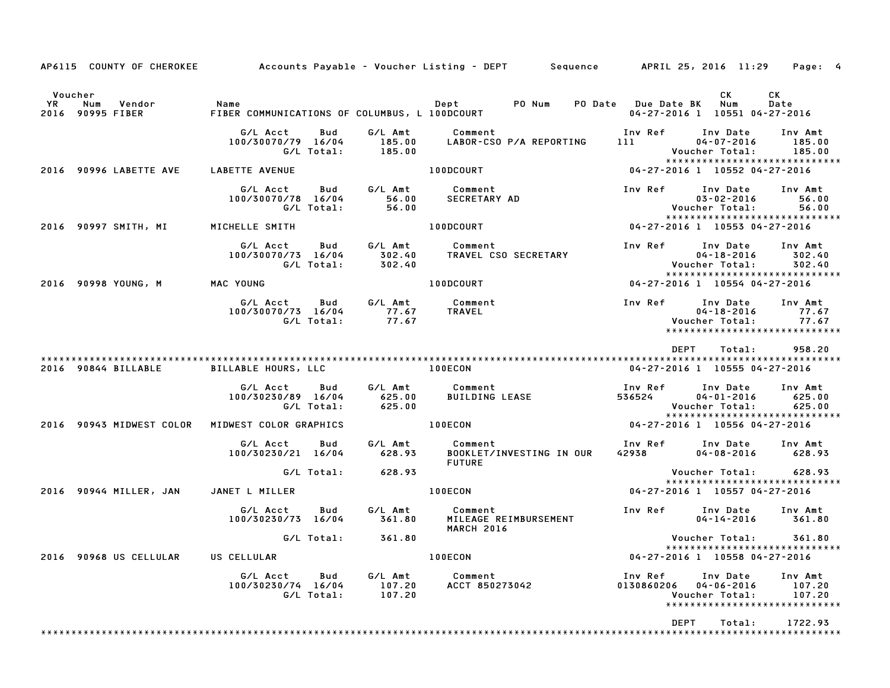|                      |                                | AP6115 COUNTY OF CHEROKEE Accounts Payable - Voucher Listing - DEPT Sequence APRIL 25, 2016 11:29 |                   |                             |                                            |                          |                         |                       |             |                                                        | Page: 4                                                                                |  |
|----------------------|--------------------------------|---------------------------------------------------------------------------------------------------|-------------------|-----------------------------|--------------------------------------------|--------------------------|-------------------------|-----------------------|-------------|--------------------------------------------------------|----------------------------------------------------------------------------------------|--|
| Voucher<br><b>YR</b> | Num Vendor<br>2016 90995 FIBER | Name<br>FIBER COMMUNICATIONS OF COLUMBUS, L 100DCOURT                                             |                   |                             | Dept PO Num                                |                          | PO Date Due Date BK Num |                       |             | CK                                                     | CK<br>Date<br>04-27-2016 1 10551 04-27-2016                                            |  |
|                      |                                | G/L Acct<br>100/30070/79 16/04                                                                    | Bud<br>G/L Total: | 185.00<br>185.00            | G/L Amt Comment<br>LABOR-CSO P/A REPORTING |                          |                         | 111                   |             | 04-07-2016<br>Voucher Total:                           | Inv Ref      Inv Date     Inv Amt<br>185.00<br>185.00<br>***************************** |  |
|                      | 2016 90996 LABETTE AVE         | LABETTE AVENUE                                                                                    |                   |                             | 100DCOURT                                  |                          |                         |                       |             |                                                        | 04-27-2016 1 10552 04-27-2016                                                          |  |
|                      |                                | G/L Acct<br>100/30070/78 16/04                                                                    | Bud<br>G/L Total: | 56.00                       | G/L Amt Comment<br>56.00 SECRETARY AD      |                          |                         | Inv Ref               |             | Inv Date<br>03-02-2016<br>Voucher Total:               | Inv Amt<br>56.00<br>56.00<br>*****************************                             |  |
|                      | 2016 90997 SMITH, MI           | MICHELLE SMITH                                                                                    |                   |                             | <b>100DCOURT</b>                           |                          |                         |                       |             |                                                        | 04-27-2016 1 10553 04-27-2016                                                          |  |
|                      |                                | G/L Acct<br>100/30070/73 16/04                                                                    | Bud<br>G/L Total: | G⁄L Amt<br>302.40<br>302.40 | Comment<br>TRAVEL CSO SECRETARY            |                          |                         |                       |             | Inv Ref Inv Date<br>$04 - 18 - 2016$<br>Voucher Total: | Inv Amt<br>302.40<br>302.40<br>******************************                          |  |
|                      | 2016 90998 YOUNG, M            | MAC YOUNG                                                                                         |                   |                             | 100DCOURT                                  |                          |                         |                       |             |                                                        | 04-27-2016 1 10554 04-27-2016                                                          |  |
|                      |                                | G/L Acct<br>100/30070/73 16/04                                                                    | Bud<br>G/L Total: | 77.67 TRAVEL<br>77.67       | G/L Amt Comment                            |                          |                         | Inv Ref               |             | Inv Date<br>$04 - 18 - 2016$<br>Voucher Total:         | Inv Amt<br>77.67<br>77.67<br>*****************************                             |  |
|                      | 2016 90844 BILLABLE            | BILLABLE HOURS, LLC                                                                               |                   |                             | <b>100ECON</b>                             |                          |                         |                       | DEPT        | Total:                                                 | 958.20<br>04-27-2016 1 10555 04-27-2016                                                |  |
|                      |                                | G/L Acct Bud<br>100/30230/89 16/04                                                                | G/L Total:        | 625.00<br>625.00            | G/L Amt Comment                            | <b>BUILDING LEASE</b>    |                         | 536524                |             | Inv Ref      Inv Date<br>04-01-2016<br>Voucher Total:  | Inv Amt<br>625.00<br>625.00<br>*****************************                           |  |
|                      | 2016 90943 MIDWEST COLOR       | MIDWEST COLOR GRAPHICS                                                                            |                   |                             | 100ECON                                    |                          |                         |                       |             |                                                        | 04-27-2016 1 10556 04-27-2016                                                          |  |
|                      |                                | G/L Acct<br>100/30230/21 16/04                                                                    | Bud               | 628.93                      | G/L Amt Comment<br><b>FUTURE</b>           | BOOKLET/INVESTING IN OUR |                         | 42938                 |             | Inv Ref      Inv Date<br>04-08-2016                    | Inv Amt<br>628.93                                                                      |  |
|                      |                                |                                                                                                   | G/L Total:        | 628.93                      |                                            |                          |                         |                       |             | Voucher Total:                                         | 628.93<br>******************************                                               |  |
|                      | 2016 90944 MILLER, JAN         | JANET L MILLER                                                                                    |                   |                             | 100ECON                                    |                          |                         |                       |             |                                                        | 04-27-2016 1 10557 04-27-2016                                                          |  |
|                      |                                | G/L Acct<br>100/30230/73 16/04                                                                    | Bud               | G/L Amt<br>361.80           | Comment<br><b>MARCH 2016</b>               | MILEAGE REIMBURSEMENT    |                         | Inv Ref               |             | Inv Date<br>$04 - 14 - 2016$                           | Inv Amt<br>361.80                                                                      |  |
|                      |                                |                                                                                                   | G/L Total:        | 361.80                      |                                            |                          |                         |                       |             | Voucher Total:                                         | 361.80<br>*****************************                                                |  |
|                      | 2016 90968 US CELLULAR         | US CELLULAR                                                                                       |                   |                             | 100ECON                                    |                          |                         |                       |             |                                                        | 04-27-2016 1 10558 04-27-2016                                                          |  |
|                      |                                | G/L Acct<br>100/30230/74 16/04                                                                    | Bud<br>G/L Total: | G/L Amt<br>107.20<br>107.20 | Comment<br>ACCT 850273042                  |                          |                         | Inv Ref<br>0130860206 |             | Inv Date<br>$04 - 06 - 2016$<br>Voucher Total:         | Inv Amt<br>107.20<br>107.20<br>*****************************                           |  |
|                      |                                |                                                                                                   |                   |                             |                                            |                          |                         |                       | <b>DEPT</b> | Total:                                                 | 1722.93                                                                                |  |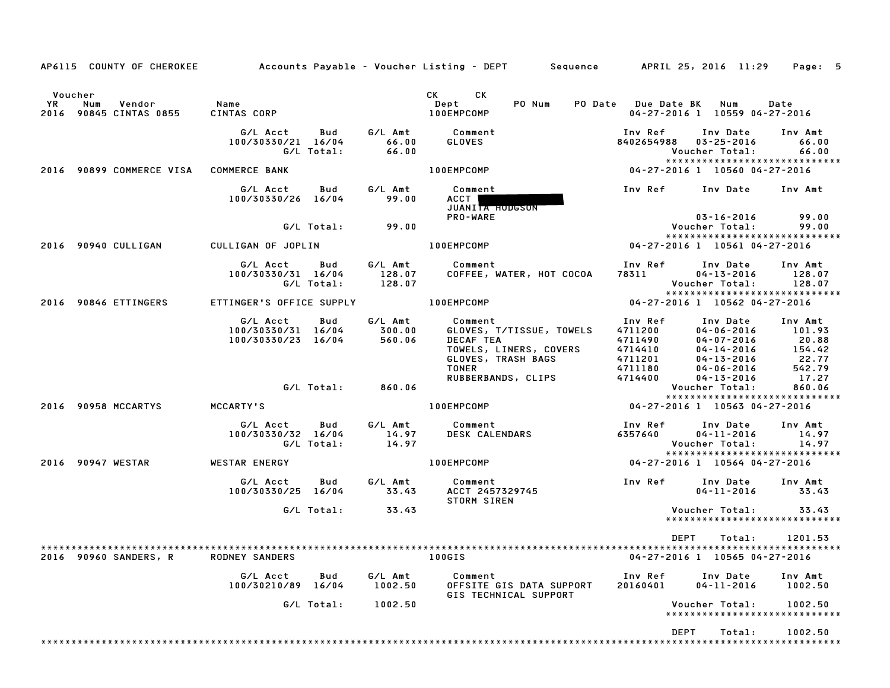| AP6115 COUNTY OF CHEROKEE                                     |                                                                  |                      | Accounts Payable – Voucher Listing – DEPT         Sequence         APRIL 25, 2016  11:29                                                                                                                                                                              |                                                                                                                                                                   | Page: 5                                                          |
|---------------------------------------------------------------|------------------------------------------------------------------|----------------------|-----------------------------------------------------------------------------------------------------------------------------------------------------------------------------------------------------------------------------------------------------------------------|-------------------------------------------------------------------------------------------------------------------------------------------------------------------|------------------------------------------------------------------|
| Voucher<br>Vendor Name<br>YR<br>Num<br>2016 90845 CINTAS 0855 | CINTAS CORP                                                      |                      | CK the control of the control of the control of the control of the control of the control of the control of the control of the control of the control of the control of the control of the control of the control of the contr<br>CK.<br>PO Num<br>Dept<br>100EMPCOMP | PO Date Due Date BK Num<br>04-27-2016 1 10559 04-27-2016                                                                                                          | Date                                                             |
|                                                               | G/L Acct<br>100/30330/21 16/04<br>G/L Total:                     | 66.00                | <b>GLOVES</b><br><b>IOOEMPCOMP</b>                                                                                                                                                                                                                                    | Inv Ref<br>Inv Date<br>8402654988<br>03-25-2016<br>Voucher Total:                                                                                                 | Inv Amt<br>66.00<br>66.00<br>*****************************       |
| 2016 90899 COMMERCE VISA COMMERCE BANK                        |                                                                  |                      |                                                                                                                                                                                                                                                                       | $04 - 27 - 2016$ 1 10560 04-27-2016                                                                                                                               |                                                                  |
|                                                               | G/L Acct<br>100/30330/26 16/04                                   | Bud G/L Amt<br>99.00 | Comment<br><b>ACCT</b><br>JUANITA HODGSON                                                                                                                                                                                                                             | Inv Ref Inv Date                                                                                                                                                  | Inv Amt                                                          |
|                                                               | $G/L$ Total: $99.00$                                             |                      | <b>PRO-WARE</b>                                                                                                                                                                                                                                                       | 03-16-2016<br>Voucher Total:                                                                                                                                      | 99.00<br>99.00                                                   |
| 2016 90940 CULLIGAN                                           | CULLIGAN OF JOPLIN                                               |                      | 100EMPCOMP NOTES                                                                                                                                                                                                                                                      | 04-27-2016 1 10561 04-27-2016                                                                                                                                     | *****************************                                    |
|                                                               | G/L Acct Bud G/L Amt Comment<br>100/30330/31 16/04<br>G/L Total: | 128.07<br>128.07     | COFFEE, WATER, HOT COCOA                                                                                                                                                                                                                                              | Inv Ref      Inv Date<br>78311<br>$04 - 13 - 2016$<br>Voucher Total:                                                                                              | Inv Amt<br>128.07<br>128.07                                      |
| 2016 90846 ETTINGERS                                          | ETTINGER'S OFFICE SUPPLY <b>100EMPCOMP</b>                       |                      |                                                                                                                                                                                                                                                                       | 04-27-2016 1 10562 04-27-2016                                                                                                                                     | ******************************                                   |
|                                                               | G/L Acct<br>Bud<br>100/30330/31 16/04<br>100/30330/23 16/04      | 560.06               | G/L Amt Comment<br>300.00 GLOVES, 1<br>GLOVES, T/TISSUE, TOWELS<br>DECAF TEA<br>TOWELS, LINERS, COVERS<br>GLOVES, TRASH BAGS<br><b>TONER</b>                                                                                                                          | Inv Ref<br>Inv Date<br>4711200<br>$04 - 06 - 2016$<br>4711490<br>04-07-2016<br>04-14-2016<br>04-13-2016<br>04-06-2016<br>4714410<br>4711201<br>4711180<br>4714400 | Inv Amt<br>101.93<br>20.88<br>154.42<br>22.77<br>542.79<br>17.27 |
|                                                               | G/L Total: 860.06                                                |                      | RUBBERBANDS, CLIPS                                                                                                                                                                                                                                                    | 04-13-2016<br>Voucher Total:                                                                                                                                      | 17.27<br>860.06                                                  |
| 2016 90958 MCCARTYS                                           | MCCARTY'S                                                        |                      | 100EMPCOMP                                                                                                                                                                                                                                                            | 04-27-2016 1 10563 04-27-2016                                                                                                                                     | *****************************                                    |
|                                                               | G/L Acct Bud G/L Amt Comment<br>100/30330/32 16/04<br>G/L Total: | 14.97<br>14.97       | DESK CALENDARS                                                                                                                                                                                                                                                        | Inv Ref      Inv Date     Inv Amt<br>6357640<br>$04 - 11 - 2016$<br>Voucher Total:                                                                                | 14.97<br>14.97                                                   |
| 2016 90947 WESTAR                                             | WESTAR ENERGY                                                    |                      | 100EMPCOMP NOTES                                                                                                                                                                                                                                                      | 04-27-2016 1 10564 04-27-2016                                                                                                                                     | *****************************                                    |
|                                                               | G/L Acct<br>Bud<br>100/30330/25 16/04                            | 33.43                | G/L Amt Comment<br>33.43 ACCT 2457<br>ACCT 2457329745<br><b>STORM SIREN</b>                                                                                                                                                                                           | Inv Ref Inv Date<br>$04 - 11 - 2016$                                                                                                                              | Inv Amt<br>33.43                                                 |
|                                                               | $G/L$ Total: $33.43$                                             |                      |                                                                                                                                                                                                                                                                       | Voucher Total:                                                                                                                                                    | 33.43<br>*****************************                           |
| 2016 90960 SANDERS, R                                         | <b>RODNEY SANDERS</b>                                            |                      | <b>Example 100GIS</b>                                                                                                                                                                                                                                                 | DEPT<br>Total:<br>04-27-2016 1 10565 04-27-2016                                                                                                                   | 1201.53                                                          |
|                                                               | Bud<br>G/L Acct<br>100/30210/89 16/04                            | G/L Amt<br>1002.50   | Comment<br>OFFSITE GIS DATA SUPPORT<br>GIS TECHNICAL SUPPORT                                                                                                                                                                                                          | Inv Ref<br>Inv Date<br>$04 - 11 - 2016$<br>20160401                                                                                                               | Inv Amt<br>1002.50                                               |
|                                                               | G/L Total:                                                       | 1002.50              |                                                                                                                                                                                                                                                                       | Voucher Total:                                                                                                                                                    | 1002.50<br>*****************************                         |
|                                                               |                                                                  |                      |                                                                                                                                                                                                                                                                       | DEPT<br>Total:                                                                                                                                                    | 1002.50                                                          |
|                                                               |                                                                  |                      |                                                                                                                                                                                                                                                                       |                                                                                                                                                                   |                                                                  |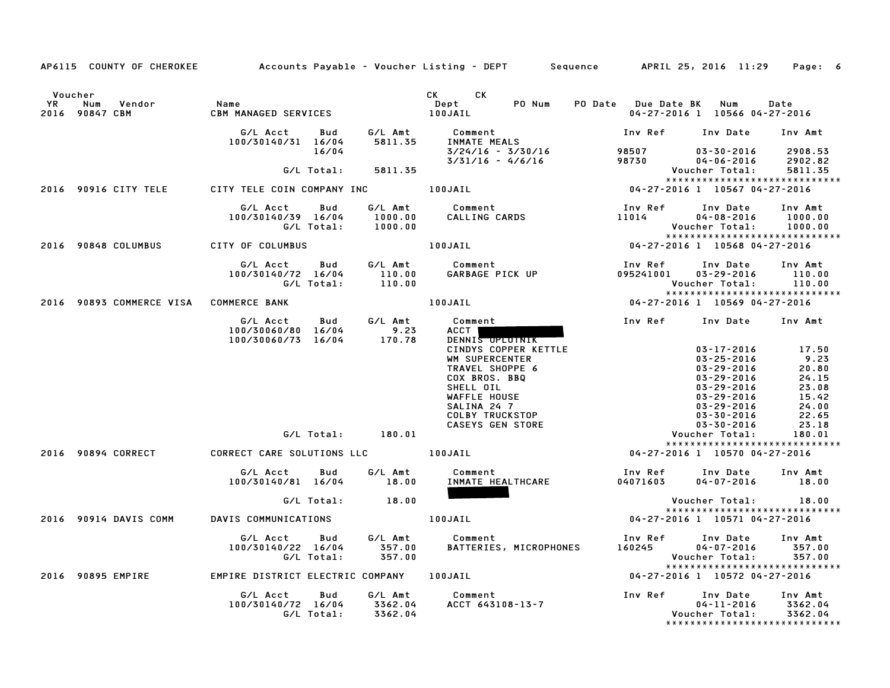|                                                         | AP6115 COUNTY OF CHEROKEE Accounts Payable - Voucher Listing - DEPT Sequence APRIL 25, 2016 11:29 Page: 6 |                                |                                                                                                                                                                                                                            |                               |                                                                                                                                                                                |                                                                              |
|---------------------------------------------------------|-----------------------------------------------------------------------------------------------------------|--------------------------------|----------------------------------------------------------------------------------------------------------------------------------------------------------------------------------------------------------------------------|-------------------------------|--------------------------------------------------------------------------------------------------------------------------------------------------------------------------------|------------------------------------------------------------------------------|
| Voucher<br><b>YR</b><br>Num<br>Vendor<br>2016 90847 CBM | Name<br>CBM MANAGED SERVICES                                                                              |                                | CK CK<br>Dept<br>PO Num<br>100JAIL                                                                                                                                                                                         | PO Date Due Date BK Num       | 04-27-2016 1 10566 04-27-2016                                                                                                                                                  | Date                                                                         |
|                                                         | G/L Acct<br>Bud<br>100/30140/31 16/04                                                                     | 5811.35                        | G/L Amt Comment<br>INMATE MEALS                                                                                                                                                                                            |                               | Inv Ref Inv Date                                                                                                                                                               | Inv Amt                                                                      |
|                                                         | 16/04                                                                                                     |                                | 3/24/16 - 3/30/16<br>3/31/16 - 4/6/16                                                                                                                                                                                      | 98507<br>98730                | $03 - 30 - 2016$<br>$04 - 06 - 2016$                                                                                                                                           | 2908.53<br>2902.82                                                           |
|                                                         | G/L Total:                                                                                                | 5811.35                        |                                                                                                                                                                                                                            |                               | Voucher Total:                                                                                                                                                                 | 5811.35                                                                      |
|                                                         | 2016 90916 CITY TELE CITY TELE COIN COMPANY INC THOUSAIL                                                  |                                |                                                                                                                                                                                                                            | 04-27-2016 1 10567 04-27-2016 | *****************************                                                                                                                                                  |                                                                              |
|                                                         | G/L Acct<br>Bud<br>100/30140/39 16/04<br>G/L Total:                                                       | 1000.00                        |                                                                                                                                                                                                                            | Inv Ref<br>11014              | Inv Date<br>$04 - 08 - 2016$<br>Voucher Total:                                                                                                                                 | Inv Amt<br>1000.00<br>1000.00                                                |
|                                                         |                                                                                                           |                                |                                                                                                                                                                                                                            |                               | *****************************                                                                                                                                                  |                                                                              |
| 2016 90848 COLUMBUS                                     | CITY OF COLUMBUS                                                                                          |                                | $04-27-2016$ $04-27-2016$ $06-27-2016$                                                                                                                                                                                     |                               |                                                                                                                                                                                |                                                                              |
|                                                         | G/L Acct Bud<br>100/30140/72 16/04<br>G/L Total:                                                          | $110.00$<br>$110.00$<br>110.00 | G/L Amt Comment<br>Comment<br>GARBAGE PICK UP                                                                                                                                                                              | Inv Ref<br>095241001          | Inv Date<br>$03 - 29 - 2016$<br>Voucher Total:                                                                                                                                 | Inv Amt<br>110.00<br>110.00                                                  |
| 2016 90893 COMMERCE VISA COMMERCE BANK                  |                                                                                                           |                                | 100JAIL                                                                                                                                                                                                                    |                               | ****************************<br>04-27-2016 1 10569 04-27-2016                                                                                                                  |                                                                              |
|                                                         |                                                                                                           |                                |                                                                                                                                                                                                                            |                               |                                                                                                                                                                                |                                                                              |
|                                                         | G/L Acct<br>Bud<br>100/30060/80 16/04<br>100/30060/73 16/04                                               | G/L Amt<br>9.23<br>170.78      | Comment<br>ACCT  <br>DENNIS OPLOTNIK<br>JENNYS COPPER KETILE<br>WM SUPERCENTER<br>TRAVEL SHOPPE 6<br>COX BROS. BBQ<br>SHELL OIL<br>WAFFLE HOUSE<br>SALINA 24 7<br>COLBY TRUCKSTOP<br>CASEYS GEN STORE<br>V<br>V<br>Y 27-20 |                               | Inv Ref Inv Date Inv Amt<br>$03 - 17 - 2016$<br>$03 - 25 - 2016$<br>$03 - 29 - 2016$<br>$03 - 29 - 2016$<br>03-29-2016<br>03-29-2016<br>03-29-2016<br>03-30-2016<br>03-30-2016 | 17.50<br>9.23<br>20.80<br>24.15<br>23.08<br>15.42<br>24.00<br>22.65<br>23.18 |
|                                                         | G/L Total: 180.01                                                                                         |                                |                                                                                                                                                                                                                            |                               | Voucher Total:<br>*****************************                                                                                                                                | 180.01                                                                       |
|                                                         | 2016 90894 CORRECT CORRECT CARE SOLUTIONS LLC 100JAIL                                                     |                                |                                                                                                                                                                                                                            |                               | 04-27-2016 1 10570 04-27-2016                                                                                                                                                  |                                                                              |
|                                                         | G/L Acct Bud<br>100/30140/81 16/04                                                                        | G⁄L Amt<br>18.00               | Comment<br>INMATE HEALTHCARE                                                                                                                                                                                               | 04071603                      | Inv Ref Inv Date Inv Amt<br>$04 - 07 - 2016$ 18.00                                                                                                                             |                                                                              |
|                                                         | G/L Total:                                                                                                | 18.00                          |                                                                                                                                                                                                                            |                               | Voucher Total: 18.00                                                                                                                                                           |                                                                              |
| 2016 90914 DAVIS COMM                                   | DAVIS COMMUNICATIONS                                                                                      |                                | 100JAIL                                                                                                                                                                                                                    |                               | *****************************<br>04-27-2016 1 10571 04-27-2016                                                                                                                 |                                                                              |
|                                                         | G/L Acct<br><b>Bud</b><br>100/30140/22 16/04<br>G/L Total:                                                | 357.00<br>357.00               | G/L Amt Comment<br>357.00 BATTERIES<br>BATTERIES, MICROPHONES                                                                                                                                                              | Inv Ref Inv Date<br>160245    | $04 - 07 - 2016$<br>Voucher Total:<br>*****************************                                                                                                            | Inv Amt<br>357.00<br>357.00                                                  |
| 2016 90895 EMPIRE                                       | EMPIRE DISTRICT ELECTRIC COMPANY 100JAIL                                                                  |                                |                                                                                                                                                                                                                            |                               | 04-27-2016 1 10572 04-27-2016                                                                                                                                                  |                                                                              |
|                                                         | G/L Acct Bud<br>100/30140/72 16/04 3362.04<br>G/L Total: 3362.04                                          | G/L Amt                        | Comment<br>Comment<br>ACCT 643108–13–7                                                                                                                                                                                     | Inv Ref      Inv Date         | $04 - 11 - 2016$<br>Voucher Total:                                                                                                                                             | Inv Amt<br>3362.04<br>3362.04                                                |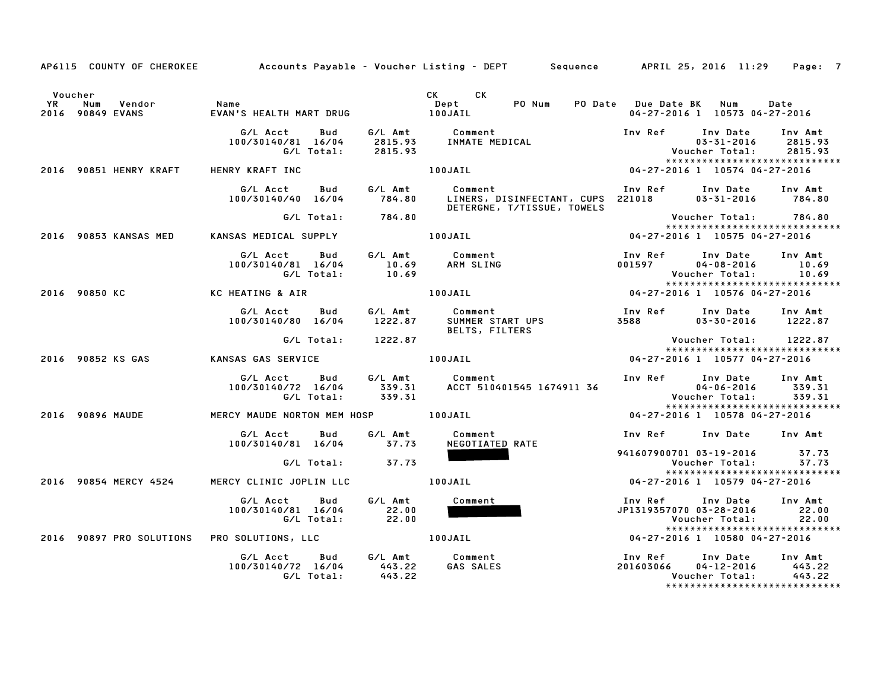|                      |                                        |                                                     |                                               | AP6115 COUNTY OF CHEROKEE Accounts Payable - Voucher Listing - DEPT Sequence APRIL 25, 2016 11:29 Page: 7                            |                                                  |                                                                                                                                                                |
|----------------------|----------------------------------------|-----------------------------------------------------|-----------------------------------------------|--------------------------------------------------------------------------------------------------------------------------------------|--------------------------------------------------|----------------------------------------------------------------------------------------------------------------------------------------------------------------|
| Voucher<br><b>YR</b> | Vendor<br>Num<br>2016 90849 EVANS      | Name                                                |                                               | CK CK<br>Dept<br>PO Num                                                                                                              |                                                  | PO Date Due Date BK Num Date<br>04-27-2016 1 10573 04-27-2016                                                                                                  |
|                      |                                        | G/L Acct<br>Bud<br>100/30140/81 16/04<br>G/L Total: | 2815.93                                       | G/L Amt          Comment<br>2815.93     INMATE MEDICAL                                                                               | Inv Ref Inv Date                                 | Inv Amt<br>2815.93<br>$03 - 31 - 2016$<br>CAL Voucher Total: 2815.<br>Voucher Total: 2815.<br>Voucher Total: 2815.<br>04-27-2016 1 10574 04-27-2016<br>2815.93 |
|                      | 2016 90851 HENRY KRAFT HENRY KRAFT INC |                                                     |                                               | 100JAIL                                                                                                                              |                                                  | *****************************                                                                                                                                  |
|                      |                                        | G/L Acct<br>Bud<br>100/30140/40 16/04               |                                               | G/L Amt Comment Inv Ref Inv Date Inv Amt<br>784.80 LINERS, DISINFECTANT, CUPS 221018 03-31-2016 784.80<br>DETERGNE, T/TISSUE, TOWELS |                                                  |                                                                                                                                                                |
|                      |                                        | G/L Total:                                          | 784.80                                        |                                                                                                                                      |                                                  | Voucher Total: 784.80                                                                                                                                          |
|                      |                                        | 2016 90853 KANSAS MED KANSAS MEDICAL SUPPLY         |                                               | 100JAIL                                                                                                                              |                                                  | 04-27-2016 1 10575 04-27-2016                                                                                                                                  |
|                      |                                        | G/L Acct<br>Bud<br>100/30140/81 16/04<br>G/L Total: | $\begin{array}{c} 10.69 \\ 10.69 \end{array}$ | G/L Amt Comment<br>ARM SLING                                                                                                         | Inv Ref     Inv Date<br>001597                   | Inv Amt<br>$04 - 08 - 2016$<br>10.69<br>10.69<br>Voucher Total:<br>*****************************                                                               |
|                      | 2016 90850 KC                          | KC HEATING & AIR                                    |                                               | 100JAIL                                                                                                                              |                                                  | ***************************<br>10576 04-27-2016 04-27-2016                                                                                                     |
|                      |                                        | G/L Acct<br>Bud<br>100/30140/80 16/04               | 1222.87                                       | G/L Amt Comment<br>1222.87 SUMMER START UPS<br><b>BELTS, FILTERS</b>                                                                 | Inv Ref      Inv Date<br>3588 358                | Inv Amt<br>$03 - 30 - 2016$ 1222.87                                                                                                                            |
|                      |                                        | G/L Total:                                          | 1222.87                                       |                                                                                                                                      |                                                  | Voucher Total:        1222.87<br>*****************************                                                                                                 |
|                      | 2016 90852 KS GAS                      | <b>KANSAS GAS SERVICE</b>                           |                                               | 100JAIL COMMERCIAL STATES                                                                                                            |                                                  | 04-27-2016 1 10577 04-27-2016                                                                                                                                  |
|                      |                                        | G/L Acct Bud<br>100/30140/72 16/04<br>G/L Total:    | 339.31<br>339.31                              | G/L Amt Comment<br>ACCT 510401545 1674911 36                                                                                         | Inv Ref Inv Date<br>04-06-2016<br>Voucher Total: | Inv Amt<br>339.31<br>339.31<br>*****************************                                                                                                   |
|                      | 2016 90896 MAUDE                       | MERCY MAUDE NORTON MEM HOSP 100JAIL                 |                                               |                                                                                                                                      |                                                  | 04-27-2016 1 10578 04-27-2016                                                                                                                                  |
|                      |                                        | G/L Acct   Bud<br>100/30140/81 16/04                | G/L Amt<br>37.73                              | Comment<br>NEGOTIATED RATE                                                                                                           | Inv Ref                                          | Inv Date Inv Amt                                                                                                                                               |
|                      |                                        | G/L Total:                                          | 37.73                                         |                                                                                                                                      |                                                  | 941607900701 03-19-2016 37.73<br>Voucher Total: 37.73<br>*****************************                                                                         |
|                      |                                        | 2016 90854 MERCY 4524 MERCY CLINIC JOPLIN LLC       |                                               | 100JAIL                                                                                                                              |                                                  | 04-27-2016 1 10579 04-27-2016                                                                                                                                  |
|                      |                                        | G/L Acct<br>Bud<br>100/30140/81 16/04<br>G/L Total: | G/L Amt<br>22.00<br>22.00                     | Comment                                                                                                                              | Inv Ref<br>JP1319357070 03-28-2016               | Inv Date<br>Inv Amt<br>22.00<br>22.00<br>Voucher Total:<br>*****************************                                                                       |
|                      |                                        | 2016 90897 PRO SOLUTIONS PRO SOLUTIONS, LLC         |                                               | 100JAIL                                                                                                                              |                                                  | 04-27-2016 1 10580 04-27-2016                                                                                                                                  |
|                      |                                        | G/L Acct<br>100/30140/72 16/04<br>G/L Total:        | 443.22<br>443.22                              | Bud G/L Amt Comment<br>GAS SALES                                                                                                     | Inv Ref      Inv Date<br>201603066               | Inv Amt<br>04-12-2016<br>443.22<br>Voucher Total: 443.22                                                                                                       |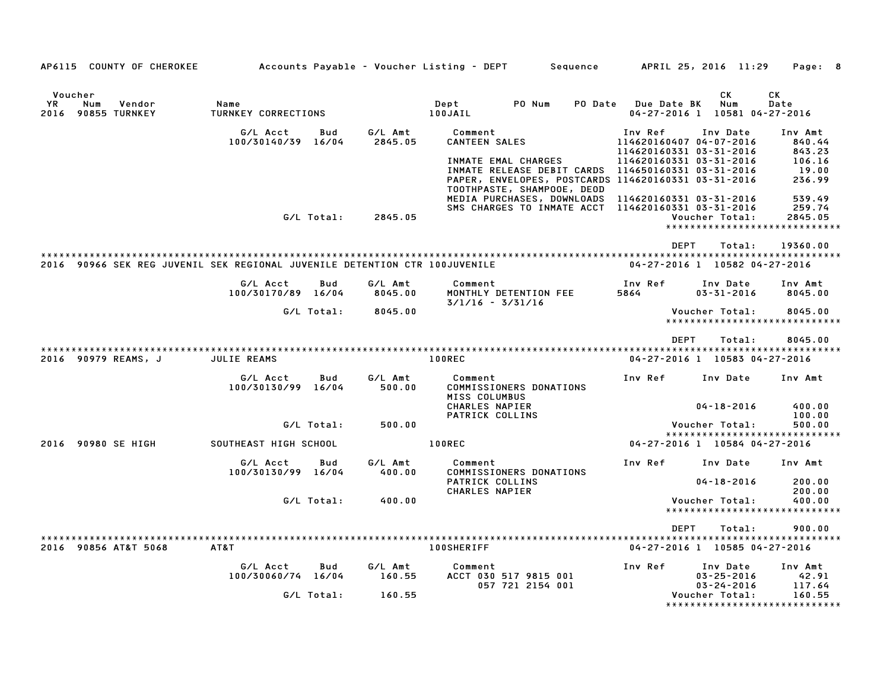| AP6115 COUNTY OF CHEROKEE                                                  |                                |              |                    | Accounts Payable - Voucher Listing - DEPT         |                                                                                        | Sequence |                                                                                          |             | APRIL 25, 2016 11:29                   | Page: 8                                                      |
|----------------------------------------------------------------------------|--------------------------------|--------------|--------------------|---------------------------------------------------|----------------------------------------------------------------------------------------|----------|------------------------------------------------------------------------------------------|-------------|----------------------------------------|--------------------------------------------------------------|
|                                                                            |                                |              |                    |                                                   |                                                                                        |          |                                                                                          |             |                                        |                                                              |
| Voucher<br>YR.<br>Num<br>Vendor                                            | Name                           |              |                    | Dept                                              | PO Num                                                                                 | PO Date  | Due Date BK                                                                              |             | СK<br>Num                              | СK<br>Date                                                   |
| 2016 90855 TURNKEY                                                         | TURNKEY CORRECTIONS            |              |                    | 100JAIL                                           |                                                                                        |          |                                                                                          |             |                                        | 04-27-2016 1 10581 04-27-2016                                |
|                                                                            | G/L Acct<br>100/30140/39       | Bud<br>16/04 | G/L Amt<br>2845.05 | Comment<br><b>CANTEEN SALES</b>                   | INMATE EMAL CHARGES<br>PAPER, ENVELOPES, POSTCARDS 114620160331 03-31-2016             |          | Inv Ref<br>114620160407 04-07-2016<br>114620160331 03-31-2016<br>114620160331 03-31-2016 |             | Inv Date                               | Inv Amt<br>840.44<br>843.23<br>106.16<br>19.00<br>236.99     |
|                                                                            |                                | G/L Total:   | 2845.05            |                                                   | TOOTHPASTE, SHAMPOOE, DEOD<br>MEDIA PURCHASES, DOWNLOADS<br>SMS CHARGES TO INMATE ACCT |          | 114620160331 03-31-2016<br>114620160331 03-31-2016                                       |             | Voucher Total:                         | 539.49<br>259.74<br>2845.05<br>***************************** |
|                                                                            |                                |              |                    |                                                   |                                                                                        |          |                                                                                          | <b>DEPT</b> | Total:                                 | 19360.00                                                     |
| 2016 90966 SEK REG JUVENIL SEK REGIONAL JUVENILE DETENTION CTR 100JUVENILE |                                |              |                    |                                                   |                                                                                        |          |                                                                                          |             |                                        | 04-27-2016 1 10582 04-27-2016                                |
|                                                                            | G/L Acct<br>100/30170/89 16/04 | Bud          | G/L Amt<br>8045.00 | Comment<br>$3/1/16 - 3/31/16$                     | MONTHLY DETENTION FEE                                                                  |          | Inv Ref<br>5864                                                                          |             | Inv Date<br>$03 - 31 - 2016$           | Inv Amt<br>8045.00                                           |
|                                                                            |                                | G/L Total:   | 8045.00            |                                                   |                                                                                        |          |                                                                                          |             | Voucher Total:                         | 8045.00<br>*****************************                     |
| 2016 90979 REAMS, J                                                        | JULIE REAMS                    |              |                    | 100REC                                            |                                                                                        |          |                                                                                          | <b>DEPT</b> | Total:                                 | 8045.00<br>04-27-2016 1 10583 04-27-2016                     |
|                                                                            | G/L Acct<br>100/30130/99 16/04 | Bud          | G/L Amt<br>500.00  | Comment<br>MISS COLUMBUS<br><b>CHARLES NAPIER</b> | COMMISSIONERS DONATIONS                                                                |          | Inv Ref                                                                                  |             | Inv Date<br>$04 - 18 - 2016$           | Inv Amt<br>400.00                                            |
|                                                                            |                                |              |                    | PATRICK COLLINS                                   |                                                                                        |          |                                                                                          |             |                                        | 100.00                                                       |
|                                                                            |                                | G/L Total:   | 500.00             |                                                   |                                                                                        |          |                                                                                          |             | Voucher Total:                         | 500.00<br>*****************************                      |
| 2016 90980 SE HIGH                                                         | SOUTHEAST HIGH SCHOOL          |              |                    | 100REC                                            |                                                                                        |          |                                                                                          |             |                                        | 04-27-2016 1 10584 04-27-2016                                |
|                                                                            | G/L Acct<br>100/30130/99       | Bud<br>16/04 | G/L Amt<br>400.00  | Comment                                           | COMMISSIONERS DONATIONS                                                                |          | Inv Ref                                                                                  |             | Inv Date                               | Inv Amt                                                      |
|                                                                            |                                |              |                    | PATRICK COLLINS<br>CHARLES NAPIER                 |                                                                                        |          |                                                                                          |             | $04 - 18 - 2016$                       | 200.00<br>200.00                                             |
|                                                                            |                                | G/L Total:   | 400.00             |                                                   |                                                                                        |          |                                                                                          |             | Voucher Total:<br>******************** | 400.00<br>**********                                         |
|                                                                            |                                |              |                    |                                                   |                                                                                        |          |                                                                                          | <b>DEPT</b> | Total:                                 | 900.00                                                       |
| 2016 90856 AT&T 5068                                                       | AT&T                           |              |                    | <b>100SHERIFF</b>                                 |                                                                                        |          |                                                                                          |             |                                        | 04-27-2016 1 10585 04-27-2016                                |
|                                                                            | G/L Acct<br>100/30060/74 16/04 | Bud          | G/L Amt<br>160.55  | Comment                                           | ACCT 030 517 9815 001                                                                  |          | Inv Ref                                                                                  |             | Inv Date<br>$03 - 25 - 2016$           | Inv Amt<br>42.91                                             |
|                                                                            |                                | G/L Total:   | 160.55             |                                                   | 057 721 2154 001                                                                       |          |                                                                                          |             | $03 - 24 - 2016$<br>Voucher Total:     | 117.64<br>160.55<br>*****************************            |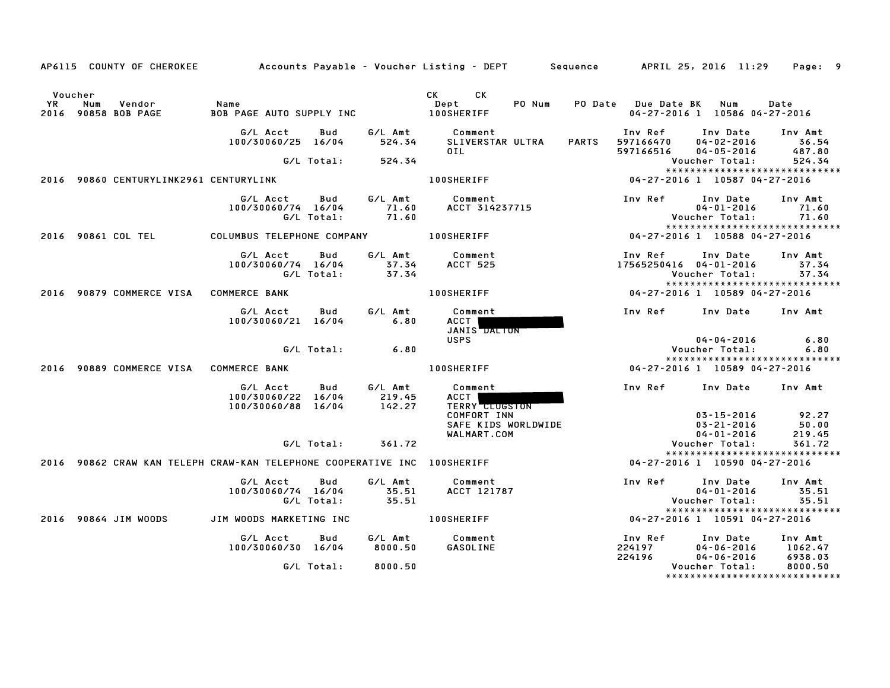|     | AP6115 COUNTY OF CHEROKEE                       |                                                                          |                   |                             | Accounts Payable – Voucher Listing – DEPT         Sequence         APRIL 25, 2016  11:29 |              |                                   |                                                                                  | Page: 9                       |
|-----|-------------------------------------------------|--------------------------------------------------------------------------|-------------------|-----------------------------|------------------------------------------------------------------------------------------|--------------|-----------------------------------|----------------------------------------------------------------------------------|-------------------------------|
| YR. | Voucher<br>Vendor<br>Num<br>2016 90858 BOB PAGE | Name<br>BOB PAGE AUTO SUPPLY INC                                         |                   |                             | <b>CK</b><br><b>CK</b><br>PO Num<br>Dept<br><b>100SHERIFF</b>                            |              | PO Date Due Date BK Num           | 04-27-2016 1 10586 04-27-2016                                                    | Date                          |
|     |                                                 | G/L Acct<br>100/30060/25 16/04                                           | Bud               | G/L Amt<br>524.34           | Comment<br>SLIVERSTAR ULTRA<br>OIL                                                       | <b>PARTS</b> | Inv Ref<br>597166470<br>597166516 | Inv Date<br>$04 - 02 - 2016$<br>$04 - 05 - 2016$                                 | Inv Amt<br>36.54<br>487.80    |
|     | 2016 90860 CENTURYLINK2961 CENTURYLINK          |                                                                          | G/L Total:        | 524.34                      | <b>100SHERIFF</b>                                                                        |              |                                   | Voucher Total:<br>*****************************<br>04-27-2016 1 10587 04-27-2016 | 524.34                        |
|     |                                                 | G/L Acct<br>100/30060/74 16/04                                           | Bud<br>G/L Total: | G/L Amt<br>71.60<br>71.60   | Comment<br>ACCT 314237715                                                                |              | Inv Ref                           | Inv Date<br>$04 - 01 - 2016$<br>Voucher Total:<br>*****************************  | Inv Amt<br>71.60<br>71.60     |
|     | 2016 90861 COL TEL                              | COLUMBUS TELEPHONE COMPANY                                               |                   |                             | <b>100SHERIFF</b>                                                                        |              |                                   | 04-27-2016 1 10588 04-27-2016                                                    |                               |
|     |                                                 | G/L Acct<br>100/30060/74 16/04                                           | Bud<br>G/L Total: | G/L Amt<br>37.34<br>37.34   | Comment<br><b>ACCT 525</b>                                                               |              | Inv Ref<br>17565250416 04-01-2016 | Inv Date<br>Voucher Total:<br>*****************************                      | Inv Amt<br>37.34<br>37.34     |
|     | 2016 90879 COMMERCE VISA                        | <b>COMMERCE BANK</b>                                                     |                   |                             | <b>100SHERIFF</b>                                                                        |              |                                   | 04-27-2016 1 10589 04-27-2016                                                    |                               |
|     |                                                 | G/L Acct<br>100/30060/21 16/04                                           | Bud               | G/L Amt<br>6.80             | Comment<br>ACCT I<br>JANIS DALION<br><b>USPS</b>                                         |              | Inv Ref                           | Inv Date                                                                         | Inv Amt                       |
|     |                                                 |                                                                          | G/L Total:        | 6.80                        |                                                                                          |              |                                   | $04 - 04 - 2016$<br>Voucher Total:                                               | 6.80<br>6.80                  |
|     | 2016 90889 COMMERCE VISA                        | <b>COMMERCE BANK</b>                                                     |                   |                             | <b>100SHERIFF</b>                                                                        |              |                                   | *****************************<br>04-27-2016 1 10589 04-27-2016                   |                               |
|     |                                                 | G/L Acct<br>100/30060/22 16/04<br>100/30060/88 16/04                     | Bud               | G/L Amt<br>219.45<br>142.27 | Comment<br>ACCT I<br>TERRY CLUGSTON                                                      |              | Inv Ref                           | Inv Date                                                                         | Inv Amt                       |
|     |                                                 |                                                                          |                   |                             | COMFORT INN<br>SAFE KIDS WORLDWIDE<br>WALMART.COM                                        |              |                                   | $03 - 15 - 2016$<br>03-21-2016<br>$04 - 01 - 2016$                               | 92.27<br>50.00<br>219.45      |
|     |                                                 |                                                                          | G/L Total:        | 361.72                      |                                                                                          |              |                                   | Voucher Total:<br>*****************************                                  | 361.72                        |
|     |                                                 | 2016 90862 CRAW KAN TELEPH CRAW-KAN TELEPHONE COOPERATIVE INC 100SHERIFF |                   |                             |                                                                                          |              |                                   | 04-27-2016 1 10590 04-27-2016                                                    |                               |
|     |                                                 | G/L Acct<br>100/30060/74 16/04                                           | Bud<br>G/L Total: | G/L Amt<br>35.51<br>35.51   | Comment<br>ACCT 121787                                                                   |              | Inv Ref                           | Inv Date<br>$04 - 01 - 2016$<br>Voucher Total:<br>*****************************  | Inv Amt<br>35.51<br>35.51     |
|     | 2016 90864 JIM WOODS                            | JIM WOODS MARKETING INC                                                  |                   |                             | <b>100SHERIFF</b>                                                                        |              |                                   | 04-27-2016 1 10591 04-27-2016                                                    |                               |
|     |                                                 | G/L Acct<br>100/30060/30 16/04                                           | Bud               | G/L Amt<br>8000.50          | Comment<br>GASOLINE                                                                      |              | Inv Ref<br>224197<br>224196       | Inv Date<br>$04 - 06 - 2016$<br>$04 - 06 - 2016$                                 | Inv Amt<br>1062.47<br>6938.03 |
|     |                                                 |                                                                          | G/L Total:        | 8000.50                     |                                                                                          |              |                                   | Voucher Total:<br>*****************************                                  | 8000.50                       |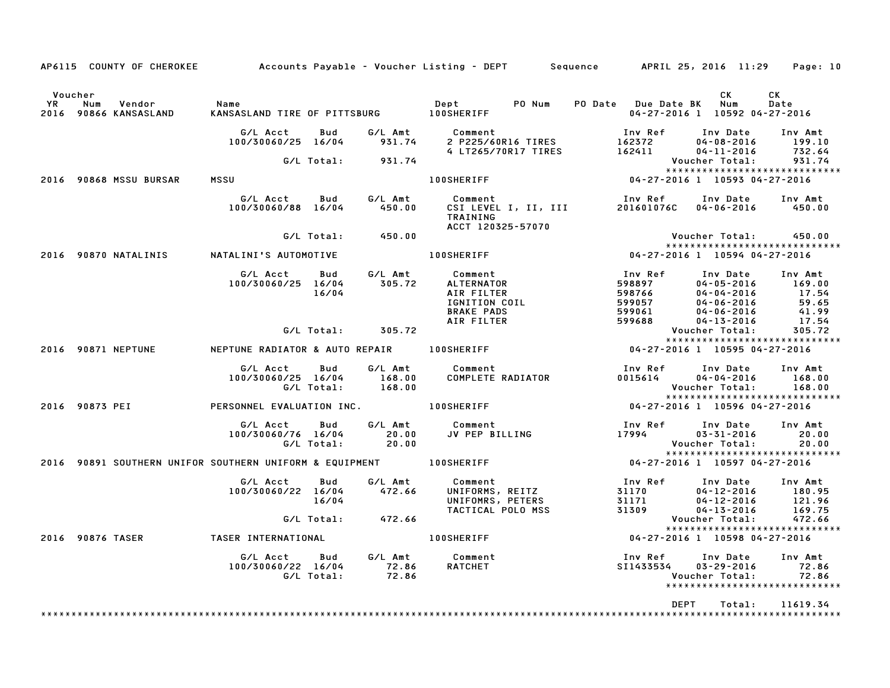|           |                  | AP6115 COUNTY OF CHEROKEE       |                                                                    |                   |                             | Accounts Payable – Voucher Listing – DEPT         Sequence         APRIL 25, 2016  11:29     Page: 10 |                                                 |                                                                                          |                                              |
|-----------|------------------|---------------------------------|--------------------------------------------------------------------|-------------------|-----------------------------|-------------------------------------------------------------------------------------------------------|-------------------------------------------------|------------------------------------------------------------------------------------------|----------------------------------------------|
| Voucher   |                  |                                 |                                                                    |                   |                             |                                                                                                       |                                                 | CK.                                                                                      | CK.                                          |
| <b>YR</b> | Num              | Vendor<br>2016 90866 KANSASLAND | Name<br>KANSASLAND TIRE OF PITTSBURG 100SHERIFF                    |                   |                             | Dept<br>PO Num                                                                                        | PO Date Due Date BK Num                         | 04-27-2016 1 10592 04-27-2016                                                            | Date                                         |
|           |                  |                                 | G/L Acct<br>100/30060/25 16/04                                     | Bud               | G/L Amt<br>931.74           | Comment<br>2 P225/60R16 TIRES                                                                         | Inv Ref<br>162372                               | Inv Date<br>$04 - 08 - 2016$                                                             | Inv Amt<br>199.10                            |
|           |                  |                                 |                                                                    | G/L Total:        | 931.74                      | 4 LT265/70R17 TIRES                                                                                   | 162411                                          | $04 - 11 - 2016$<br>Voucher Total:                                                       | 732.64<br>931.74                             |
|           |                  | 2016 90868 MSSU BURSAR          | MSSU                                                               |                   |                             | <b>100SHERIFF</b>                                                                                     |                                                 | *****************************<br>04-27-2016 1 10593 04-27-2016                           |                                              |
|           |                  |                                 | G/L Acct<br>100/30060/88 16/04                                     | <b>Bud</b>        | G/L Amt<br>450.00           | Comment<br>CSI LEVEL I, II, III<br>TRAINING                                                           | Inv Ref<br>201601076C                           | Inv Date<br>04-06-2016                                                                   | Inv Amt<br>450.00                            |
|           |                  |                                 |                                                                    | G/L Total:        | 450.00                      | ACCT 120325-57070                                                                                     |                                                 | Voucher Total:                                                                           | 450.00                                       |
|           |                  | 2016 90870 NATALINIS            | NATALINI'S AUTOMOTIVE                                              |                   |                             | <b>100SHERIFF</b>                                                                                     |                                                 | *****************************<br>04-27-2016 1 10594 04-27-2016                           |                                              |
|           |                  |                                 | G/L Acct<br>100/30060/25 16/04                                     | Bud<br>16/04      | G/L Amt<br>305.72           | Comment<br>ALTERNATOR<br>AIR FILTER<br>IGNITION COIL<br><b>BRAKE PADS</b>                             | Inv Ref<br>598897<br>598766<br>599057<br>599061 | Inv Date<br>$04 - 05 - 2016$<br>$04 - 04 - 2016$<br>$04 - 06 - 2016$<br>$04 - 06 - 2016$ | Inv Amt<br>169.00<br>17.54<br>59.65<br>41.99 |
|           |                  |                                 |                                                                    | G/L Total:        | 305.72                      | AIR FILTER                                                                                            | 599688                                          | $04 - 13 - 2016$<br>Voucher Total:                                                       | 17.54<br>305.72                              |
|           |                  | 2016 90871 NEPTUNE              | NEPTUNE RADIATOR & AUTO REPAIR 100SHERIFF                          |                   |                             |                                                                                                       |                                                 | *****************************<br>04-27-2016 1 10595 04-27-2016                           |                                              |
|           |                  |                                 | G/L Acct<br>100/30060/25 16/04                                     | Bud<br>G/L Total: | G/L Amt<br>168.00<br>168.00 | Comment<br>COMPLETE RADIATOR                                                                          | Inv Ref<br>0015614                              | Inv Date<br>$04 - 04 - 2016$<br>Voucher Total:<br>*****************************          | Inv Amt<br>168.00<br>168.00                  |
|           | 2016 90873 PEI   |                                 | PERSONNEL EVALUATION INC.                                          |                   |                             | <b>100SHERIFF</b>                                                                                     |                                                 | 04-27-2016 1 10596 04-27-2016                                                            |                                              |
|           |                  |                                 | G/L Acct<br>100/30060/76 16/04                                     | Bud<br>G/L Total: | G/L Amt<br>20.00<br>20.00   | Comment<br>JV PEP BILLING                                                                             | Inv Ref<br>17994                                | Inv Date<br>$03 - 31 - 2016$<br>Voucher Total:                                           | Inv Amt<br>20.00<br>20.00                    |
|           |                  |                                 | 2016 90891 SOUTHERN UNIFOR SOUTHERN UNIFORM & EQUIPMENT 400SHERIFF |                   |                             |                                                                                                       |                                                 | *****************************<br>04-27-2016 1 10597 04-27-2016                           |                                              |
|           |                  |                                 | G/L Acct<br>100/30060/22 16/04                                     | Bud<br>16/04      | G/L Amt<br>472.66           | Comment<br>UNIFORMS, REITZ<br>UNIFOMRS, PETERS<br>TACTICAL POLO MSS                                   | Inv Ref<br>31170<br>31171<br>31309              | Inv Date<br>$04 - 12 - 2016$<br>$04 - 12 - 2016$<br>$04 - 13 - 2016$                     | Inv Amt<br>180.95<br>121.96<br>169.75        |
|           |                  |                                 |                                                                    |                   | G/L Total: 472.66           |                                                                                                       |                                                 | Voucher Total:<br>*****************************                                          | 472.66                                       |
|           | 2016 90876 TASER |                                 | TASER INTERNATIONAL                                                |                   |                             | <b>100SHERIFF</b>                                                                                     |                                                 | 04-27-2016 1 10598 04-27-2016                                                            |                                              |
|           |                  |                                 | G/L Acct<br>100/30060/22 16/04                                     | Bud<br>G/L Total: | G/L Amt<br>72.86<br>72.86   | Comment<br>RATCHET                                                                                    | Inv Ref<br>SI1433534                            | Inv Date<br>$03 - 29 - 2016$<br>Voucher Total:<br>*****************************          | Inv Amt<br>72.86<br>72.86                    |
|           |                  |                                 |                                                                    |                   |                             |                                                                                                       | <b>DEPT</b>                                     | Total:                                                                                   | 11619.34                                     |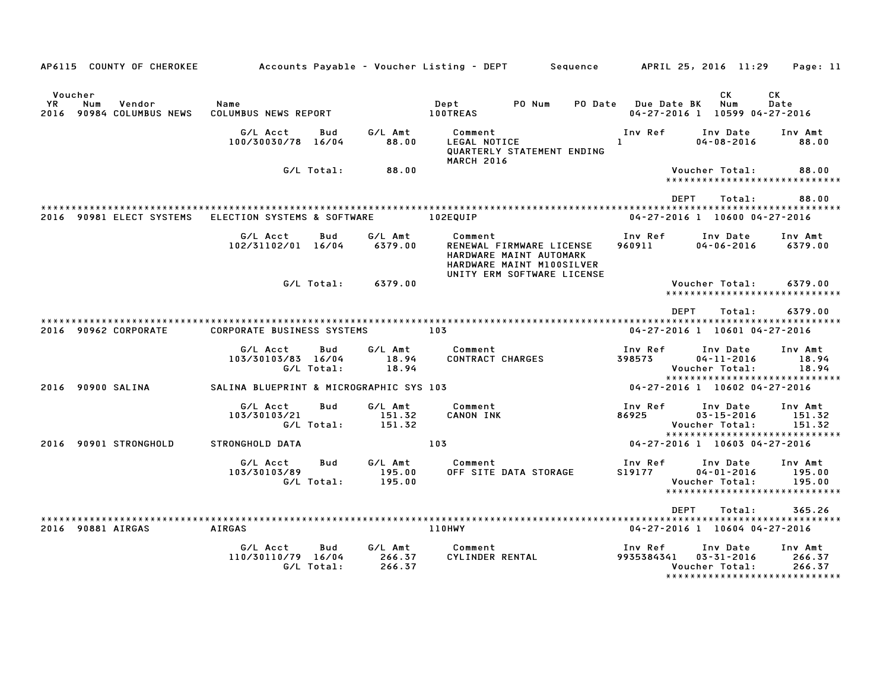| AP6115 COUNTY OF CHEROKEE                                      |                                                     |                             | Accounts Payable – Voucher Listing – DEPT<br>Sequence                                                                     | APRIL 25, 2016 11:29<br>Page: 11                                                                                                        |
|----------------------------------------------------------------|-----------------------------------------------------|-----------------------------|---------------------------------------------------------------------------------------------------------------------------|-----------------------------------------------------------------------------------------------------------------------------------------|
| Voucher<br>YR.<br>Num<br>Vendor<br>90984 COLUMBUS NEWS<br>2016 | Name<br>COLUMBUS NEWS REPORT                        |                             | Dept<br>PO Num<br><b>PO Date</b><br><b>100TREAS</b>                                                                       | СK<br>СK<br><b>Num</b><br>Date<br><b>Due Date BK</b><br>04-27-2016 1 10599 04-27-2016                                                   |
|                                                                | G/L Acct<br><b>Bud</b><br>100/30030/78 16/04        | G/L Amt<br>88.00            | Comment<br>LEGAL NOTICE<br>QUARTERLY STATEMENT ENDING<br><b>MARCH 2016</b>                                                | Inv Ref<br>Inv Date<br>Inv Amt<br>$04 - 08 - 2016$<br>$\mathbf{1}$<br>88.00                                                             |
|                                                                | G/L Total:                                          | 88.00                       |                                                                                                                           | Voucher Total:<br>88.00<br>*****************************                                                                                |
|                                                                |                                                     |                             |                                                                                                                           | <b>DEPT</b><br>Total:<br>88.00                                                                                                          |
| 2016 90981 ELECT SYSTEMS                                       | ELECTION SYSTEMS & SOFTWARE                         |                             | 102EQUIP                                                                                                                  | 04-27-2016 1 10600 04-27-2016                                                                                                           |
|                                                                | G/L Acct<br>Bud<br>102/31102/01 16/04               | G/L Amt<br>6379.00          | Comment<br>RENEWAL FIRMWARE LICENSE<br>HARDWARE MAINT AUTOMARK<br>HARDWARE MAINT M100SILVER<br>UNITY ERM SOFTWARE LICENSE | Inv Ref<br>Inv Date<br>Inv Amt<br>960911<br>$04 - 06 - 2016$<br>6379.00                                                                 |
|                                                                | G/L Total:                                          | 6379.00                     |                                                                                                                           | 6379.00<br>Voucher Total:<br>*****************************                                                                              |
| 2016 90962 CORPORATE                                           | <b>CORPORATE BUSINESS SYSTEMS</b>                   |                             | 103                                                                                                                       | <b>DEPT</b><br>6379.00<br>Total:<br>04-27-2016 1 10601 04-27-2016                                                                       |
|                                                                | G/L Acct<br>Bud<br>103/30103/83 16/04<br>G/L Total: | G/L Amt<br>18.94<br>18.94   | Comment<br><b>CONTRACT CHARGES</b>                                                                                        | Inv Ref<br>Inv Amt<br>Inv Date<br>398573<br>$04 - 11 - 2016$<br>18.94<br>18.94<br>Voucher Total:<br>*****************************       |
| 2016 90900 SALINA                                              | SALINA BLUEPRINT & MICROGRAPHIC SYS 103             |                             |                                                                                                                           | 04-27-2016 1 10602 04-27-2016                                                                                                           |
|                                                                | G/L Acct<br>Bud<br>103/30103/21<br>G/L Total:       | G/L Amt<br>151.32<br>151.32 | Comment<br>CANON INK                                                                                                      | Inv Ref<br>Inv Date<br>Inv Amt<br>86925<br>$03 - 15 - 2016$<br>151.32<br>Voucher Total:<br>151.32                                       |
| 2016 90901 STRONGHOLD                                          | STRONGHOLD DATA                                     |                             | 103                                                                                                                       | *****************************<br>04-27-2016 1 10603 04-27-2016                                                                          |
|                                                                | G/L Acct<br>Bud<br>103/30103/89<br>G/L Total:       | G/L Amt<br>195.00<br>195.00 | Comment<br>OFF SITE DATA STORAGE                                                                                          | Inv Ref<br>Inv Date<br>Inv Amt<br>$04 - 01 - 2016$<br>195.00<br>S19177<br>Voucher Total:<br>195.00<br>******************************    |
|                                                                |                                                     |                             |                                                                                                                           | <b>DEPT</b><br>365.26<br>Total:                                                                                                         |
| 2016 90881 AIRGAS                                              | <b>AIRGAS</b>                                       |                             | 110HWY                                                                                                                    | 04-27-2016 1 10604 04-27-2016                                                                                                           |
|                                                                | G/L Acct<br>Bud<br>110/30110/79 16/04<br>G/L Total: | G/L Amt<br>266.37<br>266.37 | Comment<br>CYLINDER RENTAL                                                                                                | Inv Ref<br>Inv Date<br>Inv Amt<br>9935384341<br>$03 - 31 - 2016$<br>266.37<br>Voucher Total:<br>266.37<br>***************************** |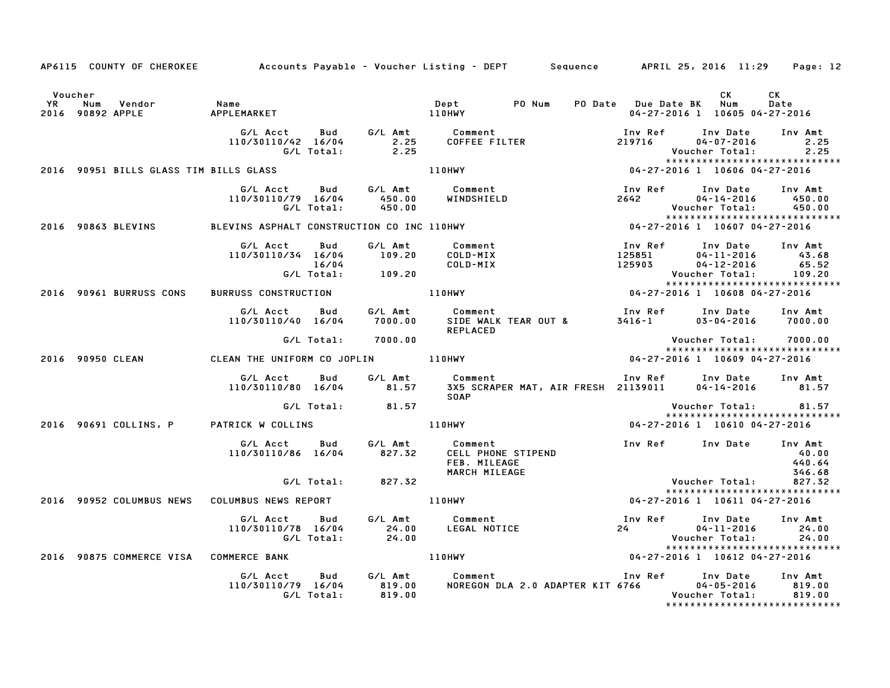|         | AP6115 COUNTY OF CHEROKEE Accounts Payable - Voucher Listing - DEPT Sequence APRIL 25, 2016 11:29 Page: 12 |                                                                                                           |                    |                                                                                      |                                                                                                                                                                                                 |                                                                                                               |                           |
|---------|------------------------------------------------------------------------------------------------------------|-----------------------------------------------------------------------------------------------------------|--------------------|--------------------------------------------------------------------------------------|-------------------------------------------------------------------------------------------------------------------------------------------------------------------------------------------------|---------------------------------------------------------------------------------------------------------------|---------------------------|
| Voucher |                                                                                                            |                                                                                                           |                    |                                                                                      |                                                                                                                                                                                                 | CK<br>04-27-2016 1 10605 04-27-2016                                                                           | CK<br>Date                |
|         |                                                                                                            |                                                                                                           |                    |                                                                                      | G/L Acct  Bud  G/L Amt  Comment<br>110/30110/42 16/04  2.25  COFFEE FILTER<br>G/L Total:  2.25                                                                                                  | Inv Ref      Inv Date     Inv Amt<br>219716 04-07-2016<br>Voucher Total: 2.25<br>**************************** | 2 . 25<br>2 . 25          |
|         |                                                                                                            |                                                                                                           |                    |                                                                                      |                                                                                                                                                                                                 |                                                                                                               |                           |
|         |                                                                                                            |                                                                                                           |                    |                                                                                      | G/L Acct Bud G/L Amt Comment – Inv Ref Inv Date Inv Amt<br>110/30110/79 16/04 – 450.00 WINDSHIELD – 2642 – 04-14-2016 – 450.00<br>G/L Total: 450.00 – MINDSHIELD – 2642 – Voucher Total: 450.00 | 2642 04-14-2016 100.00<br>Youcher Total: 450.00<br>********************************                           |                           |
|         |                                                                                                            |                                                                                                           |                    |                                                                                      |                                                                                                                                                                                                 |                                                                                                               |                           |
|         |                                                                                                            | G/L Acct Bud G/L Amt Comment<br>110/30110/34 16/04 109.20 COLD-MIX<br>16/04 COLD-MIX<br>G/L Total: 109.20 |                    |                                                                                      | 100 Ref 100 Date<br>125851 04-11-2016 43.68<br>125903 04-12-2016 65.52<br>Voucher Total: 109.20                                                                                                 |                                                                                                               |                           |
|         | 2016 90961 BURRUSS CONS                                                                                    |                                                                                                           |                    |                                                                                      |                                                                                                                                                                                                 |                                                                                                               |                           |
|         |                                                                                                            |                                                                                                           |                    |                                                                                      | G/L Acct Bud G/L Amt Comment Inv Ref Inv Date Inv Amt<br>110/30110/40 16/04 7000.00 SIDEWALK TEAR OUT & 3416-1 03-04-2016 7000.00<br>REPLACED                                                   |                                                                                                               |                           |
|         |                                                                                                            |                                                                                                           | G/L Total: 7000.00 |                                                                                      |                                                                                                                                                                                                 | Voucher Total: 7000.00<br>****************************                                                        |                           |
|         |                                                                                                            |                                                                                                           |                    |                                                                                      |                                                                                                                                                                                                 |                                                                                                               |                           |
|         |                                                                                                            |                                                                                                           |                    | <b>SOAP</b>                                                                          | G/L Acct Bud G/L Amt Comment Inv Ref Inv Date Inv Amt<br>110/30110/80 16/04 81.57 3X5 SCRAPER MAT, AIR FRESH 21139011 04-14-2016 81.57<br>SOAP                                                  |                                                                                                               |                           |
|         |                                                                                                            |                                                                                                           | G/L Total: 81.57   |                                                                                      |                                                                                                                                                                                                 | Voucher Total: 81.57                                                                                          |                           |
|         | 2016 90691 COLLINS, P PATRICK W COLLINS   110HWY                                                           |                                                                                                           |                    |                                                                                      |                                                                                                                                                                                                 | 04-27-2016 1 10610 04-27-2016                                                                                 |                           |
|         |                                                                                                            |                                                                                                           |                    | 110/30110/86 16/04 827.32 CELL PHONE STIPEND<br><b>FEB. MILEAGE</b><br>MARCH MILEAGE | G/L Acct   Bud    G/L Amt      Comment                        Inv Ref    Inv Date   Inv Amt                                                                                                     |                                                                                                               | 40.00<br>440.64<br>346.68 |
|         |                                                                                                            |                                                                                                           | G/L Total: 827.32  |                                                                                      |                                                                                                                                                                                                 | Voucher Total: 827.32<br>*****************************                                                        |                           |
|         | 2016 90952 COLUMBUS NEWS COLUMBUS NEWS REPORT 110HWY 110HWY 04-27-2016 1 10611 04-27-2016                  |                                                                                                           |                    |                                                                                      |                                                                                                                                                                                                 |                                                                                                               |                           |
|         |                                                                                                            |                                                                                                           |                    |                                                                                      |                                                                                                                                                                                                 |                                                                                                               |                           |
|         | 2016 90875 COMMERCE VISA COMMERCE BANK 110HWY                                                              |                                                                                                           |                    |                                                                                      |                                                                                                                                                                                                 | 04-27-2016 1 10612 04-27-2016                                                                                 |                           |
|         |                                                                                                            |                                                                                                           |                    |                                                                                      | G/L Acct Bud G/L Amt Comment Inv Ref Inv Date Inv Amt<br>110/30110/79 16/04 819.00 NOREGON DLA 2.0 ADAPTER KIT 6766 04-05-2016 819.00<br>G/L Total: 819.00 6/L Total: 819.00                    | *****************************                                                                                 |                           |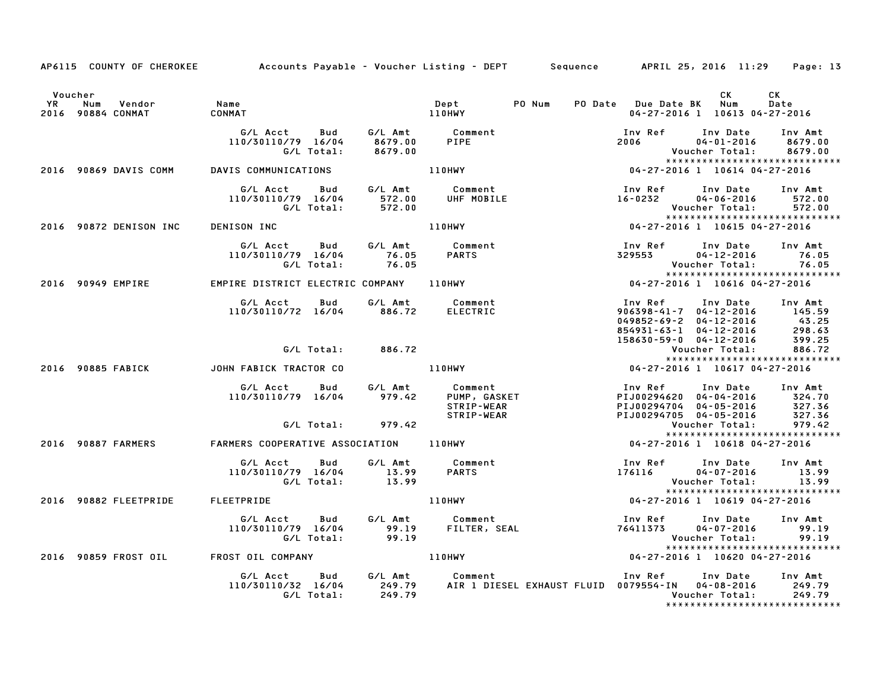|           |                                 |                                                                                                  |                     | AP6115 COUNTY OF CHEROKEE Accounts Payable – Voucher Listing – DEPT Sequence APRIL 25, 2016 11:29 Page: 13                                 |                                                                                                                                        |                                         |
|-----------|---------------------------------|--------------------------------------------------------------------------------------------------|---------------------|--------------------------------------------------------------------------------------------------------------------------------------------|----------------------------------------------------------------------------------------------------------------------------------------|-----------------------------------------|
|           |                                 |                                                                                                  |                     |                                                                                                                                            |                                                                                                                                        |                                         |
|           | Voucher                         |                                                                                                  |                     |                                                                                                                                            | CK                                                                                                                                     | CK                                      |
| <b>YR</b> | Num Vendor<br>2016 90884 CONMAT | <b>Name</b><br><b>CONMAT</b>                                                                     | 110HWY              | Dept PONum                                                                                                                                 | PO Date Due Date BK Num<br>04-27-2016 1 10613 04-27-2016                                                                               | Date                                    |
|           |                                 |                                                                                                  |                     |                                                                                                                                            |                                                                                                                                        |                                         |
|           |                                 | G/L Acct Bud G/L Amt Comment<br>110/30110/79 16/04 8679.00 PIPE                                  |                     |                                                                                                                                            | Inv Ref      Inv Date                                                                                                                  | Inv Amt                                 |
|           |                                 |                                                                                                  |                     |                                                                                                                                            | 2006 700<br>04-01-2016                                                                                                                 | 8679.00                                 |
|           |                                 | G/L Total:                                                                                       | 8679.00             |                                                                                                                                            | Voucher Total:                                                                                                                         | 8679.00                                 |
|           |                                 |                                                                                                  |                     |                                                                                                                                            |                                                                                                                                        | *****************************           |
|           |                                 | 2016 90869 DAVIS COMM DAVIS COMMUNICATIONS                                                       |                     | 110HWY                                                                                                                                     | 04-27-2016 1 10614 04-27-2016                                                                                                          |                                         |
|           |                                 | G/L Acct  Bud  G/L Amt  Comment<br>110/30110/79  16/04  572.00  UHF MOBILE<br>G/L Total:  572.00 |                     |                                                                                                                                            | Inv Ref      Inv Date                                                                                                                  | Inv Amt                                 |
|           |                                 |                                                                                                  |                     |                                                                                                                                            | $16 - 0232$ $04 - 06 - 2016$ 572.00                                                                                                    |                                         |
|           |                                 |                                                                                                  |                     |                                                                                                                                            | Voucher Total:                                                                                                                         | 572.00                                  |
|           |                                 |                                                                                                  |                     |                                                                                                                                            | .<br>*************************<br>10615 -27-2016 1 -10615 -27-2016 1                                                                   | *****************************           |
|           | 2016 90872 DENISON INC          | DENISON INC                                                                                      |                     | 110HWY                                                                                                                                     |                                                                                                                                        |                                         |
|           |                                 | G/L Acct  Bud  G/L Amt  Comment<br>110/30110/79  16/04  76.05  PARTS<br>G/L Total:  76.05        |                     |                                                                                                                                            | Inv Ref       Inv Date<br>329553         04–12–2016                                                                                    | Inv Amt                                 |
|           |                                 |                                                                                                  |                     |                                                                                                                                            |                                                                                                                                        | 76.05                                   |
|           |                                 |                                                                                                  |                     |                                                                                                                                            |                                                                                                                                        | Voucher Total: 76.05                    |
|           |                                 | EMPIRE DISTRICT ELECTRIC COMPANY 110HWY                                                          |                     |                                                                                                                                            | .o، 7-12-10-10 VOUCNer<br>************************<br>10616 104-27-2016 10616 104-27                                                   | ******************************          |
|           | 2016 90949 EMPIRE               |                                                                                                  |                     |                                                                                                                                            |                                                                                                                                        |                                         |
|           |                                 | G/L Acct Bud                                                                                     |                     | G/L Amt Comment                                                                                                                            | Inv Ref      Inv Date     Inv Amt                                                                                                      |                                         |
|           |                                 | 110/30110/72 16/04 886.72 ELECTRIC                                                               |                     |                                                                                                                                            | $906398 - 41 - 7$ $04 - 12 - 2016$ 145.59                                                                                              |                                         |
|           |                                 |                                                                                                  |                     |                                                                                                                                            |                                                                                                                                        |                                         |
|           |                                 |                                                                                                  |                     |                                                                                                                                            |                                                                                                                                        |                                         |
|           |                                 |                                                                                                  |                     |                                                                                                                                            | 949852-69-2<br>854931-63-1 04-12-2016 43.25<br>854931-63-1 04-12-2016 298.63<br>158630-59-0 04-12-2016 399.25<br>Voucher Total: 886.72 |                                         |
|           |                                 |                                                                                                  | $G/L$ Total: 886.72 |                                                                                                                                            |                                                                                                                                        |                                         |
|           |                                 |                                                                                                  |                     |                                                                                                                                            | 04-27-2016 1 10617 04-27-2016                                                                                                          |                                         |
|           |                                 |                                                                                                  |                     | G/L Acct Bud G/L Amt Comment<br>110/30110/79 16/04 979.42 PUMP, GASKET<br>STRIP-WEAR STRIP-WEAR                                            |                                                                                                                                        |                                         |
|           |                                 |                                                                                                  |                     |                                                                                                                                            | Inv Ref Inv Date Inv Amt<br>PIJ00294620 04-04-2016 324.70<br>PIJ00294704 04-05-2016 327.36                                             |                                         |
|           |                                 |                                                                                                  |                     |                                                                                                                                            |                                                                                                                                        |                                         |
|           |                                 |                                                                                                  |                     |                                                                                                                                            |                                                                                                                                        |                                         |
|           |                                 |                                                                                                  | G/L Total: 979.42   |                                                                                                                                            | PIJ00294705 04-05-2016<br>Voucher Total:                                                                                               | 327.36<br>979.42                        |
|           |                                 |                                                                                                  |                     |                                                                                                                                            |                                                                                                                                        | *****************************           |
|           | 2016 90887 FARMERS              |                                                                                                  |                     | FARMERS COOPERATIVE ASSOCIATION 110HWY                                                                                                     | 04-27-2016 1 10618 04-27-2016                                                                                                          |                                         |
|           |                                 |                                                                                                  |                     |                                                                                                                                            |                                                                                                                                        |                                         |
|           |                                 | G/L Acct Bud                                                                                     |                     | G/L Amt Comment                                                                                                                            | Inv Ref Inv Date Inv Amt                                                                                                               |                                         |
|           |                                 | 110/30110/79 16/04 13.99<br>G/L Total: 13.99                                                     |                     | <b>PARTS</b>                                                                                                                               | $176116$ $04-07-2016$                                                                                                                  | 13.99                                   |
|           |                                 |                                                                                                  |                     |                                                                                                                                            | Voucher Total:                                                                                                                         | 13.99<br>****************************** |
|           |                                 | 2016   90882 FLEETPRIDE   FLEETPRIDE                                                             |                     | 110HWY                                                                                                                                     | 04-27-2016 1 10619 04-27-2016                                                                                                          |                                         |
|           |                                 |                                                                                                  |                     |                                                                                                                                            |                                                                                                                                        |                                         |
|           |                                 | G/L Acct Bud G/L Amt Comment                                                                     |                     | Comment<br>FILTER, SEAL                                                                                                                    | Inv Ref      Inv Date     Inv Amt                                                                                                      |                                         |
|           |                                 | 110/30110/79 16/04 99.19<br>G/L Total: 99.19                                                     |                     |                                                                                                                                            | 76411373    04-07-2016    99.19<br>Voucher Total:    99.19                                                                             |                                         |
|           |                                 |                                                                                                  |                     |                                                                                                                                            |                                                                                                                                        |                                         |
|           |                                 |                                                                                                  |                     | 2016 90859 FROST OIL FROST OIL COMPANY THE ROST OF THE ROST OF THE ROST OF THE ROST OF THE ROST OF THE ROST OF                             | 04-27-2016 1 10620 04-27-2016                                                                                                          |                                         |
|           |                                 |                                                                                                  |                     |                                                                                                                                            |                                                                                                                                        |                                         |
|           |                                 |                                                                                                  |                     | G/L Acct Bud G/L Amt Comment Inv Ref Inv Date Inv Amt<br>110/30110/32 16/04 249.79 AIR 1 DIESEL EXHAUST FLUID 0079554-IN 04-08-2016 249.79 |                                                                                                                                        |                                         |
|           |                                 | G/L Total:                                                                                       | 249.79              |                                                                                                                                            |                                                                                                                                        | Voucher Total: 249.79                   |
|           |                                 |                                                                                                  |                     |                                                                                                                                            |                                                                                                                                        |                                         |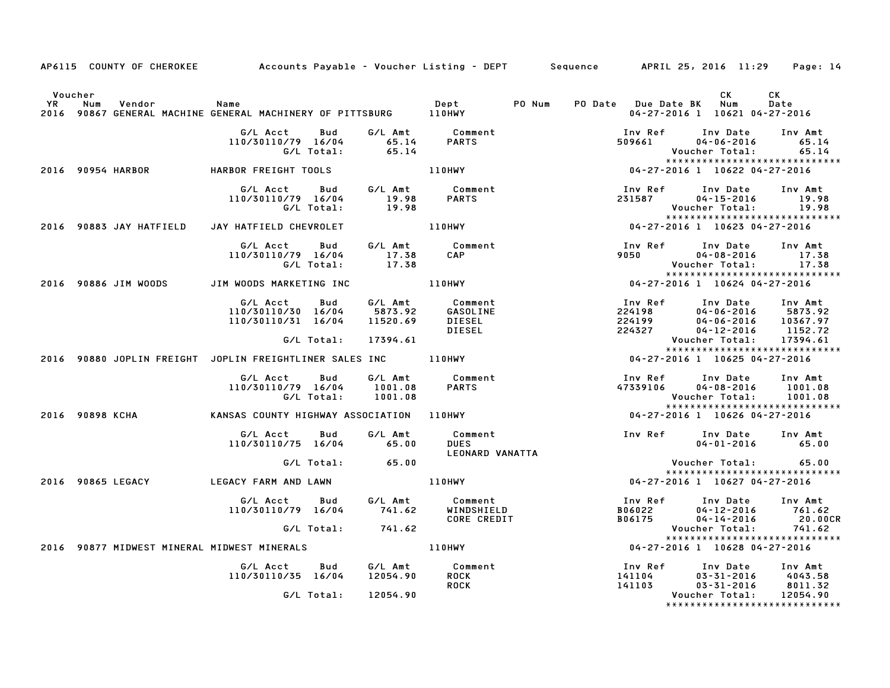|         | AP6115 COUNTY OF CHEROKEE Accounts Payable - Voucher Listing - DEPT Sequence APRIL 25, 2016 11:29 Page: 14 |                                                                          |                   |                                            |                                              |        |                                              |                                                                                                                      |                               |
|---------|------------------------------------------------------------------------------------------------------------|--------------------------------------------------------------------------|-------------------|--------------------------------------------|----------------------------------------------|--------|----------------------------------------------|----------------------------------------------------------------------------------------------------------------------|-------------------------------|
| Voucher | n num venuor – name<br>2016 90867 GENERAL MACHINE GENERAL MACHINERY OF PITTSBURG – 110HWY                  |                                                                          |                   |                                            |                                              | PO Num | PO Date Due Date BK Num                      | <b>CK</b><br>04-27-2016 1 10621 04-27-2016                                                                           | CK<br>Date                    |
|         |                                                                                                            | G/L Acct Bud<br>110/30110/79 16/04 65.14 PARTS<br>G/L Total: 65.14 PARTS |                   |                                            | G/L Amt Comment                              |        | 509661                                       | Inv Ref Inv Date Inv Amt<br>$04 - 06 - 2016$<br>Voucher Total:                                                       | 65.14<br>65.14                |
|         | 2016 90954 HARBOR         HARBOR FREIGHT TOOLS                                                             |                                                                          |                   |                                            | 110HWY                                       |        |                                              | *****************************<br>04-27-2016 1 10622 04-27-2016                                                       |                               |
|         |                                                                                                            | 110/30110/79 16/04                                                       | G/L Total:        | 19.98<br>19.98                             | G/L Acct Bud G/L Amt Comment<br><b>PARTS</b> |        | 231587                                       | Inv Ref      Inv Date<br>$04 - 15 - 2016$<br>Voucher Total: 19.98                                                    | Inv Amt<br>19.98              |
|         | 2016 90883 JAY HATFIELD                                                                                    | JAY HATFIELD CHEVROLET                                                   |                   |                                            | 110HWY                                       |        |                                              | *****************************<br>04-27-2016 1 10623 04-27-2016                                                       |                               |
|         |                                                                                                            | G/L Acct Bud<br>110/30110/79 16/04                                       | G/L Total:        | 17.38                                      | G/L Amt Comment<br>17.38 CAP<br>17.38 CAP    |        | 9050                                         | Inv Ref Inv Date<br>$04 - 08 - 2016$<br>Voucher Total:                                                               | Inv Amt<br>17.38<br>17.38     |
|         | 2016 90886 JIM WOODS                                                                                       | JIM WOODS MARKETING INC                                                  |                   |                                            | 110HWY                                       |        |                                              | *****************************<br>$04-27-2016$ 1 10624 04-27-2016                                                     |                               |
|         |                                                                                                            | G/L Acct Bud<br>110/30110/30 16/04<br>110/30110/31 16/04                 | G/L Total:        | G/L Amt<br>5873.92<br>11520.69<br>17394.61 | Comment<br>GASOLINE<br>DIESEL<br>DIESEL      |        | Inv Ref<br>224327                            | Inv Date Inv Amt<br>224198 04-06-2016 5873.92<br>224199 04-06-2016 10367.97<br>04-12-2016<br>Voucher Total: 17394.61 | 1152.72                       |
|         | 2016 90880 JOPLIN FREIGHT JOPLIN FREIGHTLINER SALES INC 110HWY                                             |                                                                          |                   |                                            |                                              |        |                                              | *****************************<br>04-27-2016 1 10625 04-27-2016                                                       |                               |
|         |                                                                                                            | G/L Acct<br>110/30110/79 16/04                                           | Bud<br>G/L Total: | 1001.08<br>1001.08                         | G/L Amt Comment<br><b>PARTS</b>              |        | 47339106                                     | Inv Ref Inv Date<br>$04 - 08 - 2016$<br>Voucher Total:                                                               | Inv Amt<br>1001.08<br>1001.08 |
|         | 2016 90898 KCHA                                                                                            | KANSAS COUNTY HIGHWAY ASSOCIATION 110HWY                                 |                   |                                            |                                              |        |                                              | *****************************<br>04-27-2016 1 10626 04-27-2016                                                       |                               |
|         |                                                                                                            | G/L Acct Bud<br>110/30110/75 16/04 65.00                                 |                   | G/L Amt                                    | Comment<br><b>DUES</b><br>LEONARD VANATTA    |        |                                              | Inv Ref Inv Date Inv Amt<br>$04 - 01 - 2016$ 65.00                                                                   |                               |
|         |                                                                                                            |                                                                          |                   | G/L Total: 65.00                           |                                              |        |                                              | Voucher Total: 65.00<br>*****************************                                                                |                               |
|         | 2016 90865 LEGACY                                                                                          |                                                                          |                   |                                            |                                              |        |                                              | 04-27-2016 1 10627 04-27-2016                                                                                        |                               |
|         |                                                                                                            | G/L Acct<br>110/30110/79 16/04 741.62                                    |                   |                                            | WINDSHIELD<br><b>CORE CREDIT</b>             |        | Inv Ref<br>B06022<br>B06175<br><b>B06175</b> | Inv Date Inv Amt<br>$04 - 12 - 2016$ $761.62$<br>04-14-2016                                                          | 20.00CR                       |
|         |                                                                                                            |                                                                          |                   | G/L Total: 741.62                          |                                              |        |                                              | Voucher Total:<br>******************************                                                                     | 741.62                        |
|         | 2016 90877 MIDWEST MINERAL MIDWEST MINERALS                                                                |                                                                          |                   |                                            | 110HWY                                       |        |                                              | 04-27-2016 1 10628 04-27-2016                                                                                        |                               |
|         |                                                                                                            | G/L Acct<br>110/30110/35 16/04                                           | <b>Bud</b>        | G/L Amt<br>12054.90                        | Comment<br><b>ROCK</b><br><b>ROCK</b>        |        | Inv Ref<br>141104<br>141103                  | Inv Date<br>$03 - 31 - 2016$<br>03-31-2016                                                                           | Inv Amt<br>4043.58<br>8011.32 |
|         |                                                                                                            |                                                                          |                   | G/L Total: 12054.90                        |                                              |        |                                              | Voucher Total:<br>*****************************                                                                      | 12054.90                      |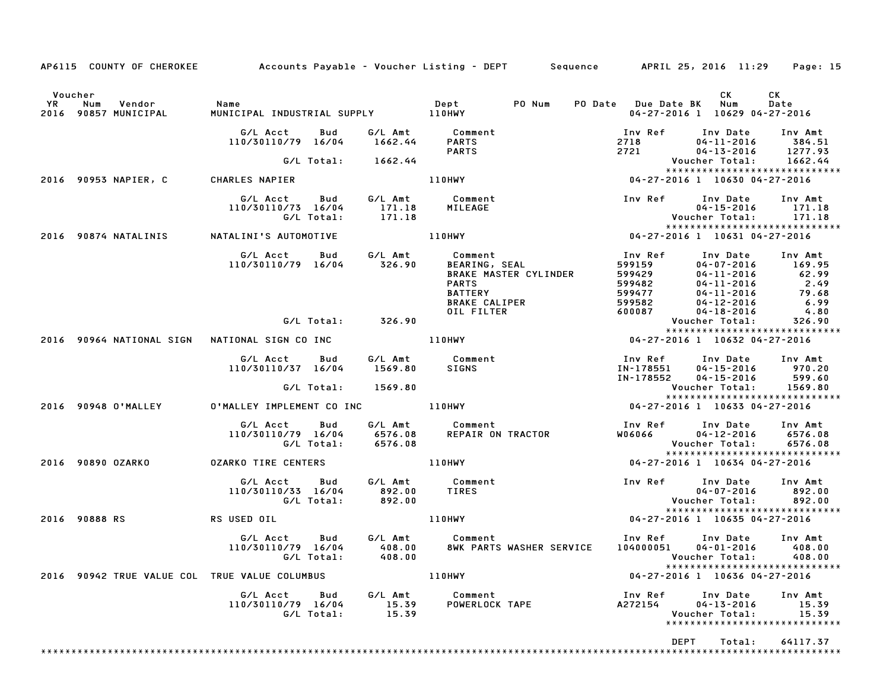| AP6115 COUNTY OF CHEROKEE Accounts Payable - Voucher Listing - DEPT Sequence APRIL 25, 2016 11:29 Page: 15                                                                                              |                                                                                                                                                                                                                                              |                           |                |                                                                                                                                                |                                      |                                                         |                   |
|---------------------------------------------------------------------------------------------------------------------------------------------------------------------------------------------------------|----------------------------------------------------------------------------------------------------------------------------------------------------------------------------------------------------------------------------------------------|---------------------------|----------------|------------------------------------------------------------------------------------------------------------------------------------------------|--------------------------------------|---------------------------------------------------------|-------------------|
|                                                                                                                                                                                                         |                                                                                                                                                                                                                                              |                           |                |                                                                                                                                                |                                      |                                                         |                   |
| Voucher                                                                                                                                                                                                 |                                                                                                                                                                                                                                              |                           |                |                                                                                                                                                |                                      | CK .                                                    | CK                |
| YR Num Vendor - Name<br>2016 90857 MUNICIPAL - MUNICI                                                                                                                                                   |                                                                                                                                                                                                                                              |                           |                |                                                                                                                                                | PO Date Due Date BK Num              | 04-27-2016 1 10629 04-27-2016                           | Date              |
|                                                                                                                                                                                                         |                                                                                                                                                                                                                                              |                           |                |                                                                                                                                                |                                      |                                                         |                   |
|                                                                                                                                                                                                         | G/L Acct Bud G/L Amt Comment                                                                                                                                                                                                                 |                           |                |                                                                                                                                                | Inv Ref Inv Date Inv Amt             |                                                         |                   |
|                                                                                                                                                                                                         | 110/30110/79 16/04 1662.44                                                                                                                                                                                                                   |                           | PARTS          |                                                                                                                                                | $2718$<br>2721<br>2721<br>04-13-2016 | 04-11-2016 384.51<br>04-13-2016 1277.93                 |                   |
|                                                                                                                                                                                                         |                                                                                                                                                                                                                                              |                           |                |                                                                                                                                                |                                      |                                                         |                   |
|                                                                                                                                                                                                         | G/L Total: 1662.44                                                                                                                                                                                                                           |                           |                |                                                                                                                                                |                                      |                                                         | 1662.44           |
| 2016 90953 NAPIER, C CHARLES NAPIER                                                                                                                                                                     |                                                                                                                                                                                                                                              |                           |                | 1662.44 PARTS 2718 04-11-2016 384.<br>PARTS 2721 04-13-2016 1277.<br>1662.44 Voucher Total: 1662.<br>110HWY 110HWY 04-27-2016 10630 04-27-2016 |                                      | *****************************                           |                   |
|                                                                                                                                                                                                         |                                                                                                                                                                                                                                              |                           |                |                                                                                                                                                |                                      |                                                         |                   |
|                                                                                                                                                                                                         | G/L Acct Bud G/L Amt Comment                                                                                                                                                                                                                 |                           |                |                                                                                                                                                | Inv Ref Inv Date Inv Amt             |                                                         |                   |
|                                                                                                                                                                                                         | 110/30110/73 16/04 171.18 MILEAGE                                                                                                                                                                                                            |                           |                |                                                                                                                                                |                                      | 04-15-2016 171.18                                       |                   |
|                                                                                                                                                                                                         |                                                                                                                                                                                                                                              |                           |                |                                                                                                                                                |                                      |                                                         |                   |
| 171.18 MILEAGE (171.18 MILEAGE 1999)<br>G/L Total: 171.18 MILEAGE (171.18 Voucher Total: 171.18 Vietner Total: 171.18<br>2016 90874 NATALINI'S AUTOMOTIVE 110HWY 199874 199874 19874 2016 90874 27-2016 |                                                                                                                                                                                                                                              |                           |                |                                                                                                                                                |                                      |                                                         |                   |
|                                                                                                                                                                                                         | 6/L Total:<br>G/L Total:<br>G/L Acct Bud G/L Amt Comment Inv Ref Inv Policy<br>110/30110/79 16/04 326.90 BEARING, SEAL<br>BRAKE MASTER CYLINDER 599429 04-11-2016<br>PARTS 599482 04-11-2016<br>BRAKE MASTER CYLINDER 599947 04-11-2016<br>B |                           |                |                                                                                                                                                |                                      |                                                         |                   |
|                                                                                                                                                                                                         |                                                                                                                                                                                                                                              |                           |                |                                                                                                                                                | Inv Ref Inv Date Inv Amt             |                                                         |                   |
|                                                                                                                                                                                                         |                                                                                                                                                                                                                                              |                           |                |                                                                                                                                                |                                      |                                                         | 169.95            |
|                                                                                                                                                                                                         |                                                                                                                                                                                                                                              |                           |                |                                                                                                                                                |                                      | 04-11-2016 62.99<br>04-11-2016 2.49<br>04-11-2016 79.68 |                   |
|                                                                                                                                                                                                         |                                                                                                                                                                                                                                              |                           |                |                                                                                                                                                |                                      |                                                         |                   |
|                                                                                                                                                                                                         |                                                                                                                                                                                                                                              |                           |                |                                                                                                                                                |                                      |                                                         | 6.99              |
|                                                                                                                                                                                                         |                                                                                                                                                                                                                                              |                           |                |                                                                                                                                                |                                      |                                                         | 4.80              |
|                                                                                                                                                                                                         |                                                                                                                                                                                                                                              |                           |                |                                                                                                                                                |                                      | <b>Voucher Total:</b>                                   | 326.90            |
|                                                                                                                                                                                                         |                                                                                                                                                                                                                                              |                           |                |                                                                                                                                                |                                      | *****************************                           |                   |
|                                                                                                                                                                                                         |                                                                                                                                                                                                                                              |                           |                |                                                                                                                                                |                                      |                                                         |                   |
|                                                                                                                                                                                                         |                                                                                                                                                                                                                                              |                           |                |                                                                                                                                                | Inv Ref      Inv Date     Inv Amt    |                                                         |                   |
|                                                                                                                                                                                                         | G/L Acct  Bud  G/L Amt  Comment<br>110/30110/37 16/04  1569.80  SIGNS                                                                                                                                                                        |                           |                |                                                                                                                                                | IN-178551                            | 04-15-2016 970.20                                       |                   |
|                                                                                                                                                                                                         |                                                                                                                                                                                                                                              |                           |                |                                                                                                                                                | IN-178552                            | 04-15-2016                                              |                   |
|                                                                                                                                                                                                         |                                                                                                                                                                                                                                              |                           |                |                                                                                                                                                |                                      |                                                         | 599.60<br>1569.80 |
|                                                                                                                                                                                                         |                                                                                                                                                                                                                                              |                           |                |                                                                                                                                                |                                      |                                                         |                   |
|                                                                                                                                                                                                         |                                                                                                                                                                                                                                              |                           |                |                                                                                                                                                |                                      |                                                         |                   |
|                                                                                                                                                                                                         |                                                                                                                                                                                                                                              |                           |                |                                                                                                                                                | Inv Ref Inv Date Inv Amt             |                                                         |                   |
|                                                                                                                                                                                                         | G/L Acct        Bud         G/L Amt             Comment<br>110/30110/79    16/04          6576.08        REPAIR  ON  TRACTOR                                                                                                                 |                           |                |                                                                                                                                                | W06066 04-12-2016 6576.08            |                                                         |                   |
|                                                                                                                                                                                                         | G/L Total: 6576.08                                                                                                                                                                                                                           |                           |                |                                                                                                                                                |                                      | Voucher Total:       6576.08                            |                   |
|                                                                                                                                                                                                         |                                                                                                                                                                                                                                              |                           |                |                                                                                                                                                |                                      | *****************************                           |                   |
| 2016 90890 OZARKO                                                                                                                                                                                       | OZARKO TIRE CENTERS 110HWY                                                                                                                                                                                                                   |                           |                |                                                                                                                                                | 04-27-2016 1 10634 04-27-2016        |                                                         |                   |
|                                                                                                                                                                                                         | G/L Acct Bud G/L Amt Comment                                                                                                                                                                                                                 |                           |                |                                                                                                                                                | Inv Ref Inv Date Inv Amt             |                                                         |                   |
|                                                                                                                                                                                                         |                                                                                                                                                                                                                                              |                           | <b>TIRES</b>   |                                                                                                                                                |                                      | $04 - 07 - 2016$ 892.00                                 |                   |
|                                                                                                                                                                                                         | 110/30110/33 16/04 892.00<br>G/L Total: 892.00                                                                                                                                                                                               |                           |                |                                                                                                                                                | Voucher Total: 892.00                |                                                         |                   |
|                                                                                                                                                                                                         |                                                                                                                                                                                                                                              |                           |                |                                                                                                                                                |                                      |                                                         |                   |
|                                                                                                                                                                                                         |                                                                                                                                                                                                                                              |                           |                |                                                                                                                                                | 04-27-2016 1 10635 04-27-2016        |                                                         |                   |
|                                                                                                                                                                                                         | G/L Acct Bud G/L Amt Comment                                                                                                                                                                                                                 |                           |                |                                                                                                                                                | Inv Ref Inv Date Inv Amt             |                                                         |                   |
|                                                                                                                                                                                                         | 110/30110/79 16/04                                                                                                                                                                                                                           |                           |                | 8WK PARTS WASHER SERVICE                                                                                                                       | 104000051 04-01-2016                 |                                                         | 408.00            |
|                                                                                                                                                                                                         | G/L Total:                                                                                                                                                                                                                                   | $\bf 408.00 \ \bf 408.00$ |                |                                                                                                                                                |                                      | Voucher Total: 408.00                                   |                   |
|                                                                                                                                                                                                         |                                                                                                                                                                                                                                              |                           |                |                                                                                                                                                |                                      | *****************************                           |                   |
| 2016 90942 TRUE VALUE COL TRUE VALUE COLUMBUS                                                                                                                                                           |                                                                                                                                                                                                                                              |                           | 110HWY         |                                                                                                                                                |                                      | 04-27-2016 1 10636 04-27-2016                           |                   |
|                                                                                                                                                                                                         | G/L Acct<br>Bud                                                                                                                                                                                                                              | G/L Amt                   | Comment        |                                                                                                                                                | Inv Ref                              | Inv Date                                                | Inv Amt           |
|                                                                                                                                                                                                         | 110/30110/79 16/04                                                                                                                                                                                                                           | 15.39                     | POWERLOCK TAPE |                                                                                                                                                | A272154                              | $04 - 13 - 2016$                                        | 15.39             |
|                                                                                                                                                                                                         | G/L Total:                                                                                                                                                                                                                                   | 15.39                     |                |                                                                                                                                                |                                      | Voucher Total:                                          | 15.39             |
|                                                                                                                                                                                                         |                                                                                                                                                                                                                                              |                           |                |                                                                                                                                                |                                      | ******************************                          |                   |
|                                                                                                                                                                                                         |                                                                                                                                                                                                                                              |                           |                |                                                                                                                                                | <b>DEPT</b>                          | Total:                                                  | 64117.37          |
|                                                                                                                                                                                                         |                                                                                                                                                                                                                                              |                           |                |                                                                                                                                                |                                      |                                                         |                   |
|                                                                                                                                                                                                         |                                                                                                                                                                                                                                              |                           |                |                                                                                                                                                |                                      |                                                         |                   |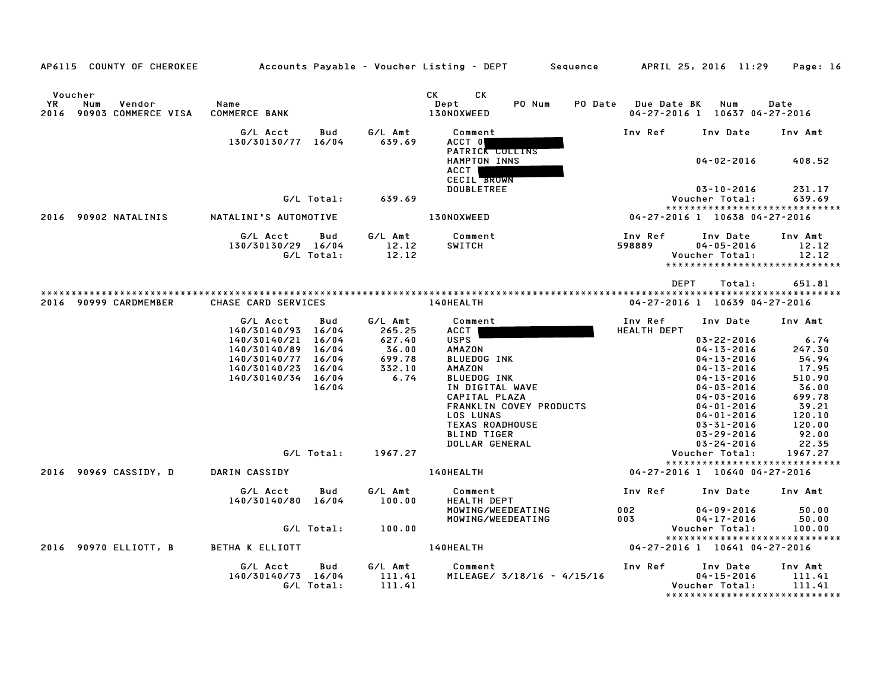| AP6115 COUNTY OF CHEROKEE                              |                                    |            |                          | Accounts Payable – Voucher Listing – DEPT         Sequence         APRIL 25, 2016  11:29     Page: 16 |                                                                                                                                                                                                                             |                                                   |                  |
|--------------------------------------------------------|------------------------------------|------------|--------------------------|-------------------------------------------------------------------------------------------------------|-----------------------------------------------------------------------------------------------------------------------------------------------------------------------------------------------------------------------------|---------------------------------------------------|------------------|
| Voucher                                                |                                    |            |                          | CK <sub>2</sub><br>СK                                                                                 |                                                                                                                                                                                                                             |                                                   |                  |
| <b>YR</b><br>Num<br>Vendor<br>2016 90903 COMMERCE VISA | Name<br><b>COMMERCE BANK</b>       |            |                          | Dept<br>PO Num<br>130NOXWEED                                                                          | PO Date Due Date BK                                                                                                                                                                                                         | Num<br>04-27-2016 1 10637 04-27-2016              | Date             |
|                                                        | G/L Acct<br>130/30130/77 16/04     | Bud        | G/L Amt<br>639.69        | Comment<br>ACCT 0                                                                                     | Inv Ref                                                                                                                                                                                                                     | Inv Date                                          | Inv Amt          |
|                                                        |                                    |            |                          | PATRICK COLLINS<br>HAMPTON INNS<br>ACCT  <br><b>CECIL BROWN</b>                                       |                                                                                                                                                                                                                             | 04-02-2016                                        | 408.52           |
|                                                        |                                    |            | G/L Total: 639.69        | <b>DOUBLETREE</b>                                                                                     |                                                                                                                                                                                                                             | 03-10-2016<br>Voucher Total:                      | 231.17<br>639.69 |
|                                                        |                                    |            |                          |                                                                                                       |                                                                                                                                                                                                                             | *****************************                     |                  |
| 2016 90902 NATALINIS                                   | NATALINI'S AUTOMOTIVE              |            |                          | <b>130NOXWEED</b>                                                                                     |                                                                                                                                                                                                                             | 04-27-2016 1 10638 04-27-2016                     |                  |
|                                                        | G/L Acct<br>130/30130/29 16/04     | Bud        | 12.12<br>12.12           | G/L Amt Comment<br>SWITCH                                                                             | Inv Ref<br>598889                                                                                                                                                                                                           | Inv Date<br>$04 - 05 - 2016$                      | Inv Amt<br>12.12 |
|                                                        | G/L Total:                         |            |                          |                                                                                                       |                                                                                                                                                                                                                             | Voucher Total:<br>*****************************   | 12.12            |
|                                                        |                                    |            |                          |                                                                                                       |                                                                                                                                                                                                                             |                                                   |                  |
|                                                        |                                    |            |                          |                                                                                                       | <b>DEPT</b>                                                                                                                                                                                                                 | Total:                                            | 651.81           |
| 2016 90999 CARDMEMBER                                  | CHASE CARD SERVICES                |            |                          | <b>140HEALTH</b>                                                                                      |                                                                                                                                                                                                                             | 04-27-2016 1 10639 04-27-2016                     |                  |
|                                                        | G/L Acct<br>140/30140/93 16/04     | Bud        | G/L Amt<br>265.25        | Comment<br>ACCT                                                                                       | Inv Ref<br><b>HEALTH DEPT</b>                                                                                                                                                                                               | Inv Date                                          | Inv Amt          |
|                                                        | 140/30140/21                       | 16/04      | 627.40                   | <b>USPS</b>                                                                                           |                                                                                                                                                                                                                             | $03 - 22 - 2016$                                  | 6.74             |
|                                                        | 140/30140/89 16/04                 |            | 36.00                    | <b>AMAZON</b>                                                                                         |                                                                                                                                                                                                                             | $04 - 13 - 2016$                                  | 247.30           |
|                                                        | 140/30140/77<br>140/30140/23 16/04 | 16/04      | 699.78<br>332.10<br>6.74 | <b>BLUEDOG INK</b><br><b>AMAZON</b>                                                                   |                                                                                                                                                                                                                             | $04 - 13 - 2016$<br>$04 - 13 - 2016$              | 54.94<br>17.95   |
|                                                        | 140/30140/34 16/04                 |            |                          | <b>BLUEDOG INK</b>                                                                                    |                                                                                                                                                                                                                             | $04 - 13 - 2016$                                  | 510.90           |
|                                                        |                                    | 16/04      |                          | IN DIGITAL WAVE                                                                                       |                                                                                                                                                                                                                             | $04 - 03 - 2016$                                  | 36.00            |
|                                                        |                                    |            |                          | CAPITAL PLAZA                                                                                         |                                                                                                                                                                                                                             | $04 - 03 - 2016$                                  | 699.78           |
|                                                        |                                    |            |                          | FRANKLIN COVEY PRODUCTS                                                                               |                                                                                                                                                                                                                             | $04 - 01 - 2016$                                  | 39.21            |
|                                                        |                                    |            |                          | LOS LUNAS                                                                                             |                                                                                                                                                                                                                             | $04 - 01 - 2016$                                  | 120.10           |
|                                                        |                                    |            |                          | <b>TEXAS ROADHOUSE</b><br><b>BLIND TIGER</b>                                                          |                                                                                                                                                                                                                             | $03 - 31 - 2016$<br>03-29-2016                    | 120.00<br>92.00  |
|                                                        |                                    |            |                          | DOLLAR GENERAL                                                                                        |                                                                                                                                                                                                                             | 03-24-2016                                        | 22.35            |
|                                                        |                                    | G/L Total: | 1967.27                  |                                                                                                       |                                                                                                                                                                                                                             | Voucher Total:                                    | 1967.27          |
|                                                        |                                    |            |                          |                                                                                                       |                                                                                                                                                                                                                             | *****************************                     |                  |
| 2016 90969 CASSIDY, D                                  | DARIN CASSIDY                      |            |                          | 140HEALTH                                                                                             |                                                                                                                                                                                                                             | 04-27-2016 1 10640 04-27-2016                     |                  |
|                                                        | G/L Acct<br>140/30140/80 16/04     | Bud        | G/L Amt<br>100.00        | Comment<br><b>HEALTH DEPT</b>                                                                         |                                                                                                                                                                                                                             | Inv Ref      Inv Date                             | Inv Amt          |
|                                                        |                                    |            |                          | MOWING/WEEDEATING                                                                                     | $002$ and $002$ and $002$ and $002$ and $002$ and $002$ and $002$ and $002$ and $002$ and $002$ and $002$ and $002$ and $002$ and $002$ and $002$ and $002$ and $002$ and $002$ and $002$ and $002$ and $002$ and $002$ and | $04 - 09 - 2016$                                  | 50.00            |
|                                                        |                                    |            |                          | MOWING/WEEDEATING                                                                                     | 003 000                                                                                                                                                                                                                     | $04 - 17 - 2016$                                  | 50.00            |
|                                                        |                                    | G/L Total: | 100.00                   |                                                                                                       |                                                                                                                                                                                                                             | Voucher Total:<br>*****************************   | 100.00           |
| 2016 90970 ELLIOTT, B                                  | <b>BETHA K ELLIOTT</b>             |            |                          | <b>140HEALTH</b>                                                                                      |                                                                                                                                                                                                                             | 04-27-2016 1 10641 04-27-2016                     |                  |
|                                                        | G/L Acct                           | Bud        | G/L Amt                  | Comment                                                                                               | Inv Ref                                                                                                                                                                                                                     | Inv Date                                          | Inv Amt          |
|                                                        | 140/30140/73 16/04                 |            | 111.41                   | MILEAGE/ 3/18/16 - 4/15/16                                                                            |                                                                                                                                                                                                                             | $04 - 15 - 2016$                                  | 111.41           |
|                                                        |                                    | G/L Total: | 111.41                   |                                                                                                       |                                                                                                                                                                                                                             | Voucher Total:<br>******************************* | 111.41           |
|                                                        |                                    |            |                          |                                                                                                       |                                                                                                                                                                                                                             |                                                   |                  |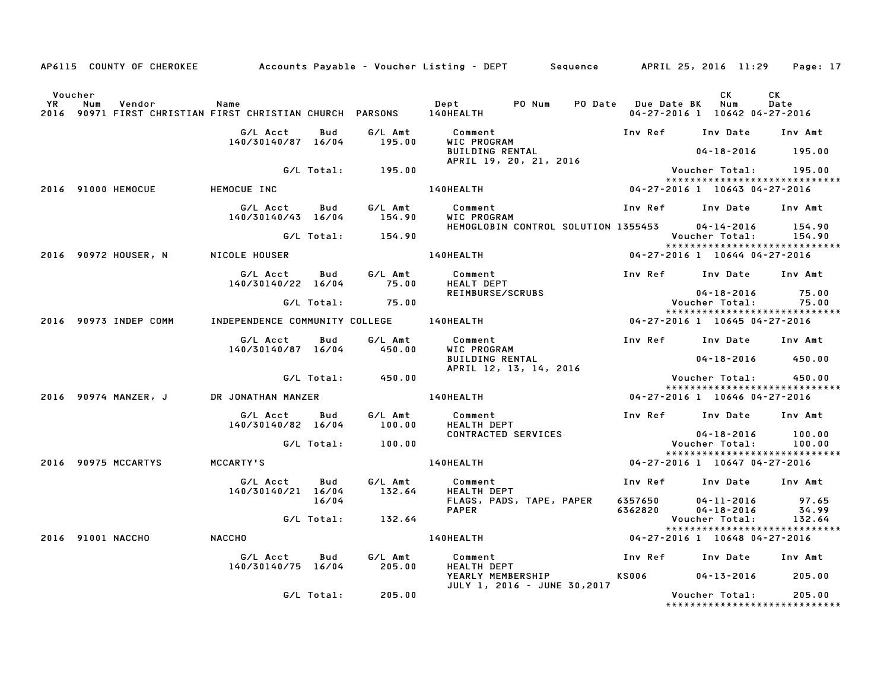|         |                                    |                                          |            |                   | AP6115 COUNTY OF CHEROKEE Accounts Payable - Voucher Listing - DEPT Sequence APRIL 25, 2016 11:29 Page: 17 |                                     |                                     |                                         |
|---------|------------------------------------|------------------------------------------|------------|-------------------|------------------------------------------------------------------------------------------------------------|-------------------------------------|-------------------------------------|-----------------------------------------|
| Voucher |                                    |                                          |            |                   |                                                                                                            |                                     | CK<br>04-27-2016 1 10642 04-27-2016 | <b>CK</b><br>Date                       |
|         |                                    | G/L Acct                                 | Bud        | G/L Amt           | Comment                                                                                                    | Inv Ref      Inv Date     Inv Amt   |                                     |                                         |
|         |                                    | 140/30140/87 16/04                       |            | 195.00            | WIC PROGRAM<br>BUILDING RENTAL<br>APRIL 19, 20, 21, 2016                                                   |                                     | $04 - 18 - 2016$ 195.00             |                                         |
|         |                                    |                                          |            | G/L Total: 195.00 |                                                                                                            |                                     | Voucher Total:         195.00       |                                         |
|         | 2016 91000 HEMOCUE                 | HEMOCUE INC                              |            |                   | 140HEALTH 04-27-2016 1 10643 04-27-2016                                                                    |                                     |                                     | *****************************           |
|         |                                    | G/LAcct Bud G/LAmt<br>140/30140/43 16/04 |            | 154.90            | Comment<br>WIC PROGRAM                                                                                     | Inv Ref      Inv Date     Inv Amt   |                                     |                                         |
|         |                                    |                                          |            | G/L Total: 154.90 | HEMOGLOBIN CONTROL SOLUTION 1355453 04-14-2016                                                             |                                     | Voucher Total: 154.90               | 154.90                                  |
|         |                                    | 2016 90972 HOUSER, N NICOLE HOUSER       |            |                   | <b>140HEALTH</b>                                                                                           | 04-27-2016 1 10644 04-27-2016       |                                     |                                         |
|         |                                    | G/L Acct Bud<br>140/30140/22 16/04 75.00 |            |                   | G/L Amt Comment<br>Comment<br>HEALT DEPT<br>PEILLE                                                         | Inv Ref Inv Date Inv Amt            |                                     |                                         |
|         |                                    |                                          |            | G/L Total: 75.00  | REIMBURSE/SCRUBS                                                                                           |                                     | 04-18-2016<br>Voucher Total:        | 75.00<br>75.00                          |
|         | 2016 90973 INDEP COMM              |                                          |            |                   | ة 140HEALTH و 140HEALTH و 140HEALTH و 140HEALTH و 140HEALTH و 140HEALTH و 140HEPENDENCE COMMUNITY          |                                     |                                     | *****************************           |
|         |                                    | G/L Acct<br>140/30140/87 16/04           | Bud        | G/L Amt<br>450.00 | Comment                                Inv Ref     Inv Date    Inv Amt<br>WIC PROGRAM                      |                                     |                                     |                                         |
|         |                                    |                                          |            |                   | BUILDING RENTAL<br>APRIL 12, 13, 14, 2016                                                                  |                                     | 04-18-2016 450.00                   |                                         |
|         |                                    |                                          | G/L Total: | 450.00            |                                                                                                            |                                     | Voucher Total:        450.00        | *****************************           |
|         | 2016 90974 MANZER, J               | DR JONATHAN MANZER                       |            |                   | <b>140HEALTH</b>                                                                                           | 04-27-2016 1 10646 04-27-2016       |                                     |                                         |
|         |                                    | G/L Acct<br>140/30140/82 16/04           | Bud        | G/L Amt<br>100.00 | Comment<br>HEALTH DEPT<br>HEALTH DEPT                                                                      | Inv Ref Inv Date Inv Amt            |                                     |                                         |
|         |                                    |                                          |            | G/L Total: 100.00 | CONTRACTED SERVICES                                                                                        |                                     | 04-18-2016<br>Voucher Total: 100.00 | 100.00                                  |
|         | 2016 90975 MCCARTYS                | <b>MCCARTY'S</b>                         |            |                   | <b>140HEALTH</b>                                                                                           | 04-27-2016 1 10647 04-27-2016       |                                     | *****************************           |
|         |                                    | G/L Acct<br>140/30140/21 16/04           | Bud        | G/L Amt<br>132.64 | Comment<br>HEALTH DEPT                                                                                     | Inv Ref      Inv Date     Inv Amt   |                                     |                                         |
|         |                                    |                                          | 16/04      |                   | FLAGS, PADS, TAPE, PAPER<br><b>PAPER</b>                                                                   | 6357650 04-11-2016 97.65<br>6362820 | $04 - 18 - 2016$                    | 34.99                                   |
|         |                                    |                                          |            | G/L Total: 132.64 |                                                                                                            |                                     | Voucher Total:                      | 132.64<br>***************************** |
|         | <b>NACCHO</b><br>2016 91001 NACCHO |                                          |            |                   | 140HEALTH                                                                                                  | 04-27-2016 1 10648 04-27-2016       |                                     |                                         |
|         |                                    | G/L Acct<br>140/30140/75 16/04           | Bud        | G∕L Amt<br>205.00 | Uumment<br>HEALTH DEPT<br>YEAPLY ''<br>Comment                                                             | Inv Ref      Inv Date     Inv Amt   |                                     |                                         |
|         |                                    |                                          |            |                   | YEARLY MEMBERSHIP<br>JULY 1, 2016 - JUNE 30,2017                                                           | KS006 04-13-2016 205.00             |                                     |                                         |
|         |                                    |                                          |            | G/L Total: 205.00 |                                                                                                            |                                     | Voucher Total: 205.00               | *****************************           |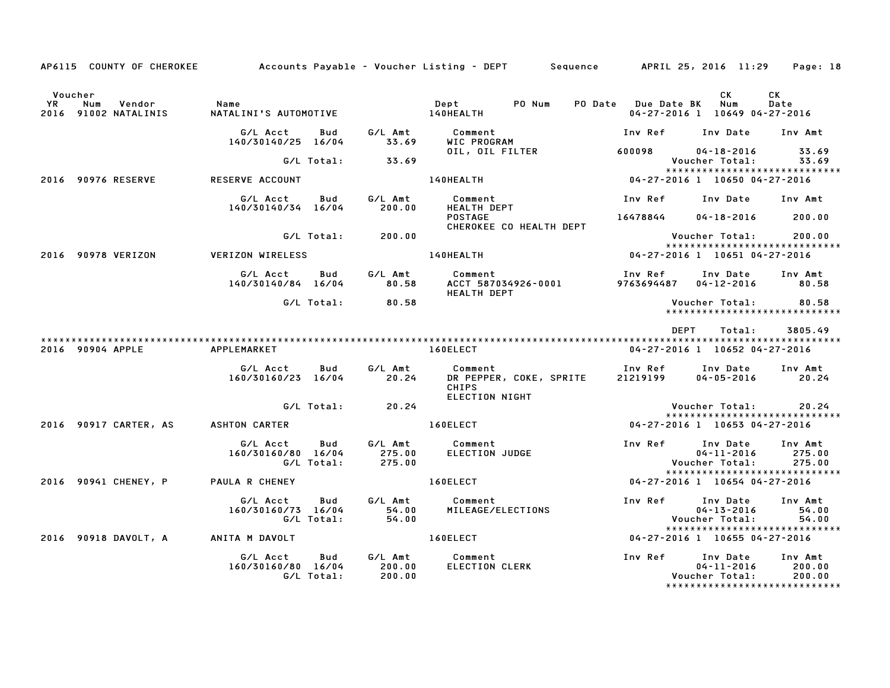| AP6115 COUNTY OF CHEROKEE                                        |                                                                          |                              | Accounts Payable – Voucher Listing – DEPT      Sequence     APRIL 25, 2016 11:29    Page: 18                                                                                                                                                      |                                              |                        |                                                              |
|------------------------------------------------------------------|--------------------------------------------------------------------------|------------------------------|---------------------------------------------------------------------------------------------------------------------------------------------------------------------------------------------------------------------------------------------------|----------------------------------------------|------------------------|--------------------------------------------------------------|
| Voucher<br>YR Num Vendor - Name<br>2016 91002 NATALINIS - NATALI |                                                                          |                              |                                                                                                                                                                                                                                                   | 04-27-2016 1 10649 04-27-2016                | CK                     | CK<br>Date                                                   |
|                                                                  |                                                                          |                              | G/L Acct bud G/L Amt Comment the Inv Ref Inv Date Inv Amt Inv Amt Inv Amt Inv Amt Inv Amt Inv Amt Inv Amt Inv Amt Inv Amt Inv Amt Inv Amt Inv Amt Inv Amt Inv Amt Inv Amt Inv Amt Inv Amt Inv Amt Inv Amt Inv Amt Inv Amt Inv                     |                                              |                        |                                                              |
|                                                                  |                                                                          | G/L Total: 33.69             | 0IL, 0IL FILTER 600098 04-18-2016 33.69                                                                                                                                                                                                           |                                              | Voucher Total: 33.69   |                                                              |
| 2016 90976 RESERVE RESERVE ACCOUNT                               |                                                                          |                              | .33 .69 Voucher Total: 33<br>*******************************<br>140HEALTH 04-27-2016 1 10650 04-27-2016                                                                                                                                           |                                              |                        | *****************************                                |
|                                                                  | G/L Acct Bud<br>140/30140/34 16/04                                       |                              |                                                                                                                                                                                                                                                   | Inv Ref      Inv Date     Inv Amt            |                        |                                                              |
|                                                                  |                                                                          | G/L Total: 200.00            | <b>POSTAGE</b><br>CHEROKEE CO HEALTH DEPT                                                                                                                                                                                                         | 16478844 04-18-2016 200.00                   |                        |                                                              |
| 2016 90978 VERIZON VERIZON WIRELESS                              |                                                                          | <b>140HEALTH</b>             |                                                                                                                                                                                                                                                   | $04-27-2016$ 1 10651 04-27-2016              |                        | *****************************                                |
|                                                                  |                                                                          |                              | G/L Acct       Bud        G/L Amt          Comment                               Inv Ref       Inv Date      Inv Amt<br>140/30140/84    16/04           80.58       ACCT 587034926-0001            9763694487    04-12-2016<br><b>HEALTH DEPT</b> |                                              |                        |                                                              |
|                                                                  | G/L Total:                                                               | 80.58                        |                                                                                                                                                                                                                                                   |                                              | Voucher Total: 80.58   |                                                              |
| 2016 90904 APPLE APPLEMARKET                                     |                                                                          |                              | <b>160ELECT</b>                                                                                                                                                                                                                                   | <b>DEPT</b><br>04-27-2016 1 10652 04-27-2016 | Total:                 | 3805.49                                                      |
|                                                                  | G/L Acct  Bud  G/L Amt  Comment<br>160/30160/23 16/04  20.24  DR PEPPER, |                              | Comment                                Inv Ref       Inv Date<br>DR PEPPER, COKE, SPRITE       21219199       04–05–2016<br><b>CHIPS</b><br>ELECTION NIGHT                                                                                        |                                              | $04 - 05 - 2016$ 20.24 | Inv Amt                                                      |
|                                                                  |                                                                          | G/L Total: 20.24             |                                                                                                                                                                                                                                                   |                                              | Voucher Total: 20.24   | *****************************                                |
|                                                                  |                                                                          |                              |                                                                                                                                                                                                                                                   |                                              |                        |                                                              |
|                                                                  |                                                                          |                              | G/L Acct Bud G/L Amt Comment Inv Ref Inv Date Inv Amt<br>160/30160/80 16/04 275.00 ELECTION JUDGE 160/30160/80 16/04 275.00<br>G/L Total: 275.00 CL Total: 275.00                                                                                 |                                              |                        | *****************************                                |
| 2016 90941 CHENEY, P PAULA R CHENEY                              |                                                                          |                              | $160ELECT$ $04-27-2016$ $1\overline{)10654}$ $04-27-2016$                                                                                                                                                                                         |                                              |                        |                                                              |
|                                                                  | G/L Acct Bud<br>160/30160/73 16/04                                       |                              |                                                                                                                                                                                                                                                   |                                              |                        | Inv Amt<br>54.00<br>54.00<br>*****************************   |
| 2016 90918 DAVOLT, A ANITA M DAVOLT                              |                                                                          | <b>Example 2016 160ELECT</b> | $04 - 27 - 2016$ 1 10655 04-27-2016                                                                                                                                                                                                               |                                              |                        |                                                              |
|                                                                  | 160/30160/80 16/04 200.00<br>G/L Total: 200.00                           |                              |                                                                                                                                                                                                                                                   |                                              | Voucher Total:         | Inv Amt<br>200.00<br>200.00<br>***************************** |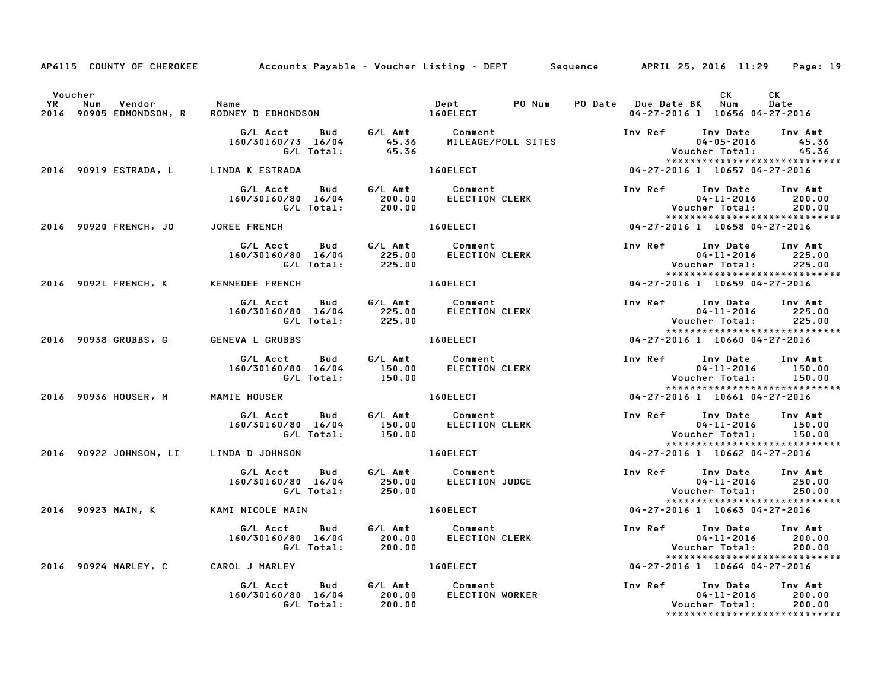|           |                                               | AP6115 COUNTY OF CHEROKEE Accounts Payable - Voucher Listing - DEPT Sequence APRIL 25, 2016 11:29 Page: 19                       |                              |                                                                                                                 |                               |                                                                                                               |                           |
|-----------|-----------------------------------------------|----------------------------------------------------------------------------------------------------------------------------------|------------------------------|-----------------------------------------------------------------------------------------------------------------|-------------------------------|---------------------------------------------------------------------------------------------------------------|---------------------------|
|           | Voucher                                       |                                                                                                                                  |                              |                                                                                                                 |                               | <b>CK</b>                                                                                                     | CK                        |
| <b>YR</b> | Vendor Name<br>Num<br>2016 90905 EDMONDSON, R | RODNEY D EDMONDSON 160ELECT                                                                                                      |                              | Dept PO Num                                                                                                     |                               | PO Date Due Date BK Num<br>04-27-2016 1 10656 04-27-2016                                                      | Date                      |
|           |                                               | G/L Acct Bud G/L Amt Comment<br>160/30160/73 16/04 45.36 MILEAGE/POLL SITES<br>G/L Total: 45.36                                  |                              |                                                                                                                 |                               | Inv Ref Inv Date<br>$04 - 05 - 2016$<br>Voucher Total:<br>*****************************                       | Inv Amt<br>45.36<br>45.36 |
|           | 2016 90919 ESTRADA, L LINDA K ESTRADA         |                                                                                                                                  |                              | 160ELECT And the state of the state of the state of the state of the state of the state of the state of the sta |                               | 04-27-2016 1 10657 04-27-2016                                                                                 |                           |
|           |                                               | G/L Acct  Bud  G/L Amt  Comment<br>160/30160/80  16/04  200.00  ELECTION CLERK<br>160/30160/80 16/04 200.00<br>G/L Total: 200.00 |                              |                                                                                                                 |                               | Inv Ref Inv Date Inv Amt<br>ur Date<br>04-11-2016<br>.Voucher Total<br>*****************************          | 200.00<br>200.00          |
|           |                                               | 2016 90920 FRENCH, JO JOREE FRENCH                                                                                               |                              | <b>160ELECT</b>                                                                                                 |                               | 04-27-2016 1 10658 04-27-2016                                                                                 |                           |
|           |                                               |                                                                                                                                  |                              | comment<br>ELECTION CLERK                                                                                       |                               | Inv Ref      Inv Date     Inv Amt<br>$04 - 11 - 2016$ 225.00<br>*****************************                 |                           |
|           | 2016 90921 FRENCH, K KENNEDEE FRENCH          |                                                                                                                                  |                              | 160ELECT NO                                                                                                     |                               | 04-27-2016 1 10659 04-27-2016                                                                                 |                           |
|           |                                               | G/L Acct  Bud  G/L Amt  Comment<br>160/30160/80  16/04  225.00  ELECTION CLERK<br>G/L Total:  225.00                             |                              |                                                                                                                 |                               | Inv Ref      Inv Date     Inv Amt<br>04-11-2016<br>Voucher Total: 225.00<br>******************************    | 225.00                    |
|           | 2016 90938 GRUBBS, G GENEVA L GRUBBS          |                                                                                                                                  | <b>Example 2018 160ELECT</b> |                                                                                                                 | 04-27-2016 1 10660 04-27-2016 |                                                                                                               |                           |
|           |                                               | G/L Acct Bud G/L Amt Comment<br>160/30160/80 16/04 150.00 ELECTION CLERK<br>G/L Total: 150.00                                    |                              |                                                                                                                 |                               | Inv Ref Inv Date Inv Amt<br>$04 - 11 - 2016$ 150.00<br><b>Voucher Total:</b><br>***************************** | 150.00                    |
|           | 2016 90936 HOUSER, M                          | MAMIE HOUSER                                                                                                                     |                              | 160ELECT                                                                                                        |                               | $04 - 27 - 2016$ 1 10661 04-27-2016                                                                           |                           |
|           |                                               | G/L Acct  Bud  G/L Amt  Comment<br>160/30160/80  16/04  150.00  ELECTION CLERK<br>G/L Total:                                     | 150.00                       |                                                                                                                 |                               | Inv Ref Inv Date Inv Amt<br>04-11-2016 150.00<br>Voucher Total: 150.00<br>*****************************       |                           |
|           | 2016 90922 JOHNSON, LI LINDA D JOHNSON        |                                                                                                                                  |                              | 160ELECT                                                                                                        |                               | 04-27-2016 1 10662 04-27-2016                                                                                 |                           |
|           |                                               | G/L Acct Bud<br>160/30160/80 16/04 250.00<br>G/L Total: 250.00                                                                   |                              | G/L Amt Comment<br>250.00 ELECTION JUDGE                                                                        |                               | Inv Ref Inv Date<br>$04 - 11 - 2016$<br>Voucher Total: 250.00<br>*****************************                | Inv Amt<br>250.00         |
|           | 2016 90923 MAIN, K                            | KAMI NICOLE MAIN                                                                                                                 |                              | 160ELECT And The Local Contractor                                                                               |                               | 04-27-2016 1 10663 04-27-2016                                                                                 |                           |
|           |                                               | G/L Acct Bud G/L Amt Comment<br>160/30160/80 16/04 200.00 ELECTION CLERK<br>G/L Total: 200.00                                    |                              |                                                                                                                 |                               | Inv Ref Inv Date Inv Amt                                                                                      |                           |
|           |                                               | 2016 90924 MARLEY, C CAROL J MARLEY                                                                                              |                              | 160ELECT NO                                                                                                     |                               | *****************************<br>04-27-2016 1 10664 04-27-2016                                                |                           |
|           |                                               |                                                                                                                                  |                              | <b>ELECTION WORKER</b>                                                                                          |                               | Inv Ref Inv Date Inv Amt<br>04-11-2016 200.00<br>Voucher Total: 200.00<br>*****************************       |                           |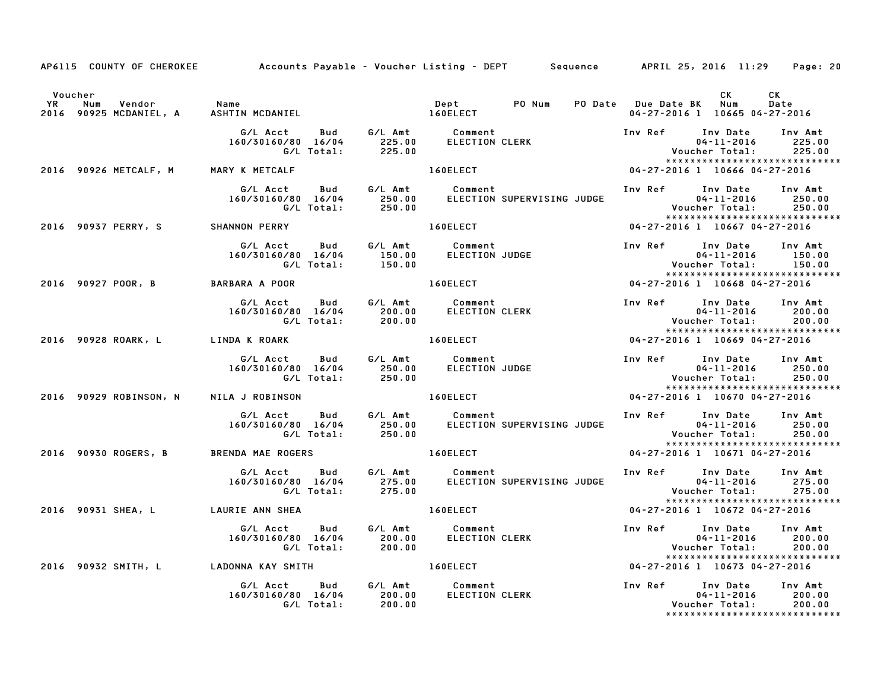|                                        | AP6115 COUNTY OF CHEROKEE Accounts Payable - Voucher Listing - DEPT Sequence APRIL 25, 2016 11:29 Page: 20                                                                                                                              |          |                                                                                                                          |                                                                                                          |                                   |
|----------------------------------------|-----------------------------------------------------------------------------------------------------------------------------------------------------------------------------------------------------------------------------------------|----------|--------------------------------------------------------------------------------------------------------------------------|----------------------------------------------------------------------------------------------------------|-----------------------------------|
| Voucher                                |                                                                                                                                                                                                                                         |          |                                                                                                                          | CK                                                                                                       | CK<br>Date                        |
|                                        |                                                                                                                                                                                                                                         |          |                                                                                                                          | 04-27-2016 1 10665 04-27-2016                                                                            |                                   |
|                                        | G/L Acct Bud G/L Amt Comment Inv Ref Inv Date Inv Amt<br>160/30160/80 16/04 225.00 ELECTION CLERK 04-11-2016 225.0<br>G/L Total: 225.00 160ELECT 100 160ELECT 104-27-2016 16666 04-27-2016                                              |          |                                                                                                                          | Inv Ref Inv Date Inv Amt<br>04-11-2016 225.00<br>Voucher Total: 225.00<br>****************************** |                                   |
|                                        | 2016 90926 METCALF, M MARY K METCALF                                                                                                                                                                                                    |          |                                                                                                                          |                                                                                                          |                                   |
|                                        | G/L Acct Bud G/L Amt Comment Inv Ref Inv Date Inv Amt<br>160/30160/80 16/04 250.00 ELECTION SUPERVISING JUDGE 04-11-2016 250.00<br>G/L Total: 250.00 ELECTION SUPERVISING JUDGE Voucher Total: 250.00<br>****************************** |          |                                                                                                                          |                                                                                                          |                                   |
|                                        | 2016 90937 PERRY, S SHANNON PERRY 160ELECT 1999 1999 2016 1 10667 04-27-2016                                                                                                                                                            |          |                                                                                                                          |                                                                                                          |                                   |
|                                        |                                                                                                                                                                                                                                         |          | 150.00 ELECTION JUDGE<br>150.00 ELECTION JUDGE<br>150.00 Woucher Total: 150.00<br>160ELECT 04-27-2016 1 10668 04-27-2016 | Inv Ref Inv Date Inv Amt                                                                                 |                                   |
| 2016 90927 POOR, B BARBARA A POOR      |                                                                                                                                                                                                                                         |          |                                                                                                                          |                                                                                                          |                                   |
|                                        |                                                                                                                                                                                                                                         |          |                                                                                                                          | *****************************                                                                            |                                   |
|                                        |                                                                                                                                                                                                                                         |          |                                                                                                                          |                                                                                                          |                                   |
|                                        | 6/L Acct Bud G/L Amt Comment<br>160/30160/80 16/04 250.00 ELECTION JUDGE 160/30160/80 16/04 250.00<br>6/L Total: 250.00 ELECTION JUDGE 104-11-2016 250.00<br>LA J ROBINSON 160ELECT 160ELECT 164-27-2016 160611300 160ELECT             |          |                                                                                                                          |                                                                                                          |                                   |
| 2016 90929 ROBINSON, N NILA J ROBINSON |                                                                                                                                                                                                                                         | 160ELECT |                                                                                                                          |                                                                                                          |                                   |
|                                        |                                                                                                                                                                                                                                         |          |                                                                                                                          | Voucher Total: 250.00<br>*****************************                                                   | 04-11-2016 250.00                 |
|                                        | 2016 90930 ROGERS, B BRENDA MAE ROGERS                                                                                                                                                                                                  | 160ELECT |                                                                                                                          | 04-27-2016 1 10671 04-27-2016                                                                            |                                   |
|                                        | 6/L Acct Bud G/L Amt Comment Inv Ref Inv Date Inv Amt<br>160/30160/80 16/04 275.00 ELECTION SUPERVISING JUDGE 04-11-2016 275.00<br>175.00 [6/L Total: 275.00] 275.00                                                                    |          |                                                                                                                          | *****************************                                                                            | $04 - 11 - 2016$ 275.00<br>275.00 |
| 2016 90931 SHEA, L LAURIE ANN SHEA     |                                                                                                                                                                                                                                         |          | 160ELECT NAME OF STREET                                                                                                  | 04-27-2016 1 10672 04-27-2016                                                                            |                                   |
|                                        | ∪ USL ACCT Bud G/L Amt Comment Inv Ref Inv Date Inv Amt 160/30160/80 16/04 200.00<br>160/30160/80 16/04 200.00 ELECTION CLERK 04-11-2016 200.00<br>C/L Total: 200.00 160ELECT 10673 04-27-2016 1 10673 04-27-2016 16/04 2016 90932      |          |                                                                                                                          |                                                                                                          |                                   |
|                                        |                                                                                                                                                                                                                                         |          |                                                                                                                          |                                                                                                          |                                   |
|                                        |                                                                                                                                                                                                                                         |          |                                                                                                                          | *****************************                                                                            | $04 - 11 - 2016$ 200.00           |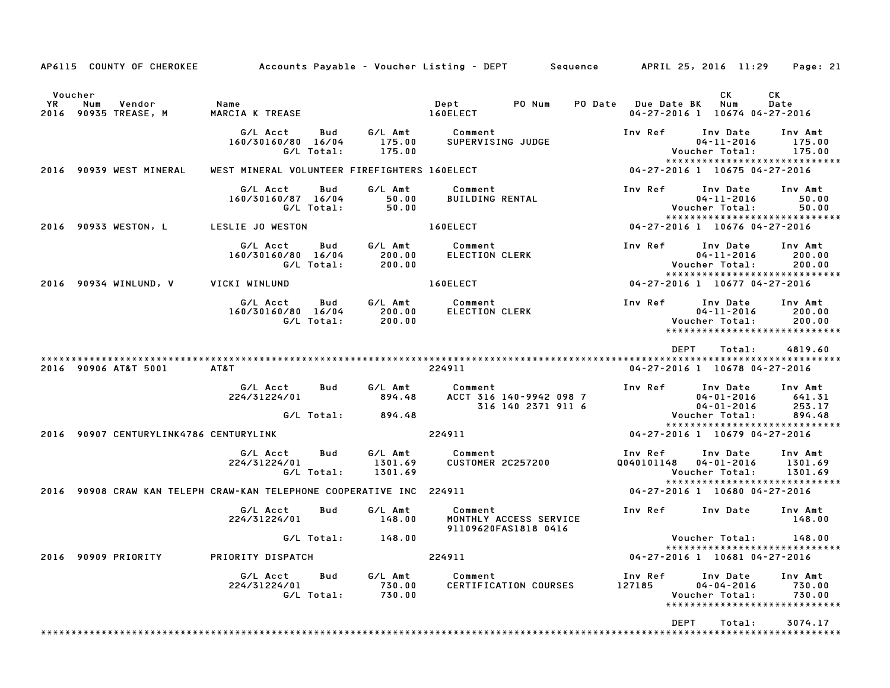|                      | AP6115 COUNTY OF CHEROKEE                                            | Accounts Payable – Voucher Listing – DEPT Sequence |                   |                               |                                   |                                                |                       | APRIL 25, 2016 11:29                             | Page: 21                                                      |
|----------------------|----------------------------------------------------------------------|----------------------------------------------------|-------------------|-------------------------------|-----------------------------------|------------------------------------------------|-----------------------|--------------------------------------------------|---------------------------------------------------------------|
| Voucher<br>YR<br>Num | Vendor<br>2016 90935 TREASE, M                                       | Name<br>MARCIA K TREASE                            |                   |                               | Dept<br>160ELECT                  | PO Num                                         | PO Date Due Date BK   | CK.<br>Num<br>04-27-2016 1 10674 04-27-2016      | СK<br>Date                                                    |
|                      |                                                                      | G/L Acct<br>160/30160/80 16/04                     | Bud<br>G/L Total: | G/L Amt<br>175.00<br>175.00   | Comment                           | SUPERVISING JUDGE                              | Inv Ref               | Inv Date<br>$04 - 11 - 2016$<br>Voucher Total:   | Inv Amt<br>175.00<br>175.00<br>*****************************  |
|                      | 2016 90939 WEST MINERAL                                              | WEST MINERAL VOLUNTEER FIREFIGHTERS 160ELECT       |                   |                               |                                   |                                                |                       | 04-27-2016 1 10675 04-27-2016                    |                                                               |
|                      |                                                                      | G/L Acct<br>160/30160/87 16/04                     | Bud<br>G/L Total: | G/L Amt<br>50.00<br>50.00     | Comment<br><b>BUILDING RENTAL</b> |                                                | Inv Ref               | Inv Date<br>$04 - 11 - 2016$<br>Voucher Total:   | Inv Amt<br>50.00<br>50.00<br>*****************************    |
|                      | 2016 90933 WESTON, L                                                 | LESLIE JO WESTON                                   |                   |                               | 160ELECT                          |                                                |                       | 04-27-2016 1 10676 04-27-2016                    |                                                               |
|                      |                                                                      | G/L Acct<br>160/30160/80 16/04                     | Bud<br>G/L Total: | G/L Amt<br>200.00<br>200.00   | Comment<br>ELECTION CLERK         |                                                | Inv Ref               | Inv Date<br>$04 - 11 - 2016$<br>Voucher Total:   | Inv Amt<br>200.00<br>200.00<br>****************************** |
|                      | 2016 90934 WINLUND, V                                                | VICKI WINLUND                                      |                   |                               | 160ELECT                          |                                                |                       | 04-27-2016 1 10677 04-27-2016                    |                                                               |
|                      |                                                                      | G/L Acct<br>160/30160/80 16/04                     | Bud<br>G/L Total: | G/L Amt<br>200.00<br>200.00   | Comment<br>ELECTION CLERK         |                                                | Inv Ref               | Inv Date<br>$04 - 11 - 2016$<br>Voucher Total:   | Inv Amt<br>200.00<br>200.00<br>*****************************  |
|                      | 2016 90906 AT&T 5001                                                 | AT&T                                               |                   |                               | 224911                            |                                                | <b>DEPT</b>           | Total:<br>04-27-2016 1 10678 04-27-2016          | 4819.60                                                       |
|                      |                                                                      | G/L Acct<br>224/31224/01                           | Bud               | G/L Amt<br>894.48             | Comment                           | ACCT 316 140-9942 098 7<br>316 140 2371 911 6  | Inv Ref               | Inv Date<br>$04 - 01 - 2016$<br>$04 - 01 - 2016$ | Inv Amt<br>641.31<br>253.17                                   |
|                      |                                                                      |                                                    | G/L Total:        | 894.48                        |                                   |                                                |                       | Voucher Total:                                   | 894.48<br>*****************************                       |
|                      | 2016 90907 CENTURYLINK4786 CENTURYLINK                               |                                                    |                   |                               | 224911                            |                                                |                       | 04-27-2016 1 10679 04-27-2016                    |                                                               |
|                      |                                                                      | G/L Acct<br>224/31224/01                           | Bud<br>G/L Total: | G/L Amt<br>1301.69<br>1301.69 | Comment                           | CUSTOMER 2C257200                              | Inv Ref<br>Q040101148 | Inv Date<br>04-01-2016<br>Voucher Total:         | Inv Amt<br>1301.69<br>1301.69                                 |
|                      | 2016 90908 CRAW KAN TELEPH CRAW-KAN TELEPHONE COOPERATIVE INC 224911 |                                                    |                   |                               |                                   |                                                |                       | 04-27-2016 1 10680 04-27-2016                    | ******************************                                |
|                      |                                                                      | G/L Acct<br>224/31224/01                           | Bud               | G/L Amt<br>148.00             | Comment                           | MONTHLY ACCESS SERVICE<br>91109620FAS1818 0416 | Inv Ref               | Inv Date                                         | Inv Amt<br>148.00                                             |
|                      |                                                                      |                                                    | G/L Total:        | 148.00                        |                                   |                                                |                       | Voucher Total:                                   | 148.00<br>*****************************                       |
|                      | 2016 90909 PRIORITY                                                  | PRIORITY DISPATCH                                  |                   |                               | 224911                            |                                                |                       | 04-27-2016 1 10681 04-27-2016                    |                                                               |
|                      |                                                                      | G/L Acct<br>224/31224/01                           | Bud<br>G/L Total: | G/L Amt<br>730.00<br>730.00   | Comment                           | CERTIFICATION COURSES                          | Inv Ref<br>127185     | Inv Date<br>$04 - 04 - 2016$<br>Voucher Total:   | Inv Amt<br>730.00<br>730.00<br>*****************************  |
|                      |                                                                      |                                                    |                   |                               |                                   |                                                | DEPT                  | Total:                                           | 3074.17                                                       |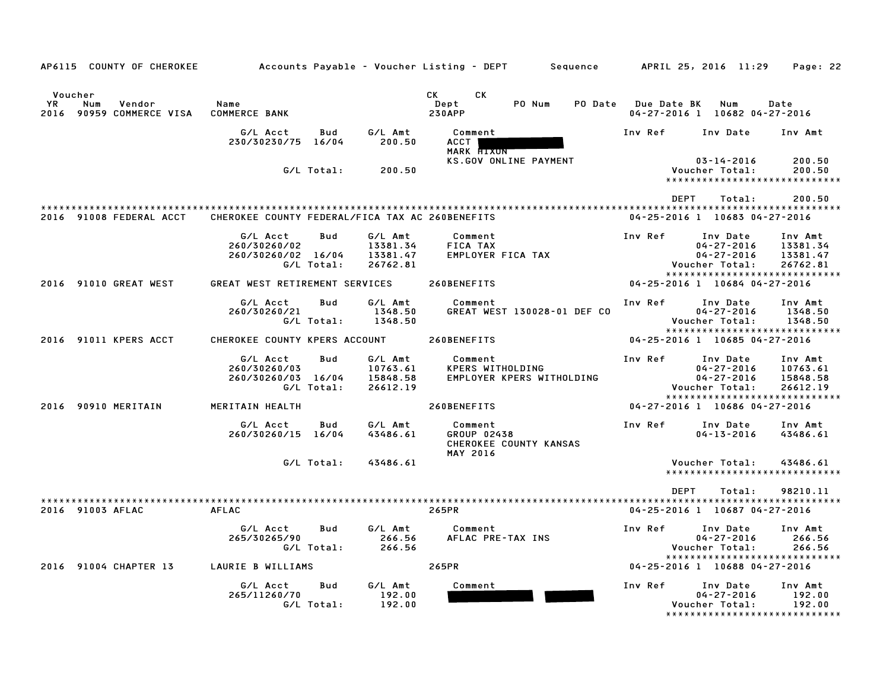| AP6115 COUNTY OF CHEROKEE                                     |                                                 |                   |                                             | Accounts Payable – Voucher Listing – DEPT         Sequence          | APRIL 25, 2016 11:29 |                                                                                                     | Page: 22                                    |
|---------------------------------------------------------------|-------------------------------------------------|-------------------|---------------------------------------------|---------------------------------------------------------------------|----------------------|-----------------------------------------------------------------------------------------------------|---------------------------------------------|
|                                                               |                                                 |                   |                                             |                                                                     |                      |                                                                                                     |                                             |
| Voucher<br>YR<br>Num<br>Vendor<br>90959 COMMERCE VISA<br>2016 | Name<br><b>COMMERCE BANK</b>                    |                   |                                             | CK<br>CK<br>Dept<br>PO Num<br><b>230APP</b>                         | PO Date Due Date BK  | Num<br>04-27-2016 1 10682 04-27-2016                                                                | Date                                        |
|                                                               | G/L Acct                                        | Bud               | G/L Amt                                     | Comment                                                             | Inv Ref              | Inv Date                                                                                            | Inv Amt                                     |
|                                                               | 230/30230/75 16/04                              |                   | 200.50                                      | ACCT  <br>MARK FIXON                                                |                      |                                                                                                     |                                             |
|                                                               |                                                 | G/L Total:        | 200.50                                      | KS.GOV ONLINE PAYMENT                                               |                      | $03 - 14 - 2016$<br>Voucher Total:<br>*****************************                                 | 200.50<br>200.50                            |
|                                                               |                                                 |                   |                                             |                                                                     | <b>DEPT</b>          | Total:                                                                                              | 200.50                                      |
| 2016 91008 FEDERAL ACCT                                       | CHEROKEE COUNTY FEDERAL/FICA TAX AC 260BENEFITS |                   |                                             |                                                                     |                      | 04-25-2016 1 10683 04-27-2016                                                                       |                                             |
|                                                               | G/L Acct<br>260/30260/02<br>260/30260/02 16/04  | Bud               | G/L Amt<br>13381.34<br>13381.47             | Comment<br>FICA TAX<br>EMPLOYER FICA TAX                            | Inv Ref              | Inv Date<br>$04 - 27 - 2016$<br>$04 - 27 - 2016$                                                    | Inv Amt<br>13381.34<br>13381.47             |
|                                                               |                                                 | G/L Total:        | 26762.81                                    |                                                                     |                      | Voucher Total:<br>*****************************                                                     | 26762.81                                    |
| 2016 91010 GREAT WEST                                         | GREAT WEST RETIREMENT SERVICES                  |                   |                                             | 260BENEFITS                                                         |                      | 04-25-2016 1 10684 04-27-2016                                                                       |                                             |
|                                                               | G/L Acct<br>260/30260/21                        | Bud<br>G/L Total: | G/L Amt<br>1348.50<br>1348.50               | Comment<br>GREAT WEST 130028-01 DEF CO                              | Inv Ref              | Inv Date<br>$04 - 27 - 2016$<br>Voucher Total:                                                      | Inv Amt<br>1348.50<br>1348.50               |
| 2016 91011 KPERS ACCT                                         | CHEROKEE COUNTY KPERS ACCOUNT                   |                   |                                             | 260BENEFITS                                                         |                      | *****************************<br>04-25-2016 1 10685 04-27-2016                                      |                                             |
|                                                               | G/L Acct<br>260/30260/03<br>260/30260/03 16/04  | Bud<br>G/L Total: | G/L Amt<br>10763.61<br>15848.58<br>26612.19 | Comment<br>KPERS WITHOLDING<br>EMPLOYER KPERS WITHOLDING            | Inv Ref              | Inv Date<br>$04 - 27 - 2016$<br>$04 - 27 - 2016$<br>Voucher Total:<br>***************************** | Inv Amt<br>10763.61<br>15848.58<br>26612.19 |
| 2016 90910 MERITAIN                                           | MERITAIN HEALTH                                 |                   |                                             | 260BENEFITS                                                         |                      | 04-27-2016 1 10686 04-27-2016                                                                       |                                             |
|                                                               | G/L Acct<br>260/30260/15 16/04                  | Bud               | G/L Amt<br>43486.61                         | Comment<br>GROUP 02438<br>CHEROKEE COUNTY KANSAS<br><b>MAY 2016</b> | Inv Ref              | Inv Date<br>$04 - 13 - 2016$                                                                        | Inv Amt<br>43486.61                         |
|                                                               |                                                 | G/L Total:        | 43486.61                                    |                                                                     |                      | Voucher Total:<br>*****************************                                                     | 43486.61                                    |
| 2016 91003 AFLAC                                              | <b>AFLAC</b>                                    |                   |                                             | 265PR                                                               | <b>DEPT</b>          | Total:<br>04-25-2016 1 10687 04-27-2016                                                             | 98210.11                                    |
|                                                               | G/L Acct<br>265/30265/90                        | Bud<br>G/L Total: | G/L Amt<br>266.56<br>266.56                 | Comment<br>AFLAC PRE-TAX INS                                        | Inv Ref              | Inv Date<br>$04 - 27 - 2016$<br>Voucher Total:                                                      | Inv Amt<br>266.56<br>266.56                 |
| 2016 91004 CHAPTER 13                                         | LAURIE B WILLIAMS                               |                   |                                             | 265PR                                                               |                      | *****************************<br>04-25-2016 1 10688 04-27-2016                                      |                                             |
|                                                               | G/L Acct<br>265/11260/70                        | Bud<br>G/L Total: | G/L Amt<br>192.00<br>192.00                 | Comment                                                             | Inv Ref              | Inv Date<br>$04 - 27 - 2016$<br>Voucher Total:<br>*****************************                     | Inv Amt<br>192.00<br>192.00                 |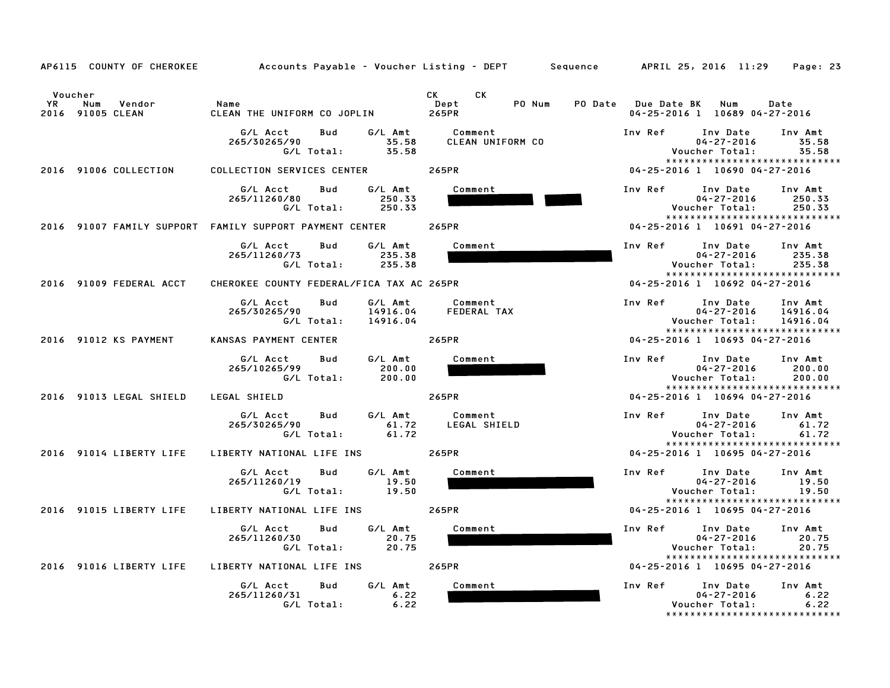|                                                           | AP6115 COUNTY OF CHEROKEE         Accounts Payable – Voucher Listing – DEPT     Sequence     APRIL 25, 2016 11:29 |                                                                                                                                                 | Page: 23                                                                                                                      |
|-----------------------------------------------------------|-------------------------------------------------------------------------------------------------------------------|-------------------------------------------------------------------------------------------------------------------------------------------------|-------------------------------------------------------------------------------------------------------------------------------|
| Voucher<br><b>YR</b><br>Num<br>Vendor<br>2016 91005 CLEAN | Name<br>CLEAN THE UNIFORM CO JOPLIN                                                                               | CK and the control of the control of the control of the control of the control of the control of the control o<br>CK<br>PO Num<br>Dept<br>265PR | PO Date Due Date BK Num<br>Date<br>04-25-2016 1 10689 04-27-2016                                                              |
|                                                           | G/L Amt<br>G/L Acct<br>Bud<br>265/30265/90<br>35.58<br>G/L Total:<br>35.58                                        | Comment<br>CLEAN UNIFORM CO                                                                                                                     | Inv Ref<br>Inv Date<br>Inv Amt<br>$04 - 27 - 2016$<br>35.58<br>Voucher Total:<br>35.58<br>*****************************       |
| 2016 91006 COLLECTION                                     | COLLECTION SERVICES CENTER 265PR                                                                                  |                                                                                                                                                 | 04-25-2016 1 10690 04-27-2016                                                                                                 |
|                                                           | G/L Acct<br>G/L Amt<br>Bud<br>250.33<br>265/11260/80<br>G/L Total:<br>250.33                                      | Comment                                                                                                                                         | Inv Ref<br>Inv Date<br>Inv Amt<br>$04 - 27 - 2016$<br>250.33<br>250.33<br>Voucher Total:<br>*****************************     |
|                                                           | 2016 91007 FAMILY SUPPORT FAMILY SUPPORT PAYMENT CENTER                                                           | 265PR                                                                                                                                           | 04-25-2016 1 10691 04-27-2016                                                                                                 |
|                                                           | G/L Acct<br>G/L Amt<br>Bud<br>265/11260/73<br>235.38<br>G/L Total:<br>235.38                                      | Comment                                                                                                                                         | Inv Ref<br>Inv Date<br>Inv Amt<br>$04 - 27 - 2016$<br>235.38<br>235.38<br>Voucher Total:<br>*****************************     |
| 2016 91009 FEDERAL ACCT                                   | CHEROKEE COUNTY FEDERAL/FICA TAX AC 265PR                                                                         |                                                                                                                                                 | 04-25-2016 1 10692 04-27-2016                                                                                                 |
|                                                           | G/L Amt<br>G/L Acct<br>Bud<br>265/30265/90<br>14916.04<br>G/L Total:<br>14916.04                                  | Comment<br>FEDERAL TAX                                                                                                                          | Inv Ref<br>Inv Date<br>Inv Amt<br>$04 - 27 - 2016$<br>14916.04<br>14916.04<br>Voucher Total:<br>***************************** |
| 2016 91012 KS PAYMENT                                     | KANSAS PAYMENT CENTER                                                                                             | 265PR                                                                                                                                           | 04-25-2016 1 10693 04-27-2016                                                                                                 |
|                                                           | G/L Amt<br>G/L Acct<br>Bud<br>265/10265/99<br>200.00<br>G/L Total:<br>200.00                                      | Comment                                                                                                                                         | Inv Ref<br>Inv Date<br>Inv Amt<br>$04 - 27 - 2016$<br>200.00<br>Voucher Total:<br>200.00<br>*****************************     |
| 2016 91013 LEGAL SHIELD                                   | LEGAL SHIELD                                                                                                      | 265PR                                                                                                                                           | 04-25-2016 1 10694 04-27-2016                                                                                                 |
|                                                           | G/L Amt<br>G/L Acct<br>Bud<br>265/30265/90<br>61.72<br>G/L Total:<br>61.72                                        | Comment<br>LEGAL SHIELD                                                                                                                         | Inv Ref<br>Inv Amt<br>Inv Date<br>$04 - 27 - 2016$<br>61.72<br>Voucher Total:<br>61.72<br>*****************************       |
| 2016 91014 LIBERTY LIFE                                   | LIBERTY NATIONAL LIFE INS                                                                                         | 265PR                                                                                                                                           | 04-25-2016 1 10695 04-27-2016                                                                                                 |
|                                                           | G/L Acct<br>G/L Amt<br>Bud<br>19.50<br>265/11260/19<br>G/L Total:<br>19.50                                        | Comment                                                                                                                                         | Inv Ref<br>Inv Date<br>Inv Amt<br>$04 - 27 - 2016$<br>19.50<br>Voucher Total:<br>19.50<br>*****************************       |
| 2016 91015 LIBERTY LIFE                                   | LIBERTY NATIONAL LIFE INS                                                                                         | 265PR                                                                                                                                           | 04-25-2016 1 10695 04-27-2016                                                                                                 |
|                                                           | G/L Acct<br>Bud<br>G/L Amt<br>265/11260/30<br>20.75<br>G/L Total:<br>20.75                                        | Comment                                                                                                                                         | Inv Ref<br>Inv Date<br>Inv Amt<br>$04 - 27 - 2016$<br>20.75<br>Voucher Total:<br>20.75<br>*****************************       |
| 2016 91016 LIBERTY LIFE                                   | LIBERTY NATIONAL LIFE INS                                                                                         | 265PR                                                                                                                                           | 04-25-2016 1 10695 04-27-2016                                                                                                 |
|                                                           | G/L Acct<br>Bud<br>G/L Amt<br>265/11260/31<br>6.22<br>G/L Total:<br>6.22                                          | Comment                                                                                                                                         | Inv Ref<br>Inv Date<br>Inv Amt<br>$04 - 27 - 2016$<br>6.22<br>Voucher Total:<br>6.22<br>*****************************         |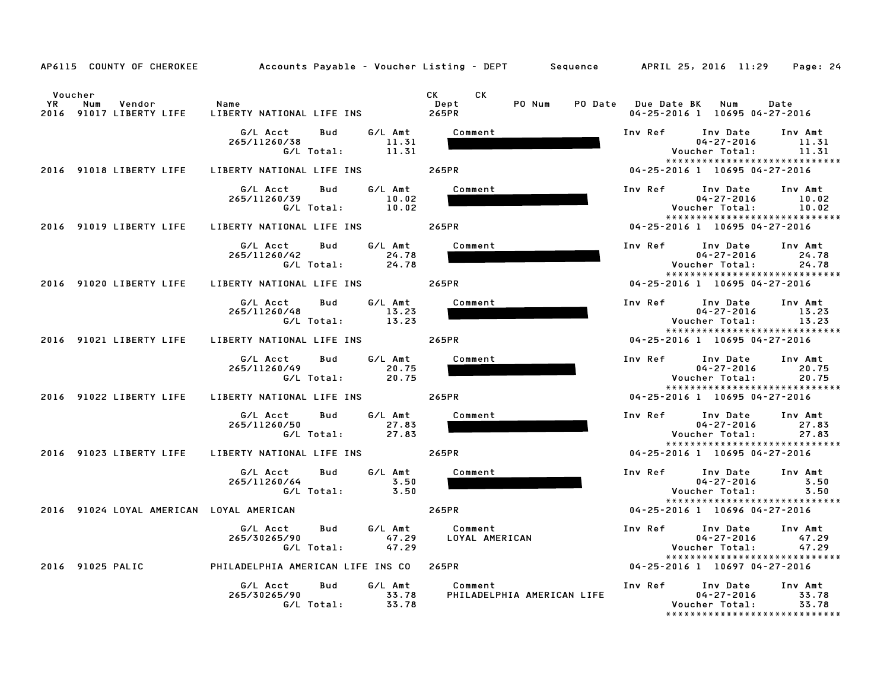|                      | AP6115 COUNTY OF CHEROKEE                | Accounts Payable - Voucher Listing - DEPT Sequence APRIL 25, 2016 11:29           |                                       | Page: 24                                                                                                                |
|----------------------|------------------------------------------|-----------------------------------------------------------------------------------|---------------------------------------|-------------------------------------------------------------------------------------------------------------------------|
| Voucher<br><b>YR</b> | Num<br>Vendor<br>2016 91017 LIBERTY LIFE | Name<br>LIBERTY NATIONAL LIFE INS                                                 | CK<br>CK.<br>PO Num<br>Dept<br>265PR  | PO Date Due Date BK Num<br>Date<br>04-25-2016 1 10695 04-27-2016                                                        |
|                      |                                          | G/L Acct<br>G/L Amt<br>Bud<br>11.31<br>265/11260/38<br>G/L Total:<br>11.31        | Comment                               | Inv Ref<br>Inv Date<br>Inv Amt<br>$04 - 27 - 2016$<br>11.31<br>11.31<br>Voucher Total:                                  |
|                      | 2016 91018 LIBERTY LIFE                  | LIBERTY NATIONAL LIFE INS                                                         | 265PR                                 | *****************************<br>04-25-2016 1 10695 04-27-2016                                                          |
|                      |                                          | G/L Acct<br>Bud<br>G/L Amt<br>10.02<br>265/11260/39<br>G/L Total:<br>10.02        | Comment                               | Inv Ref<br>Inv Date<br>Inv Amt<br>$04 - 27 - 2016$<br>10.02<br>Voucher Total:<br>10.02<br>***************************** |
|                      | 2016 91019 LIBERTY LIFE                  | LIBERTY NATIONAL LIFE INS                                                         | 265PR                                 | 04-25-2016 1 10695 04-27-2016                                                                                           |
|                      |                                          | G/L Acct<br>G/L Amt<br>Bud<br>265/11260/42<br>24.78<br>G/L Total:<br>24.78        | Comment                               | Inv Ref<br>Inv Date<br>Inv Amt<br>$04 - 27 - 2016$<br>24.78<br>Voucher Total:<br>24.78<br>***************************** |
|                      | 2016 91020 LIBERTY LIFE                  | LIBERTY NATIONAL LIFE INS 265PR                                                   |                                       | 04-25-2016 1 10695 04-27-2016                                                                                           |
|                      |                                          | G/L Amt<br>G/L Acct<br>Bud<br>13.23<br>265/11260/48<br>G/L Total:<br>13.23        | Comment                               | Inv Ref<br>Inv Date<br>Inv Amt<br>$04 - 27 - 2016$<br>13.23<br>13.23<br>Voucher Total:<br>***************************** |
|                      | 2016 91021 LIBERTY LIFE                  | LIBERTY NATIONAL LIFE INS                                                         | 265PR                                 | 04-25-2016 1 10695 04-27-2016                                                                                           |
|                      |                                          | G/L Amt<br>G/L Acct<br>Bud<br>265/11260/49<br>20.75<br>20.75<br>G/L Total:        | Comment                               | Inv Ref<br>Inv Date<br>Inv Amt<br>$04 - 27 - 2016$<br>20.75<br>20.75<br>Voucher Total:<br>***************************** |
|                      | 2016 91022 LIBERTY LIFE                  | LIBERTY NATIONAL LIFE INS                                                         | 265PR                                 | 04-25-2016 1 10695 04-27-2016                                                                                           |
|                      |                                          | G/L Amt<br>G/L Acct<br>Bud<br>265/11260/50<br>27.83<br>G/L Total:<br>27.83        | Comment                               | Inv Ref<br>Inv Date<br>Inv Amt<br>$04 - 27 - 2016$<br>27.83<br>Voucher Total:<br>27.83<br>***************************** |
|                      | 2016 91023 LIBERTY LIFE                  | LIBERTY NATIONAL LIFE INS                                                         | 265PR                                 | 04-25-2016 1 10695 04-27-2016                                                                                           |
|                      |                                          | G/L Acct<br>Bud<br>G/L Amt<br>3.50<br>265/11260/64<br>G/L Total:<br>3.50          | Comment                               | Inv Ref Inv Date<br>Inv Amt<br>3.50<br>$04 - 27 - 2016$<br>Voucher Total:<br>3.50<br>******************************     |
|                      |                                          | 2016 91024 LOYAL AMERICAN LOYAL AMERICAN                                          | 265PR                                 | 04-25-2016 1 10696 04-27-2016                                                                                           |
|                      |                                          | G/L Amt<br>G/L Acct<br>Bud<br>265/30265/90<br>47.29<br>G/L Total:<br>47.29        | Comment<br>LOYAL AMERICAN             | Inv Ref<br>Inv Date<br>Inv Amt<br>$04 - 27 - 2016$<br>47.29<br>Voucher Total:<br>47.29                                  |
|                      |                                          | 2016 91025 PALIC <b>The PHILADELPHIA AMERICAN LIFE INS CO</b> 265PR               |                                       | *****************************<br>04-25-2016 1 10697 04-27-2016                                                          |
|                      |                                          | G/L Acct<br><b>Bud</b><br>G/L Amt<br>265/30265/90<br>33.78<br>G/L Total:<br>33.78 | Comment<br>PHILADELPHIA AMERICAN LIFE | Inv Ref<br>Inv Date<br>Inv Amt<br>33.78<br>$04 - 27 - 2016$<br>33.78<br>Voucher Total:<br>***************************** |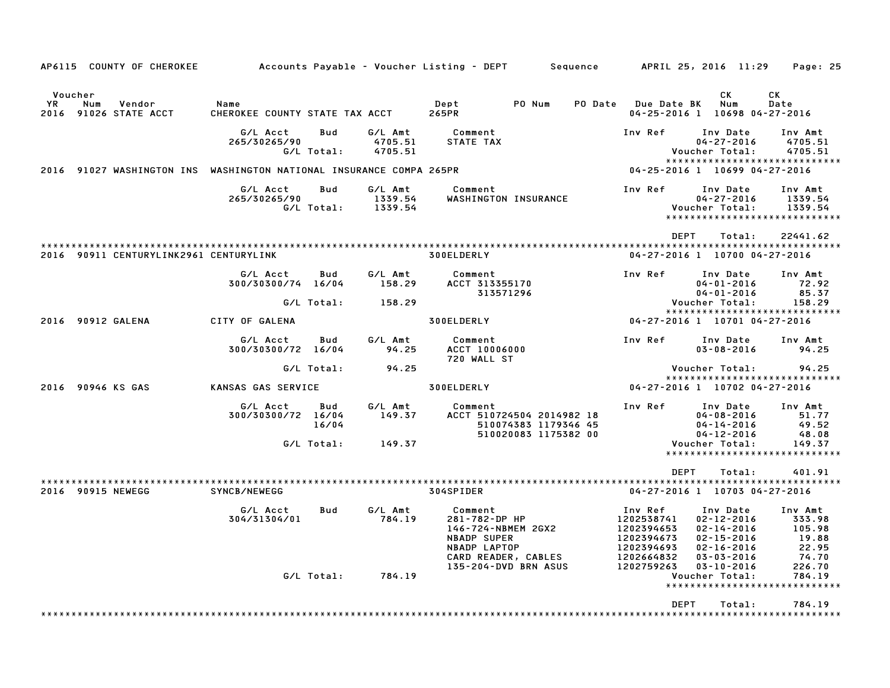|                                                                        | AP6115 COUNTY OF CHEROKEE                                    |                                        |                          |                               | Accounts Payable – Voucher Listing – DEPT                                                                                                  | Sequence                                                       |                                                                                             | APRIL 25, 2016 11:29                                                                                                             | Page: 25                                                         |  |
|------------------------------------------------------------------------|--------------------------------------------------------------|----------------------------------------|--------------------------|-------------------------------|--------------------------------------------------------------------------------------------------------------------------------------------|----------------------------------------------------------------|---------------------------------------------------------------------------------------------|----------------------------------------------------------------------------------------------------------------------------------|------------------------------------------------------------------|--|
| Voucher<br>YR                                                          | Num<br>Vendor<br>2016 91026 STATE ACCT                       | Name<br>CHEROKEE COUNTY STATE TAX ACCT |                          |                               | PO Num<br>Dept<br>265PR                                                                                                                    | PO Date                                                        | <b>Due Date BK</b>                                                                          | СK<br>Num<br>04-25-2016 1 10698 04-27-2016                                                                                       | СK<br>Date                                                       |  |
|                                                                        |                                                              | G/L Acct<br>265/30265/90               | <b>Bud</b><br>G/L Total: | G/L Amt<br>4705.51<br>4705.51 | Comment<br>STATE TAX                                                                                                                       |                                                                | Inv Ref                                                                                     | Inv Date<br>$04 - 27 - 2016$<br>Voucher Total:                                                                                   | Inv Amt<br>4705.51<br>4705.51                                    |  |
| 91027 WASHINGTON INS WASHINGTON NATIONAL INSURANCE COMPA 265PR<br>2016 |                                                              |                                        |                          |                               |                                                                                                                                            | *****************************<br>04-25-2016 1 10699 04-27-2016 |                                                                                             |                                                                                                                                  |                                                                  |  |
|                                                                        |                                                              | G/L Acct<br>265/30265/90               | <b>Bud</b><br>G/L Total: | G/L Amt<br>1339.54<br>1339.54 | Comment<br>WASHINGTON INSURANCE                                                                                                            |                                                                | Inv Ref                                                                                     | Inv Date<br>$04 - 27 - 2016$<br>Voucher Total:                                                                                   | Inv Amt<br>1339.54<br>1339.54<br>*****************************   |  |
|                                                                        |                                                              |                                        |                          |                               |                                                                                                                                            |                                                                | <b>DEPT</b>                                                                                 | Total:                                                                                                                           | 22441.62                                                         |  |
|                                                                        | 2016 90911 CENTURYLINK2961 CENTURYLINK                       |                                        |                          |                               | 300ELDERLY                                                                                                                                 |                                                                |                                                                                             | 04-27-2016 1 10700 04-27-2016                                                                                                    |                                                                  |  |
|                                                                        |                                                              | G/L Acct<br>300/30300/74 16/04         | Bud                      | G/L Amt<br>158.29             | Comment<br>ACCT 313355170<br>313571296                                                                                                     |                                                                | Inv Ref                                                                                     | Inv Date<br>$04 - 01 - 2016$<br>$04 - 01 - 2016$                                                                                 | Inv Amt<br>72.92<br>85.37                                        |  |
|                                                                        |                                                              |                                        | G/L Total:               | 158.29                        |                                                                                                                                            |                                                                |                                                                                             | Voucher Total:                                                                                                                   | 158.29                                                           |  |
|                                                                        | 2016 90912 GALENA                                            | CITY OF GALENA                         |                          |                               | 300ELDERLY                                                                                                                                 |                                                                | *****************************<br>04-27-2016 1 10701 04-27-2016                              |                                                                                                                                  |                                                                  |  |
|                                                                        |                                                              |                                        |                          |                               |                                                                                                                                            |                                                                |                                                                                             |                                                                                                                                  |                                                                  |  |
|                                                                        |                                                              | G/L Acct<br>300/30300/72 16/04         | Bud                      | G/L Amt<br>94.25              | Comment<br>ACCT 10006000<br>720 WALL ST                                                                                                    |                                                                | Inv Ref                                                                                     | Inv Date<br>$03 - 08 - 2016$                                                                                                     | Inv Amt<br>94.25                                                 |  |
|                                                                        |                                                              |                                        | G/L Total:               | 94.25                         |                                                                                                                                            |                                                                |                                                                                             | Voucher Total:                                                                                                                   | 94.25                                                            |  |
|                                                                        | 2016 90946 KS GAS<br>KANSAS GAS SERVICE                      |                                        |                          | 300ELDERLY                    |                                                                                                                                            |                                                                | *****************************<br>04-27-2016 1 10702 04-27-2016                              |                                                                                                                                  |                                                                  |  |
|                                                                        |                                                              |                                        |                          |                               |                                                                                                                                            |                                                                |                                                                                             |                                                                                                                                  |                                                                  |  |
|                                                                        |                                                              | G/L Acct<br>300/30300/72 16/04         | Bud<br>16/04             | G/L Amt<br>149.37             | Comment<br>ACCT 510724504 2014982 18<br>510074383 1179346 45                                                                               |                                                                | Inv Ref                                                                                     | Inv Date<br>$04 - 08 - 2016$<br>$04 - 14 - 2016$                                                                                 | Inv Amt<br>51.77<br>49.52                                        |  |
|                                                                        |                                                              | G/L Total:                             |                          | 149.37                        | 510020083 1175382 00                                                                                                                       |                                                                |                                                                                             | $04 - 12 - 2016$<br>Voucher Total:                                                                                               | 48.08<br>149.37<br>*****************************                 |  |
|                                                                        |                                                              |                                        |                          |                               |                                                                                                                                            |                                                                | <b>DEPT</b>                                                                                 | Total:                                                                                                                           | 401.91                                                           |  |
|                                                                        | * * * * * * * * * * * * * * * * * * * *<br>2016 90915 NEWEGG | SYNCB/NEWEGG                           |                          |                               | 304SPIDER                                                                                                                                  |                                                                | 04-27-2016 1 10703 04-27-2016                                                               |                                                                                                                                  |                                                                  |  |
|                                                                        |                                                              | G/L Acct<br>304/31304/01               | Bud                      | G/L Amt<br>784.19             | Comment<br>281-782-DP HP<br>146-724-NBMEM 2GX2<br><b>NBADP SUPER</b><br><b>NBADP LAPTOP</b><br>CARD READER, CABLES<br>135-204-DVD BRN ASUS |                                                                | Inv Ref<br>1202538741<br>1202394653<br>1202394673<br>1202394693<br>1202664832<br>1202759263 | Inv Date<br>$02 - 12 - 2016$<br>$02 - 14 - 2016$<br>$02 - 15 - 2016$<br>$02 - 16 - 2016$<br>$03 - 03 - 2016$<br>$03 - 10 - 2016$ | Inv Amt<br>333.98<br>105.98<br>19.88<br>22.95<br>74.70<br>226.70 |  |
|                                                                        |                                                              |                                        | G/L Total:               | 784.19                        |                                                                                                                                            |                                                                |                                                                                             | Voucher Total:                                                                                                                   | 784.19                                                           |  |
|                                                                        |                                                              |                                        |                          |                               |                                                                                                                                            |                                                                | DEPT                                                                                        | Total:                                                                                                                           | *****************************<br>784.19                          |  |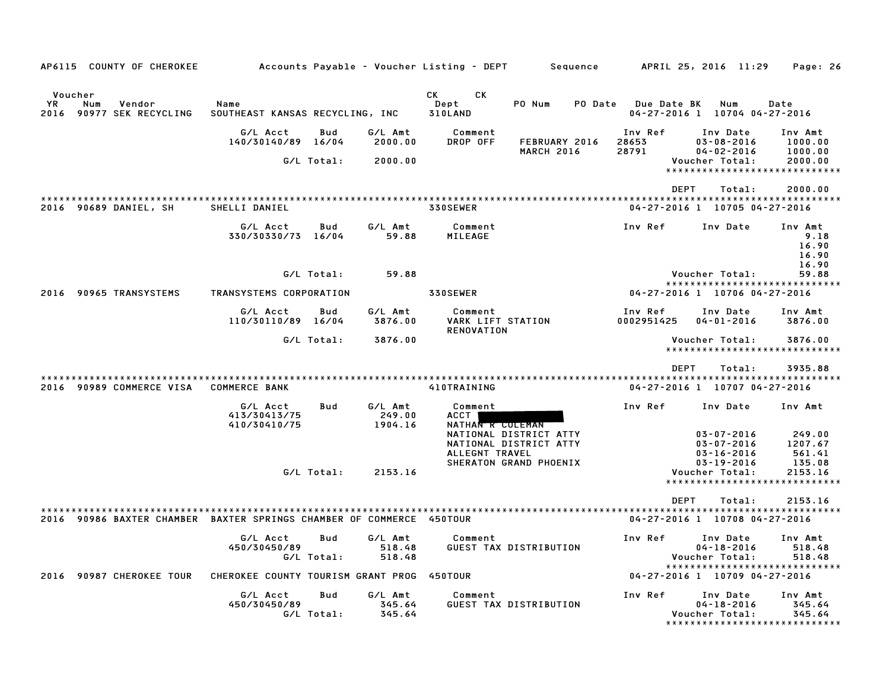| AP6115 COUNTY OF CHEROKEE                                            |                                            |                   |                              | Accounts Payable – Voucher Listing – DEPT                | Sequence                                         |                           | APRIL 25, 2016 11:29                                     | Page: 26                                                     |
|----------------------------------------------------------------------|--------------------------------------------|-------------------|------------------------------|----------------------------------------------------------|--------------------------------------------------|---------------------------|----------------------------------------------------------|--------------------------------------------------------------|
| Voucher<br>YR.<br>Num<br>Vendor<br>2016<br>90977 SEK RECYCLING       | Name<br>SOUTHEAST KANSAS RECYCLING, INC    |                   |                              | <b>CK</b><br>CK.<br>Dept<br>310LAND                      | PO Num<br>PO Date                                | <b>Due Date BK</b>        | Num<br>04-27-2016 1 10704 04-27-2016                     | Date                                                         |
|                                                                      | G/L Acct<br>140/30140/89 16/04             | Bud               | G/L Amt<br>2000.00           | Comment<br>DROP OFF                                      | FEBRUARY 2016<br><b>MARCH 2016</b>               | Inv Ref<br>28653<br>28791 | Inv Date<br>$03 - 08 - 2016$<br>$04 - 02 - 2016$         | Inv Amt<br>1000.00<br>1000.00                                |
|                                                                      |                                            | G/L Total:        | 2000.00                      |                                                          |                                                  |                           | Voucher Total:<br>*****************************          | 2000.00                                                      |
|                                                                      |                                            |                   |                              |                                                          |                                                  | <b>DEPT</b>               | Total:                                                   | 2000.00                                                      |
| 2016 90689 DANIEL, SH                                                | SHELLI DANIEL                              |                   |                              | 330SEWER                                                 |                                                  |                           | 04-27-2016 1 10705 04-27-2016                            |                                                              |
|                                                                      | G/L Acct<br>330/30330/73 16/04             | Bud               | G/L Amt<br>59.88             | Comment<br>MILEAGE                                       |                                                  | Inv Ref                   | Inv Date                                                 | Inv Amt<br>9.18<br>16.90<br>16.90<br>16.90                   |
|                                                                      |                                            | G/L Total:        | 59.88                        |                                                          |                                                  |                           | Voucher Total:<br>*****************************          | 59.88                                                        |
| 2016 90965 TRANSYSTEMS                                               | TRANSYSTEMS CORPORATION                    |                   |                              | 330SEWER                                                 |                                                  |                           | 04-27-2016 1 10706 04-27-2016                            |                                                              |
|                                                                      | G/L Acct<br>110/30110/89 16/04             | Bud               | G/L Amt<br>3876.00           | Comment<br><b>VARK LIFT STATION</b><br><b>RENOVATION</b> |                                                  | Inv Ref<br>0002951425     | Inv Date<br>$04 - 01 - 2016$                             | Inv Amt<br>3876.00                                           |
|                                                                      |                                            | G/L Total:        | 3876.00                      |                                                          |                                                  |                           | Voucher Total:                                           | 3876.00<br>*****************************                     |
|                                                                      |                                            |                   |                              |                                                          |                                                  | <b>DEPT</b>               | Total:                                                   | 3935.88                                                      |
| 2016 90989 COMMERCE VISA                                             | <b>COMMERCE BANK</b>                       |                   |                              | 410TRAINING                                              |                                                  |                           | 04-27-2016 1 10707 04-27-2016                            |                                                              |
|                                                                      | G/L Acct<br>413/30413/75<br>410/30410/75   | Bud               | G/L Amt<br>249.00<br>1904.16 | Comment<br>ACCT  <br>NATHAN R COLEMAN                    |                                                  | Inv Ref                   | Inv Date                                                 | Inv Amt                                                      |
|                                                                      |                                            |                   |                              | ALLEGNT TRAVEL                                           | NATIONAL DISTRICT ATTY<br>NATIONAL DISTRICT ATTY |                           | $03 - 07 - 2016$<br>$03 - 07 - 2016$<br>$03 - 16 - 2016$ | 249.00<br>1207.67<br>561.41                                  |
|                                                                      |                                            | G/L Total:        | 2153.16                      |                                                          | SHERATON GRAND PHOENIX                           |                           | $03 - 19 - 2016$<br>Voucher Total:                       | 135.08<br>2153.16<br>*****************************           |
|                                                                      |                                            |                   |                              |                                                          |                                                  | <b>DEPT</b>               | Total:                                                   | 2153.16                                                      |
| 2016 90986 BAXTER CHAMBER BAXTER SPRINGS CHAMBER OF COMMERCE 450TOUR |                                            |                   |                              |                                                          |                                                  |                           | 04-27-2016 1 10708 04-27-2016                            |                                                              |
|                                                                      | G/L Acct<br>450/30450/89                   | Bud               | G/L Amt<br>518.48            | Comment                                                  | GUEST TAX DISTRIBUTION                           | Inv Ref                   | Inv Date<br>$04 - 18 - 2016$                             | Inv Amt<br>518.48                                            |
| 90987 CHEROKEE TOUR<br>2016                                          | CHEROKEE COUNTY TOURISM GRANT PROG 450TOUR | G/L Total:        | 518.48                       |                                                          |                                                  |                           | Voucher Total:<br>04-27-2016 1 10709 04-27-2016          | 518.48<br>*****************************                      |
|                                                                      |                                            |                   |                              |                                                          |                                                  |                           |                                                          |                                                              |
|                                                                      | G/L Acct<br>450/30450/89                   | Bud<br>G/L Total: | G/L Amt<br>345.64<br>345.64  | Comment                                                  | GUEST TAX DISTRIBUTION                           | Inv Ref                   | Inv Date<br>$04 - 18 - 2016$<br>Voucher Total:           | Inv Amt<br>345.64<br>345.64<br>***************************** |